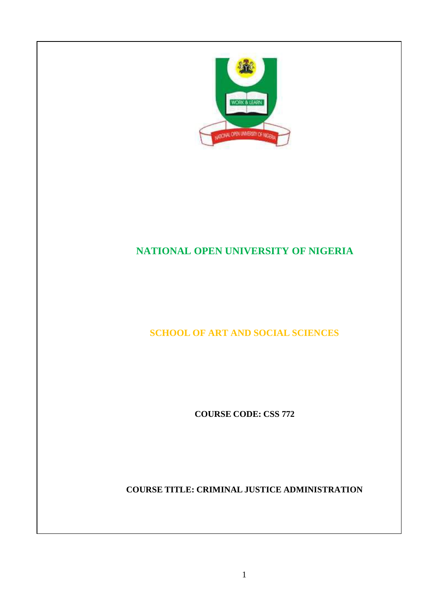

# **NATIONAL OPEN UNIVERSITY OF NIGERIA**

**SCHOOL OF ART AND SOCIAL SCIENCES**

**COURSE CODE: CSS 772**

**COURSE TITLE: CRIMINAL JUSTICE ADMINISTRATION**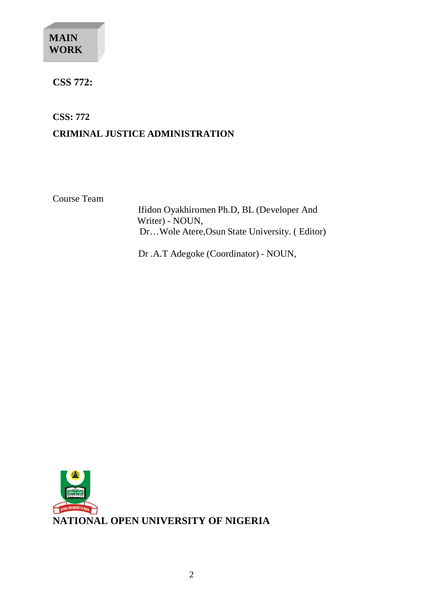# **MAIN WORK**

# **CSS 772:**

**CSS: 772**

# **CRIMINAL JUSTICE ADMINISTRATION**

Course Team

Ifidon Oyakhiromen Ph.D, BL (Developer And Writer) - NOUN, Dr…Wole Atere,Osun State University. ( Editor)

Dr .A.T Adegoke (Coordinator) - NOUN,

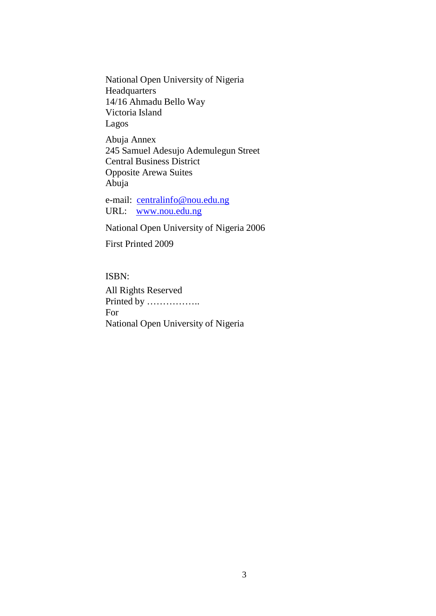National Open University of Nigeria Headquarters 14/16 Ahmadu Bello Way Victoria Island Lagos

Abuja Annex 245 Samuel Adesujo Ademulegun Street Central Business District Opposite Arewa Suites Abuja

e-mail: [centralinfo@nou.edu.ng](mailto:centralinfo@nou.edu.ng) URL: [www.nou.edu.ng](http://www.nou.edu.ng/)

National Open University of Nigeria 2006

First Printed 2009

ISBN: All Rights Reserved Printed by …………….. For National Open University of Nigeria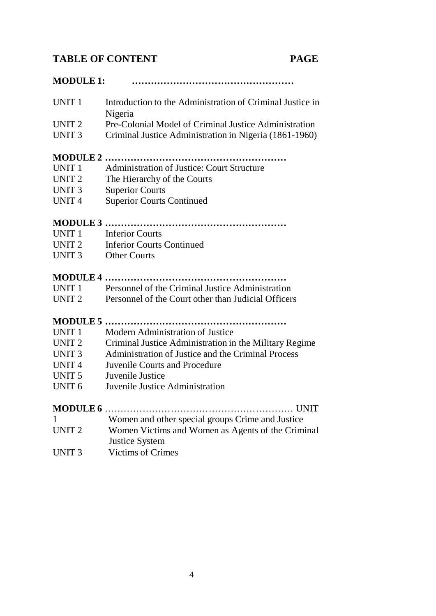#### **TABLE OF CONTENT PAGE**

**MODULE 1: ……………………………………………**

| UNIT 1 | Introduction to the Administration of Criminal Justice in |
|--------|-----------------------------------------------------------|
|        | Nigeria                                                   |

- UNIT 2 Pre-Colonial Model of Criminal Justice Administration
- UNIT 3 Criminal Justice Administration in Nigeria (1861-1960)

#### **MODULE 2 …………………………………………………**

- UNIT 1 Administration of Justice: Court Structure
- UNIT 2 The Hierarchy of the Courts
- UNIT 3 Superior Courts
- UNIT 4 Superior Courts Continued

#### **MODULE 3 …………………………………………………**

- UNIT 1 Inferior Courts
- UNIT 2 Inferior Courts Continued
- UNIT 3 Other Courts

#### **MODULE 4 …………………………………………………**

UNIT 1 Personnel of the Criminal Justice Administration UNIT 2 Personnel of the Court other than Judicial Officers

#### **MODULE 5 …………………………………………………**

- UNIT 1 Modern Administration of Justice
- UNIT 2 Criminal Justice Administration in the Military Regime
- UNIT 3 Administration of Justice and the Criminal Process
- UNIT 4 Juvenile Courts and Procedure
- UNIT 5 Juvenile Justice
- UNIT 6 Juvenile Justice Administration

#### **MODULE 6** …………………………………………………… UNIT

|  | Women and other special groups Crime and Justice |
|--|--------------------------------------------------|

- UNIT 2 Women Victims and Women as Agents of the Criminal
- Justice System
- UNIT 3 Victims of Crimes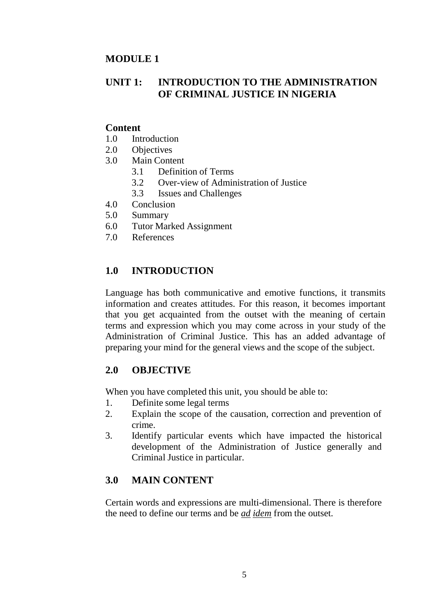#### **MODULE 1**

# **UNIT 1: INTRODUCTION TO THE ADMINISTRATION OF CRIMINAL JUSTICE IN NIGERIA**

#### **Content**

- 1.0 Introduction
- 2.0 Objectives
- 3.0 Main Content
	- 3.1 Definition of Terms
	- 3.2 Over-view of Administration of Justice
	- 3.3 Issues and Challenges
- 4.0 Conclusion
- 5.0 Summary
- 6.0 Tutor Marked Assignment
- 7.0 References

# **1.0 INTRODUCTION**

Language has both communicative and emotive functions, it transmits information and creates attitudes. For this reason, it becomes important that you get acquainted from the outset with the meaning of certain terms and expression which you may come across in your study of the Administration of Criminal Justice. This has an added advantage of preparing your mind for the general views and the scope of the subject.

## **2.0 OBJECTIVE**

When you have completed this unit, you should be able to:

- 1. Definite some legal terms
- 2. Explain the scope of the causation, correction and prevention of crime.
- 3. Identify particular events which have impacted the historical development of the Administration of Justice generally and Criminal Justice in particular.

# **3.0 MAIN CONTENT**

Certain words and expressions are multi-dimensional. There is therefore the need to define our terms and be *ad idem* from the outset.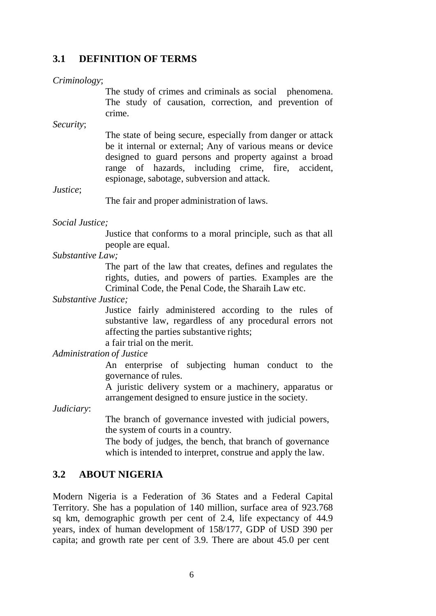#### **3.1 DEFINITION OF TERMS**

#### *Criminology*;

The study of crimes and criminals as social phenomena. The study of causation, correction, and prevention of crime.

*Security*;

The state of being secure, especially from danger or attack be it internal or external; Any of various means or device designed to guard persons and property against a broad range of hazards, including crime, fire, accident, espionage, sabotage, subversion and attack.

*Justice*;

The fair and proper administration of laws.

#### *Social Justice;*

Justice that conforms to a moral principle, such as that all people are equal.

*Substantive Law;*

The part of the law that creates, defines and regulates the rights, duties, and powers of parties. Examples are the Criminal Code, the Penal Code, the Sharaih Law etc.

*Substantive Justice;*

Justice fairly administered according to the rules of substantive law, regardless of any procedural errors not affecting the parties substantive rights;

a fair trial on the merit.

*Administration of Justice*

An enterprise of subjecting human conduct to the governance of rules.

A juristic delivery system or a machinery, apparatus or arrangement designed to ensure justice in the society.

*Judiciary*:

The branch of governance invested with judicial powers, the system of courts in a country.

The body of judges, the bench, that branch of governance which is intended to interpret, construe and apply the law.

#### **3.2 ABOUT NIGERIA**

Modern Nigeria is a Federation of 36 States and a Federal Capital Territory. She has a population of 140 million, surface area of 923.768 sq km, demographic growth per cent of 2.4, life expectancy of 44.9 years, index of human development of 158/177, GDP of USD 390 per capita; and growth rate per cent of 3.9. There are about 45.0 per cent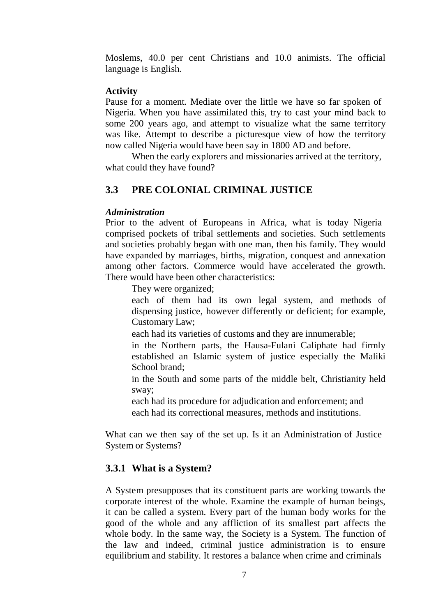Moslems, 40.0 per cent Christians and 10.0 animists. The official language is English.

#### **Activity**

Pause for a moment. Mediate over the little we have so far spoken of Nigeria. When you have assimilated this, try to cast your mind back to some 200 years ago, and attempt to visualize what the same territory was like. Attempt to describe a picturesque view of how the territory now called Nigeria would have been say in 1800 AD and before.

When the early explorers and missionaries arrived at the territory, what could they have found?

# **3.3 PRE COLONIAL CRIMINAL JUSTICE**

#### *Administration*

Prior to the advent of Europeans in Africa, what is today Nigeria comprised pockets of tribal settlements and societies. Such settlements and societies probably began with one man, then his family. They would have expanded by marriages, births, migration, conquest and annexation among other factors. Commerce would have accelerated the growth. There would have been other characteristics:

They were organized;

each of them had its own legal system, and methods of dispensing justice, however differently or deficient; for example, Customary Law;

each had its varieties of customs and they are innumerable;

in the Northern parts, the Hausa-Fulani Caliphate had firmly established an Islamic system of justice especially the Maliki School brand:

in the South and some parts of the middle belt, Christianity held sway;

each had its procedure for adjudication and enforcement; and each had its correctional measures, methods and institutions.

What can we then say of the set up. Is it an Administration of Justice System or Systems?

## **3.3.1 What is a System?**

A System presupposes that its constituent parts are working towards the corporate interest of the whole. Examine the example of human beings, it can be called a system. Every part of the human body works for the good of the whole and any affliction of its smallest part affects the whole body. In the same way, the Society is a System. The function of the law and indeed, criminal justice administration is to ensure equilibrium and stability. It restores a balance when crime and criminals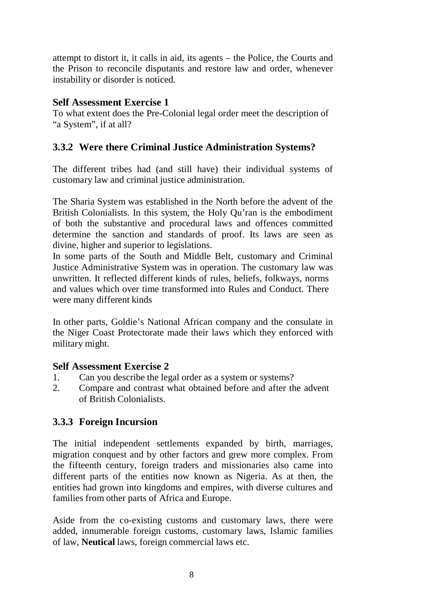attempt to distort it, it calls in aid, its agents – the Police, the Courts and the Prison to reconcile disputants and restore law and order, whenever instability or disorder is noticed.

#### **Self Assessment Exercise 1**

To what extent does the Pre-Colonial legal order meet the description of "a System", if at all?

# **3.3.2 Were there Criminal Justice Administration Systems?**

The different tribes had (and still have) their individual systems of customary law and criminal justice administration.

The Sharia System was established in the North before the advent of the British Colonialists. In this system, the Holy Qu'ran is the embodiment of both the substantive and procedural laws and offences committed determine the sanction and standards of proof. Its laws are seen as divine, higher and superior to legislations.

In some parts of the South and Middle Belt, customary and Criminal Justice Administrative System was in operation. The customary law was unwritten. It reflected different kinds of rules, beliefs, folkways, norms and values which over time transformed into Rules and Conduct. There were many different kinds

In other parts, Goldie's National African company and the consulate in the Niger Coast Protectorate made their laws which they enforced with military might.

## **Self Assessment Exercise 2**

- 1. Can you describe the legal order as a system or systems?
- 2. Compare and contrast what obtained before and after the advent of British Colonialists.

## **3.3.3 Foreign Incursion**

The initial independent settlements expanded by birth, marriages, migration conquest and by other factors and grew more complex. From the fifteenth century, foreign traders and missionaries also came into different parts of the entities now known as Nigeria. As at then, the entities had grown into kingdoms and empires, with diverse cultures and families from other parts of Africa and Europe.

Aside from the co-existing customs and customary laws, there were added, innumerable foreign customs, customary laws, Islamic families of law, **Neutical** laws, foreign commercial laws etc.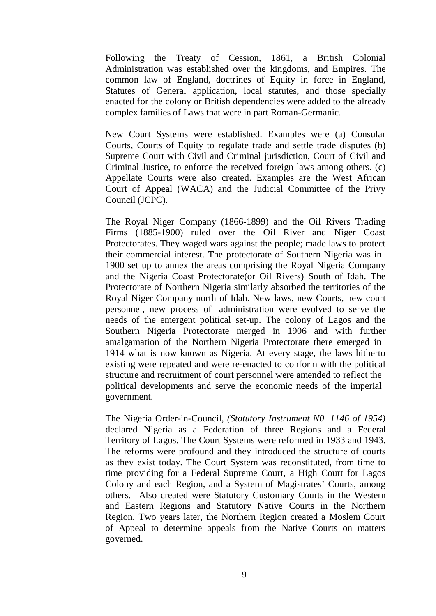Following the Treaty of Cession, 1861, a British Colonial Administration was established over the kingdoms, and Empires. The common law of England, doctrines of Equity in force in England, Statutes of General application, local statutes, and those specially enacted for the colony or British dependencies were added to the already complex families of Laws that were in part Roman-Germanic.

New Court Systems were established. Examples were (a) Consular Courts, Courts of Equity to regulate trade and settle trade disputes (b) Supreme Court with Civil and Criminal jurisdiction, Court of Civil and Criminal Justice, to enforce the received foreign laws among others. (c) Appellate Courts were also created. Examples are the West African Court of Appeal (WACA) and the Judicial Committee of the Privy Council (JCPC).

The Royal Niger Company (1866-1899) and the Oil Rivers Trading Firms (1885-1900) ruled over the Oil River and Niger Coast Protectorates. They waged wars against the people; made laws to protect their commercial interest. The protectorate of Southern Nigeria was in 1900 set up to annex the areas comprising the Royal Nigeria Company and the Nigeria Coast Protectorate(or Oil Rivers) South of Idah. The Protectorate of Northern Nigeria similarly absorbed the territories of the Royal Niger Company north of Idah. New laws, new Courts, new court personnel, new process of administration were evolved to serve the needs of the emergent political set-up. The colony of Lagos and the Southern Nigeria Protectorate merged in 1906 and with further amalgamation of the Northern Nigeria Protectorate there emerged in 1914 what is now known as Nigeria. At every stage, the laws hitherto existing were repeated and were re-enacted to conform with the political structure and recruitment of court personnel were amended to reflect the political developments and serve the economic needs of the imperial government.

The Nigeria Order-in-Council, *(Statutory Instrument N0. 1146 of 1954)*  declared Nigeria as a Federation of three Regions and a Federal Territory of Lagos. The Court Systems were reformed in 1933 and 1943. The reforms were profound and they introduced the structure of courts as they exist today. The Court System was reconstituted, from time to time providing for a Federal Supreme Court, a High Court for Lagos Colony and each Region, and a System of Magistrates' Courts, among others. Also created were Statutory Customary Courts in the Western and Eastern Regions and Statutory Native Courts in the Northern Region. Two years later, the Northern Region created a Moslem Court of Appeal to determine appeals from the Native Courts on matters governed.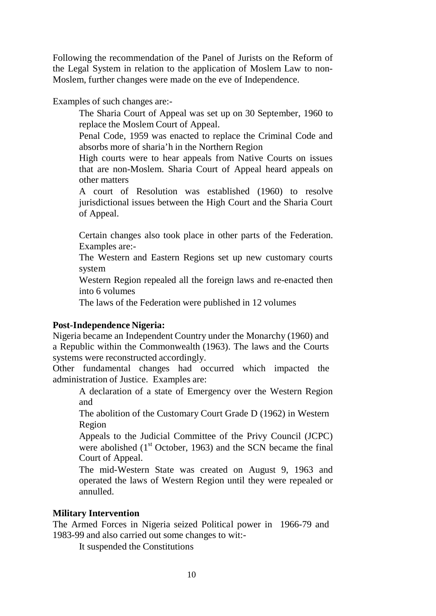Following the recommendation of the Panel of Jurists on the Reform of the Legal System in relation to the application of Moslem Law to non-Moslem, further changes were made on the eve of Independence.

Examples of such changes are:-

The Sharia Court of Appeal was set up on 30 September, 1960 to replace the Moslem Court of Appeal.

Penal Code, 1959 was enacted to replace the Criminal Code and absorbs more of sharia'h in the Northern Region

High courts were to hear appeals from Native Courts on issues that are non-Moslem. Sharia Court of Appeal heard appeals on other matters

A court of Resolution was established (1960) to resolve jurisdictional issues between the High Court and the Sharia Court of Appeal.

Certain changes also took place in other parts of the Federation. Examples are:-

The Western and Eastern Regions set up new customary courts system

Western Region repealed all the foreign laws and re-enacted then into 6 volumes

The laws of the Federation were published in 12 volumes

#### **Post-Independence Nigeria:**

Nigeria became an Independent Country under the Monarchy (1960) and a Republic within the Commonwealth (1963). The laws and the Courts systems were reconstructed accordingly.

Other fundamental changes had occurred which impacted the administration of Justice. Examples are:

A declaration of a state of Emergency over the Western Region and

The abolition of the Customary Court Grade D (1962) in Western Region

Appeals to the Judicial Committee of the Privy Council (JCPC) were abolished  $(1<sup>st</sup> October, 1963)$  and the SCN became the final Court of Appeal.

The mid-Western State was created on August 9, 1963 and operated the laws of Western Region until they were repealed or annulled.

#### **Military Intervention**

The Armed Forces in Nigeria seized Political power in 1966-79 and 1983-99 and also carried out some changes to wit:-

It suspended the Constitutions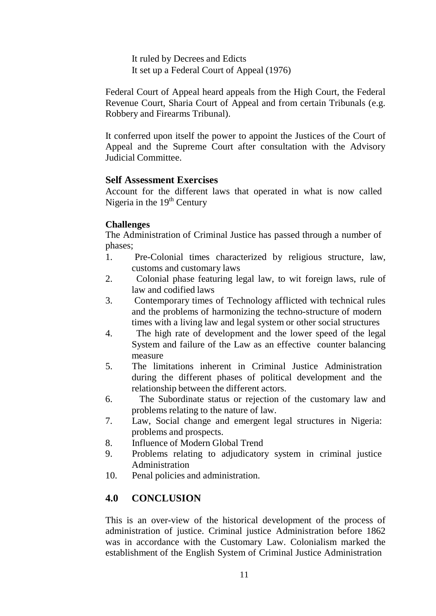It ruled by Decrees and Edicts It set up a Federal Court of Appeal (1976)

Federal Court of Appeal heard appeals from the High Court, the Federal Revenue Court, Sharia Court of Appeal and from certain Tribunals (e.g. Robbery and Firearms Tribunal).

It conferred upon itself the power to appoint the Justices of the Court of Appeal and the Supreme Court after consultation with the Advisory Judicial Committee.

#### **Self Assessment Exercises**

Account for the different laws that operated in what is now called Nigeria in the  $19<sup>th</sup>$  Century

#### **Challenges**

The Administration of Criminal Justice has passed through a number of phases;

- 1. Pre-Colonial times characterized by religious structure, law, customs and customary laws
- 2. Colonial phase featuring legal law, to wit foreign laws, rule of law and codified laws
- 3. Contemporary times of Technology afflicted with technical rules and the problems of harmonizing the techno-structure of modern times with a living law and legal system or other social structures
- 4. The high rate of development and the lower speed of the legal System and failure of the Law as an effective counter balancing measure
- 5. The limitations inherent in Criminal Justice Administration during the different phases of political development and the relationship between the different actors.
- 6. The Subordinate status or rejection of the customary law and problems relating to the nature of law.
- 7. Law, Social change and emergent legal structures in Nigeria: problems and prospects.
- 8. Influence of Modern Global Trend
- 9. Problems relating to adjudicatory system in criminal justice Administration
- 10. Penal policies and administration.

## **4.0 CONCLUSION**

This is an over-view of the historical development of the process of administration of justice. Criminal justice Administration before 1862 was in accordance with the Customary Law. Colonialism marked the establishment of the English System of Criminal Justice Administration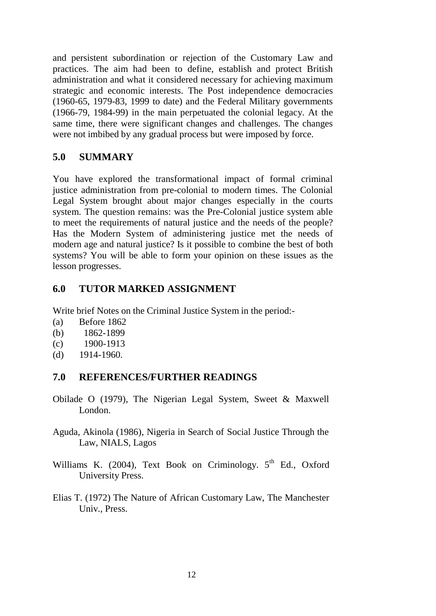and persistent subordination or rejection of the Customary Law and practices. The aim had been to define, establish and protect British administration and what it considered necessary for achieving maximum strategic and economic interests. The Post independence democracies (1960-65, 1979-83, 1999 to date) and the Federal Military governments (1966-79, 1984-99) in the main perpetuated the colonial legacy. At the same time, there were significant changes and challenges. The changes were not imbibed by any gradual process but were imposed by force.

## **5.0 SUMMARY**

You have explored the transformational impact of formal criminal justice administration from pre-colonial to modern times. The Colonial Legal System brought about major changes especially in the courts system. The question remains: was the Pre-Colonial justice system able to meet the requirements of natural justice and the needs of the people? Has the Modern System of administering justice met the needs of modern age and natural justice? Is it possible to combine the best of both systems? You will be able to form your opinion on these issues as the lesson progresses.

#### **6.0 TUTOR MARKED ASSIGNMENT**

Write brief Notes on the Criminal Justice System in the period:-

- (a) Before 1862
- (b) 1862-1899
- (c) 1900-1913
- (d) 1914-1960.

#### **7.0 REFERENCES/FURTHER READINGS**

- Obilade O (1979), The Nigerian Legal System, Sweet & Maxwell London.
- Aguda, Akinola (1986), Nigeria in Search of Social Justice Through the Law, NIALS, Lagos
- Williams K. (2004), Text Book on Criminology. 5<sup>th</sup> Ed., Oxford University Press.
- Elias T. (1972) The Nature of African Customary Law, The Manchester Univ., Press.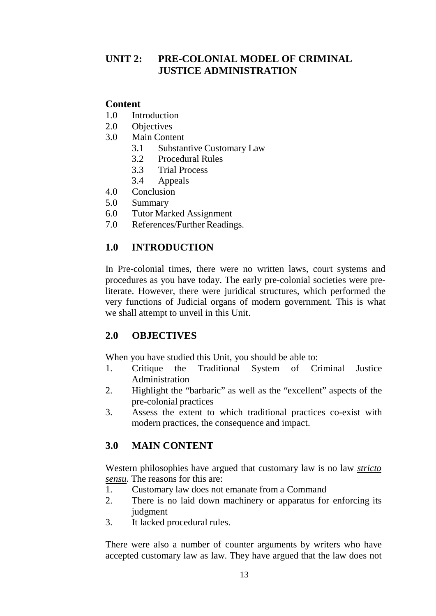# **UNIT 2: PRE-COLONIAL MODEL OF CRIMINAL JUSTICE ADMINISTRATION**

#### **Content**

- 1.0 Introduction
- 2.0 Objectives
- 3.0 Main Content
	- 3.1 Substantive Customary Law
	- 3.2 Procedural Rules
	- 3.3 Trial Process
	- 3.4 Appeals
- 4.0 Conclusion
- 5.0 Summary
- 6.0 Tutor Marked Assignment
- 7.0 References/Further Readings.

# **1.0 INTRODUCTION**

In Pre-colonial times, there were no written laws, court systems and procedures as you have today. The early pre-colonial societies were preliterate. However, there were juridical structures, which performed the very functions of Judicial organs of modern government. This is what we shall attempt to unveil in this Unit.

## **2.0 OBJECTIVES**

When you have studied this Unit, you should be able to:

- 1. Critique the Traditional System of Criminal Justice Administration
- 2. Highlight the "barbaric" as well as the "excellent" aspects of the pre-colonial practices
- 3. Assess the extent to which traditional practices co-exist with modern practices, the consequence and impact.

# **3.0 MAIN CONTENT**

Western philosophies have argued that customary law is no law *stricto sensu*. The reasons for this are:

- 1. Customary law does not emanate from a Command
- 2. There is no laid down machinery or apparatus for enforcing its judgment
- 3. It lacked procedural rules.

There were also a number of counter arguments by writers who have accepted customary law as law. They have argued that the law does not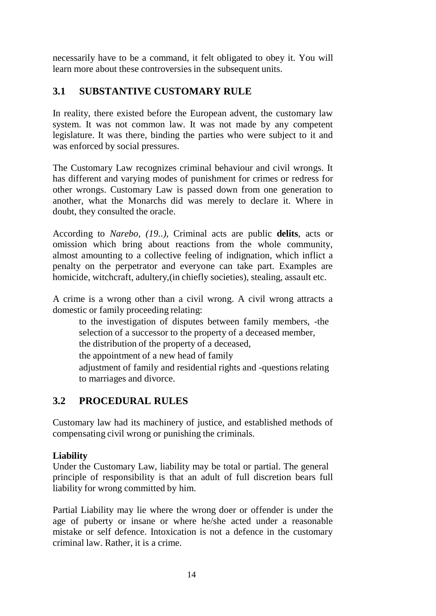necessarily have to be a command, it felt obligated to obey it. You will learn more about these controversies in the subsequent units.

# **3.1 SUBSTANTIVE CUSTOMARY RULE**

In reality, there existed before the European advent, the customary law system. It was not common law. It was not made by any competent legislature. It was there, binding the parties who were subject to it and was enforced by social pressures.

The Customary Law recognizes criminal behaviour and civil wrongs. It has different and varying modes of punishment for crimes or redress for other wrongs. Customary Law is passed down from one generation to another, what the Monarchs did was merely to declare it. Where in doubt, they consulted the oracle.

According to *Narebo, (19..),* Criminal acts are public **delits**, acts or omission which bring about reactions from the whole community, almost amounting to a collective feeling of indignation, which inflict a penalty on the perpetrator and everyone can take part. Examples are homicide, witchcraft, adultery,(in chiefly societies), stealing, assault etc.

A crime is a wrong other than a civil wrong. A civil wrong attracts a domestic or family proceeding relating:

to the investigation of disputes between family members, -the selection of a successor to the property of a deceased member, the distribution of the property of a deceased, the appointment of a new head of family adjustment of family and residential rights and -questions relating to marriages and divorce.

# **3.2 PROCEDURAL RULES**

Customary law had its machinery of justice, and established methods of compensating civil wrong or punishing the criminals.

## **Liability**

Under the Customary Law, liability may be total or partial. The general principle of responsibility is that an adult of full discretion bears full liability for wrong committed by him.

Partial Liability may lie where the wrong doer or offender is under the age of puberty or insane or where he/she acted under a reasonable mistake or self defence. Intoxication is not a defence in the customary criminal law. Rather, it is a crime.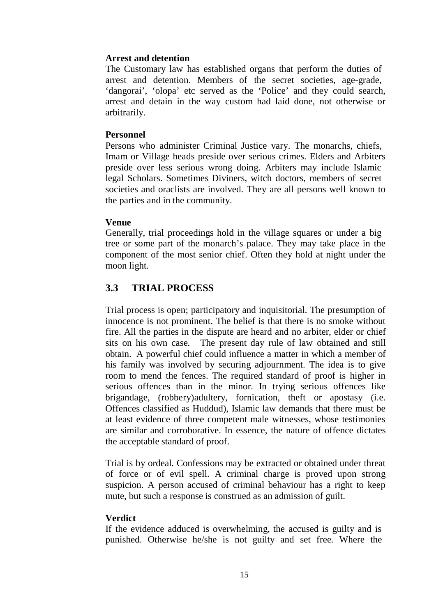#### **Arrest and detention**

The Customary law has established organs that perform the duties of arrest and detention. Members of the secret societies, age-grade, 'dangorai', 'olopa' etc served as the 'Police' and they could search, arrest and detain in the way custom had laid done, not otherwise or arbitrarily.

#### **Personnel**

Persons who administer Criminal Justice vary. The monarchs, chiefs, Imam or Village heads preside over serious crimes. Elders and Arbiters preside over less serious wrong doing. Arbiters may include Islamic legal Scholars. Sometimes Diviners, witch doctors, members of secret societies and oraclists are involved. They are all persons well known to the parties and in the community.

#### **Venue**

Generally, trial proceedings hold in the village squares or under a big tree or some part of the monarch's palace. They may take place in the component of the most senior chief. Often they hold at night under the moon light.

## **3.3 TRIAL PROCESS**

Trial process is open; participatory and inquisitorial. The presumption of innocence is not prominent. The belief is that there is no smoke without fire. All the parties in the dispute are heard and no arbiter, elder or chief sits on his own case. The present day rule of law obtained and still obtain. A powerful chief could influence a matter in which a member of his family was involved by securing adjournment. The idea is to give room to mend the fences. The required standard of proof is higher in serious offences than in the minor. In trying serious offences like brigandage, (robbery)adultery, fornication, theft or apostasy (i.e. Offences classified as Huddud), Islamic law demands that there must be at least evidence of three competent male witnesses, whose testimonies are similar and corroborative. In essence, the nature of offence dictates the acceptable standard of proof.

Trial is by ordeal. Confessions may be extracted or obtained under threat of force or of evil spell. A criminal charge is proved upon strong suspicion. A person accused of criminal behaviour has a right to keep mute, but such a response is construed as an admission of guilt.

#### **Verdict**

If the evidence adduced is overwhelming, the accused is guilty and is punished. Otherwise he/she is not guilty and set free. Where the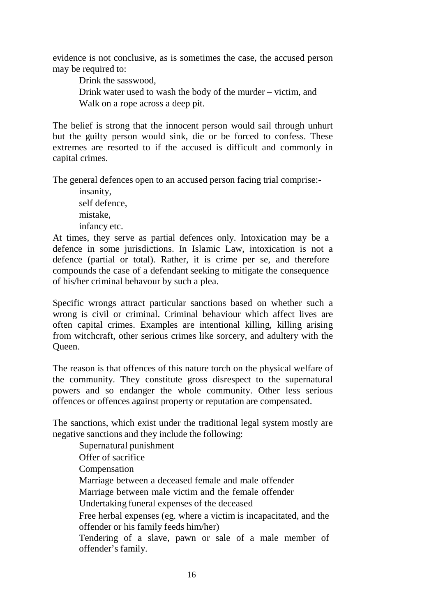evidence is not conclusive, as is sometimes the case, the accused person may be required to:

Drink the sasswood,

Drink water used to wash the body of the murder – victim, and Walk on a rope across a deep pit.

The belief is strong that the innocent person would sail through unhurt but the guilty person would sink, die or be forced to confess. These extremes are resorted to if the accused is difficult and commonly in capital crimes.

The general defences open to an accused person facing trial comprise:-

insanity, self defence, mistake, infancy etc.

At times, they serve as partial defences only. Intoxication may be a defence in some jurisdictions. In Islamic Law, intoxication is not a defence (partial or total). Rather, it is crime per se, and therefore compounds the case of a defendant seeking to mitigate the consequence of his/her criminal behavour by such a plea.

Specific wrongs attract particular sanctions based on whether such a wrong is civil or criminal. Criminal behaviour which affect lives are often capital crimes. Examples are intentional killing, killing arising from witchcraft, other serious crimes like sorcery, and adultery with the Queen.

The reason is that offences of this nature torch on the physical welfare of the community. They constitute gross disrespect to the supernatural powers and so endanger the whole community. Other less serious offences or offences against property or reputation are compensated.

The sanctions, which exist under the traditional legal system mostly are negative sanctions and they include the following:

Supernatural punishment Offer of sacrifice Compensation Marriage between a deceased female and male offender Marriage between male victim and the female offender Undertaking funeral expenses of the deceased Free herbal expenses (eg. where a victim is incapacitated, and the offender or his family feeds him/her) Tendering of a slave, pawn or sale of a male member of offender's family.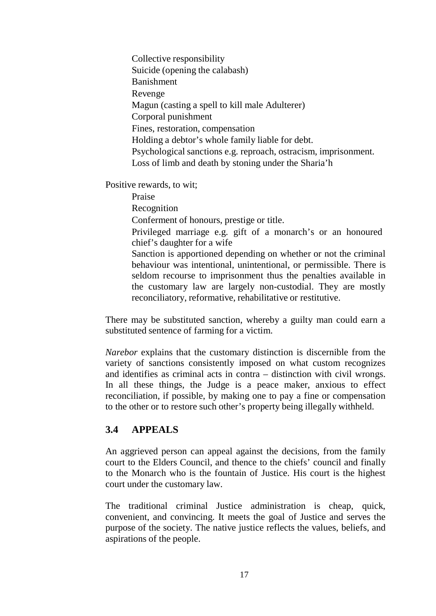Collective responsibility Suicide (opening the calabash) Banishment Revenge Magun (casting a spell to kill male Adulterer) Corporal punishment Fines, restoration, compensation Holding a debtor's whole family liable for debt. Psychological sanctions e.g. reproach, ostracism, imprisonment. Loss of limb and death by stoning under the Sharia'h

Positive rewards, to wit;

Praise Recognition Conferment of honours, prestige or title. Privileged marriage e.g. gift of a monarch's or an honoured chief's daughter for a wife Sanction is apportioned depending on whether or not the criminal behaviour was intentional, unintentional, or permissible. There is seldom recourse to imprisonment thus the penalties available in the customary law are largely non-custodial. They are mostly reconciliatory, reformative, rehabilitative or restitutive.

There may be substituted sanction, whereby a guilty man could earn a substituted sentence of farming for a victim.

*Narebor* explains that the customary distinction is discernible from the variety of sanctions consistently imposed on what custom recognizes and identifies as criminal acts in contra – distinction with civil wrongs. In all these things, the Judge is a peace maker, anxious to effect reconciliation, if possible, by making one to pay a fine or compensation to the other or to restore such other's property being illegally withheld.

## **3.4 APPEALS**

An aggrieved person can appeal against the decisions, from the family court to the Elders Council, and thence to the chiefs' council and finally to the Monarch who is the fountain of Justice. His court is the highest court under the customary law.

The traditional criminal Justice administration is cheap, quick, convenient, and convincing. It meets the goal of Justice and serves the purpose of the society. The native justice reflects the values, beliefs, and aspirations of the people.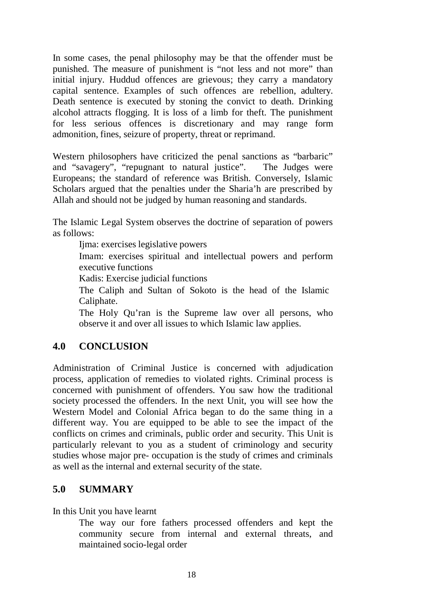In some cases, the penal philosophy may be that the offender must be punished. The measure of punishment is "not less and not more" than initial injury. Huddud offences are grievous; they carry a mandatory capital sentence. Examples of such offences are rebellion, adultery. Death sentence is executed by stoning the convict to death. Drinking alcohol attracts flogging. It is loss of a limb for theft. The punishment for less serious offences is discretionary and may range form admonition, fines, seizure of property, threat or reprimand.

Western philosophers have criticized the penal sanctions as "barbaric" and "savagery", "repugnant to natural justice". The Judges were Europeans; the standard of reference was British. Conversely, Islamic Scholars argued that the penalties under the Sharia'h are prescribed by Allah and should not be judged by human reasoning and standards.

The Islamic Legal System observes the doctrine of separation of powers as follows:

Ijma: exercises legislative powers

Imam: exercises spiritual and intellectual powers and perform executive functions

Kadis: Exercise judicial functions

The Caliph and Sultan of Sokoto is the head of the Islamic Caliphate.

The Holy Qu'ran is the Supreme law over all persons, who observe it and over all issues to which Islamic law applies.

## **4.0 CONCLUSION**

Administration of Criminal Justice is concerned with adjudication process, application of remedies to violated rights. Criminal process is concerned with punishment of offenders. You saw how the traditional society processed the offenders. In the next Unit, you will see how the Western Model and Colonial Africa began to do the same thing in a different way. You are equipped to be able to see the impact of the conflicts on crimes and criminals, public order and security. This Unit is particularly relevant to you as a student of criminology and security studies whose major pre- occupation is the study of crimes and criminals as well as the internal and external security of the state.

#### **5.0 SUMMARY**

In this Unit you have learnt

The way our fore fathers processed offenders and kept the community secure from internal and external threats, and maintained socio-legal order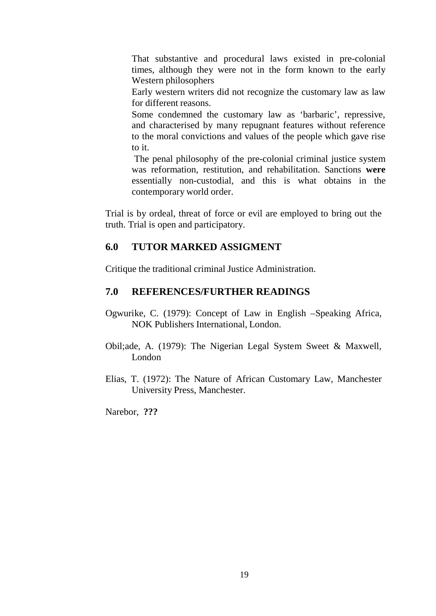That substantive and procedural laws existed in pre-colonial times, although they were not in the form known to the early Western philosophers

Early western writers did not recognize the customary law as law for different reasons.

Some condemned the customary law as 'barbaric', repressive, and characterised by many repugnant features without reference to the moral convictions and values of the people which gave rise to it.

The penal philosophy of the pre-colonial criminal justice system was reformation, restitution, and rehabilitation. Sanctions **were**  essentially non-custodial, and this is what obtains in the contemporary world order.

Trial is by ordeal, threat of force or evil are employed to bring out the truth. Trial is open and participatory.

#### **6.0 TUTOR MARKED ASSIGMENT**

Critique the traditional criminal Justice Administration.

#### **7.0 REFERENCES/FURTHER READINGS**

- Ogwurike, C. (1979): Concept of Law in English –Speaking Africa, NOK Publishers International, London.
- Obil;ade, A. (1979): The Nigerian Legal System Sweet & Maxwell, London
- Elias, T. (1972): The Nature of African Customary Law, Manchester University Press, Manchester.

Narebor, **???**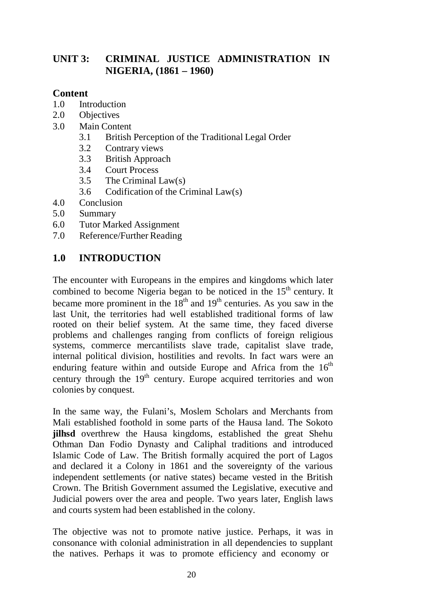# **UNIT 3: CRIMINAL JUSTICE ADMINISTRATION IN NIGERIA, (1861 – 1960)**

#### **Content**

- 1.0 Introduction<br>2.0 Objectives
- **Objectives**
- 3.0 Main Content
	- 3.1 British Perception of the Traditional Legal Order
	- 3.2 Contrary views
	- 3.3 British Approach
	- 3.4 Court Process
	- 3.5 The Criminal Law(s)
	- 3.6 Codification of the Criminal Law(s)
- 4.0 Conclusion
- 5.0 Summary
- 6.0 Tutor Marked Assignment
- 7.0 Reference/Further Reading

# **1.0 INTRODUCTION**

The encounter with Europeans in the empires and kingdoms which later combined to become Nigeria began to be noticed in the  $15<sup>th</sup>$  century. It became more prominent in the  $18<sup>th</sup>$  and  $19<sup>th</sup>$  centuries. As you saw in the last Unit, the territories had well established traditional forms of law rooted on their belief system. At the same time, they faced diverse problems and challenges ranging from conflicts of foreign religious systems, commerce mercantilists slave trade, capitalist slave trade, internal political division, hostilities and revolts. In fact wars were an enduring feature within and outside Europe and Africa from the  $16<sup>th</sup>$ century through the  $19<sup>th</sup>$  century. Europe acquired territories and won colonies by conquest.

In the same way, the Fulani's, Moslem Scholars and Merchants from Mali established foothold in some parts of the Hausa land. The Sokoto **jilhsd** overthrew the Hausa kingdoms, established the great Shehu Othman Dan Fodio Dynasty and Caliphal traditions and introduced Islamic Code of Law. The British formally acquired the port of Lagos and declared it a Colony in 1861 and the sovereignty of the various independent settlements (or native states) became vested in the British Crown. The British Government assumed the Legislative, executive and Judicial powers over the area and people. Two years later, English laws and courts system had been established in the colony.

The objective was not to promote native justice. Perhaps, it was in consonance with colonial administration in all dependencies to supplant the natives. Perhaps it was to promote efficiency and economy or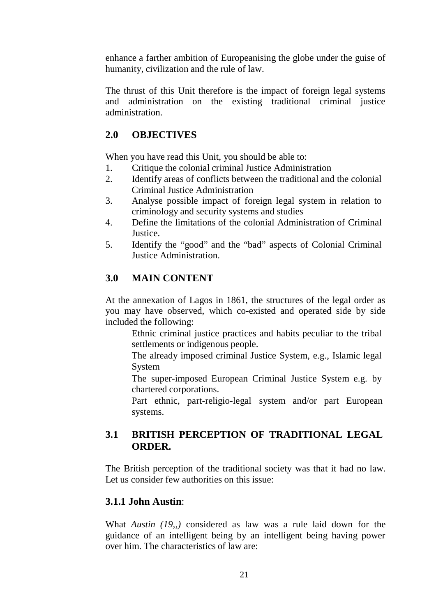enhance a farther ambition of Europeanising the globe under the guise of humanity, civilization and the rule of law.

The thrust of this Unit therefore is the impact of foreign legal systems and administration on the existing traditional criminal justice administration.

# **2.0 OBJECTIVES**

When you have read this Unit, you should be able to:

- 1. Critique the colonial criminal Justice Administration
- 2. Identify areas of conflicts between the traditional and the colonial Criminal Justice Administration
- 3. Analyse possible impact of foreign legal system in relation to criminology and security systems and studies
- 4. Define the limitations of the colonial Administration of Criminal Justice.
- 5. Identify the "good" and the "bad" aspects of Colonial Criminal Justice Administration.

# **3.0 MAIN CONTENT**

At the annexation of Lagos in 1861, the structures of the legal order as you may have observed, which co-existed and operated side by side included the following:

Ethnic criminal justice practices and habits peculiar to the tribal settlements or indigenous people.

The already imposed criminal Justice System, e.g., Islamic legal System

The super-imposed European Criminal Justice System e.g. by chartered corporations.

Part ethnic, part-religio-legal system and/or part European systems.

# **3.1 BRITISH PERCEPTION OF TRADITIONAL LEGAL ORDER.**

The British perception of the traditional society was that it had no law. Let us consider few authorities on this issue:

## **3.1.1 John Austin**:

What *Austin (19,,)* considered as law was a rule laid down for the guidance of an intelligent being by an intelligent being having power over him. The characteristics of law are: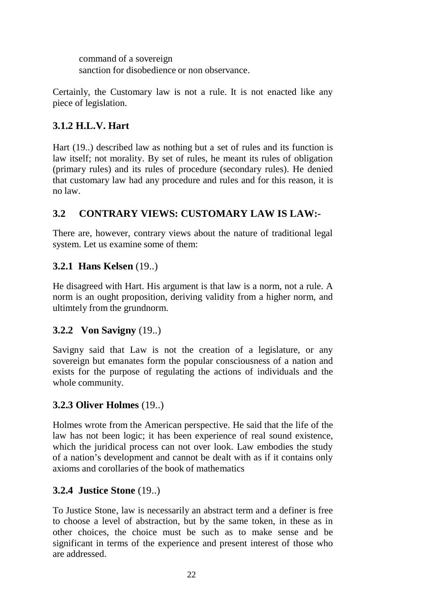command of a sovereign sanction for disobedience or non observance.

Certainly, the Customary law is not a rule. It is not enacted like any piece of legislation.

# **3.1.2 H.L.V. Hart**

Hart (19..) described law as nothing but a set of rules and its function is law itself; not morality. By set of rules, he meant its rules of obligation (primary rules) and its rules of procedure (secondary rules). He denied that customary law had any procedure and rules and for this reason, it is no law.

# **3.2 CONTRARY VIEWS: CUSTOMARY LAW IS LAW:-**

There are, however, contrary views about the nature of traditional legal system. Let us examine some of them:

# **3.2.1 Hans Kelsen** (19..)

He disagreed with Hart. His argument is that law is a norm, not a rule. A norm is an ought proposition, deriving validity from a higher norm, and ultimtely from the grundnorm.

## **3.2.2 Von Savigny** (19..)

Savigny said that Law is not the creation of a legislature, or any sovereign but emanates form the popular consciousness of a nation and exists for the purpose of regulating the actions of individuals and the whole community.

## **3.2.3 Oliver Holmes** (19..)

Holmes wrote from the American perspective. He said that the life of the law has not been logic; it has been experience of real sound existence, which the juridical process can not over look. Law embodies the study of a nation's development and cannot be dealt with as if it contains only axioms and corollaries of the book of mathematics

## **3.2.4 Justice Stone** (19..)

To Justice Stone, law is necessarily an abstract term and a definer is free to choose a level of abstraction, but by the same token, in these as in other choices, the choice must be such as to make sense and be significant in terms of the experience and present interest of those who are addressed.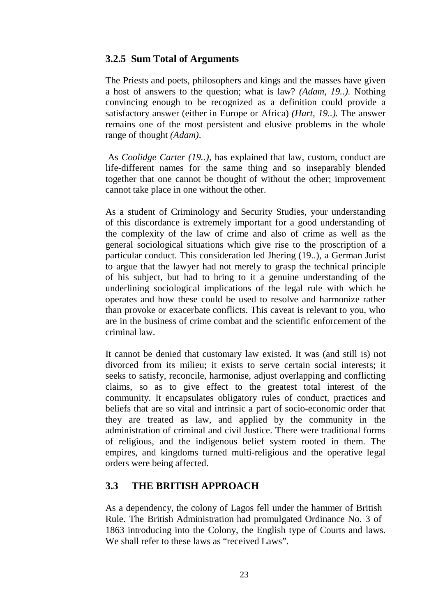#### **3.2.5 Sum Total of Arguments**

The Priests and poets, philosophers and kings and the masses have given a host of answers to the question; what is law? *(Adam, 19..).* Nothing convincing enough to be recognized as a definition could provide a satisfactory answer (either in Europe or Africa) *(Hart, 19..).* The answer remains one of the most persistent and elusive problems in the whole range of thought *(Adam)*.

As *Coolidge Carter (19..),* has explained that law, custom, conduct are life-different names for the same thing and so inseparably blended together that one cannot be thought of without the other; improvement cannot take place in one without the other.

As a student of Criminology and Security Studies, your understanding of this discordance is extremely important for a good understanding of the complexity of the law of crime and also of crime as well as the general sociological situations which give rise to the proscription of a particular conduct. This consideration led Jhering (19..), a German Jurist to argue that the lawyer had not merely to grasp the technical principle of his subject, but had to bring to it a genuine understanding of the underlining sociological implications of the legal rule with which he operates and how these could be used to resolve and harmonize rather than provoke or exacerbate conflicts. This caveat is relevant to you, who are in the business of crime combat and the scientific enforcement of the criminal law.

It cannot be denied that customary law existed. It was (and still is) not divorced from its milieu; it exists to serve certain social interests; it seeks to satisfy, reconcile, harmonise, adjust overlapping and conflicting claims, so as to give effect to the greatest total interest of the community. It encapsulates obligatory rules of conduct, practices and beliefs that are so vital and intrinsic a part of socio-economic order that they are treated as law, and applied by the community in the administration of criminal and civil Justice. There were traditional forms of religious, and the indigenous belief system rooted in them. The empires, and kingdoms turned multi-religious and the operative legal orders were being affected.

## **3.3 THE BRITISH APPROACH**

As a dependency, the colony of Lagos fell under the hammer of British Rule. The British Administration had promulgated Ordinance No. 3 of 1863 introducing into the Colony, the English type of Courts and laws. We shall refer to these laws as "received Laws".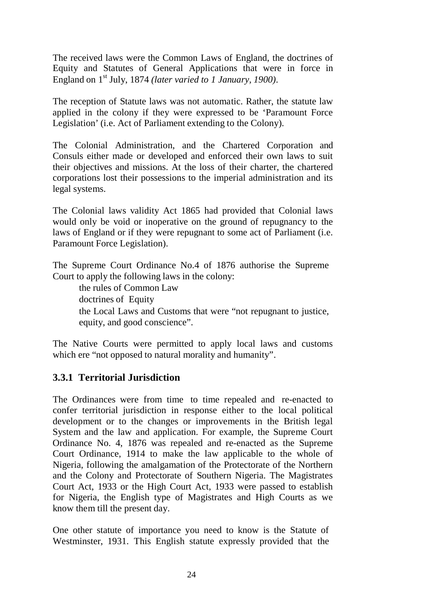The received laws were the Common Laws of England, the doctrines of Equity and Statutes of General Applications that were in force in England on 1st July, 1874 *(later varied to 1 January, 1900)*.

The reception of Statute laws was not automatic. Rather, the statute law applied in the colony if they were expressed to be 'Paramount Force Legislation' (i.e. Act of Parliament extending to the Colony).

The Colonial Administration, and the Chartered Corporation and Consuls either made or developed and enforced their own laws to suit their objectives and missions. At the loss of their charter, the chartered corporations lost their possessions to the imperial administration and its legal systems.

The Colonial laws validity Act 1865 had provided that Colonial laws would only be void or inoperative on the ground of repugnancy to the laws of England or if they were repugnant to some act of Parliament (i.e. Paramount Force Legislation).

The Supreme Court Ordinance No.4 of 1876 authorise the Supreme Court to apply the following laws in the colony:

the rules of Common Law doctrines of Equity the Local Laws and Customs that were "not repugnant to justice, equity, and good conscience".

The Native Courts were permitted to apply local laws and customs which ere "not opposed to natural morality and humanity".

## **3.3.1 Territorial Jurisdiction**

The Ordinances were from time to time repealed and re-enacted to confer territorial jurisdiction in response either to the local political development or to the changes or improvements in the British legal System and the law and application. For example, the Supreme Court Ordinance No. 4, 1876 was repealed and re-enacted as the Supreme Court Ordinance, 1914 to make the law applicable to the whole of Nigeria, following the amalgamation of the Protectorate of the Northern and the Colony and Protectorate of Southern Nigeria. The Magistrates Court Act, 1933 or the High Court Act, 1933 were passed to establish for Nigeria, the English type of Magistrates and High Courts as we know them till the present day.

One other statute of importance you need to know is the Statute of Westminster, 1931. This English statute expressly provided that the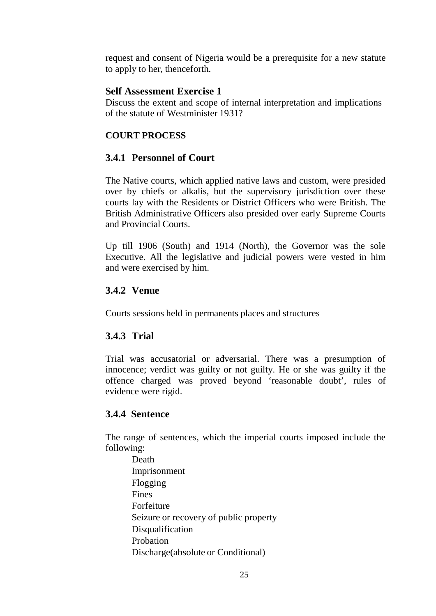request and consent of Nigeria would be a prerequisite for a new statute to apply to her, thenceforth.

#### **Self Assessment Exercise 1**

Discuss the extent and scope of internal interpretation and implications of the statute of Westminister 1931?

#### **COURT PROCESS**

## **3.4.1 Personnel of Court**

The Native courts, which applied native laws and custom, were presided over by chiefs or alkalis, but the supervisory jurisdiction over these courts lay with the Residents or District Officers who were British. The British Administrative Officers also presided over early Supreme Courts and Provincial Courts.

Up till 1906 (South) and 1914 (North), the Governor was the sole Executive. All the legislative and judicial powers were vested in him and were exercised by him.

#### **3.4.2 Venue**

Courts sessions held in permanents places and structures

## **3.4.3 Trial**

Trial was accusatorial or adversarial. There was a presumption of innocence; verdict was guilty or not guilty. He or she was guilty if the offence charged was proved beyond 'reasonable doubt', rules of evidence were rigid.

## **3.4.4 Sentence**

The range of sentences, which the imperial courts imposed include the following:

Death Imprisonment Flogging Fines Forfeiture Seizure or recovery of public property Disqualification Probation Discharge(absolute or Conditional)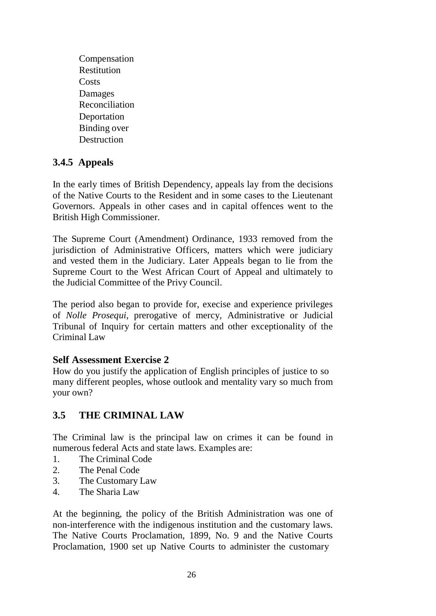Compensation Restitution **Costs** Damages Reconciliation Deportation Binding over Destruction

# **3.4.5 Appeals**

In the early times of British Dependency, appeals lay from the decisions of the Native Courts to the Resident and in some cases to the Lieutenant Governors. Appeals in other cases and in capital offences went to the British High Commissioner.

The Supreme Court (Amendment) Ordinance, 1933 removed from the jurisdiction of Administrative Officers, matters which were judiciary and vested them in the Judiciary. Later Appeals began to lie from the Supreme Court to the West African Court of Appeal and ultimately to the Judicial Committee of the Privy Council.

The period also began to provide for, execise and experience privileges of *Nolle Prosequi*, prerogative of mercy, Administrative or Judicial Tribunal of Inquiry for certain matters and other exceptionality of the Criminal Law

#### **Self Assessment Exercise 2**

How do you justify the application of English principles of justice to so many different peoples, whose outlook and mentality vary so much from your own?

# **3.5 THE CRIMINAL LAW**

The Criminal law is the principal law on crimes it can be found in numerous federal Acts and state laws. Examples are:

- 1. The Criminal Code
- 2. The Penal Code
- 3. The Customary Law
- 4. The Sharia Law

At the beginning, the policy of the British Administration was one of non-interference with the indigenous institution and the customary laws. The Native Courts Proclamation, 1899, No. 9 and the Native Courts Proclamation, 1900 set up Native Courts to administer the customary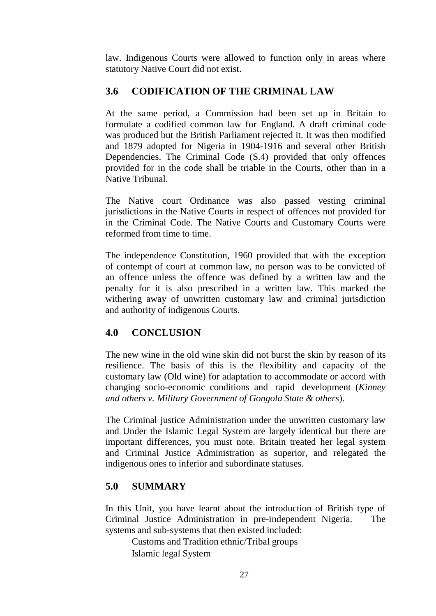law. Indigenous Courts were allowed to function only in areas where statutory Native Court did not exist.

# **3.6 CODIFICATION OF THE CRIMINAL LAW**

At the same period, a Commission had been set up in Britain to formulate a codified common law for England. A draft criminal code was produced but the British Parliament rejected it. It was then modified and 1879 adopted for Nigeria in 1904-1916 and several other British Dependencies. The Criminal Code (S.4) provided that only offences provided for in the code shall be triable in the Courts, other than in a Native Tribunal.

The Native court Ordinance was also passed vesting criminal jurisdictions in the Native Courts in respect of offences not provided for in the Criminal Code. The Native Courts and Customary Courts were reformed from time to time.

The independence Constitution, 1960 provided that with the exception of contempt of court at common law, no person was to be convicted of an offence unless the offence was defined by a written law and the penalty for it is also prescribed in a written law. This marked the withering away of unwritten customary law and criminal jurisdiction and authority of indigenous Courts.

## **4.0 CONCLUSION**

The new wine in the old wine skin did not burst the skin by reason of its resilience. The basis of this is the flexibility and capacity of the customary law (Old wine) for adaptation to accommodate or accord with changing socio-economic conditions and rapid development (*Kinney and others v. Military Government of Gongola State & others*).

The Criminal justice Administration under the unwritten customary law and Under the Islamic Legal System are largely identical but there are important differences, you must note. Britain treated her legal system and Criminal Justice Administration as superior, and relegated the indigenous ones to inferior and subordinate statuses.

## **5.0 SUMMARY**

In this Unit, you have learnt about the introduction of British type of Criminal Justice Administration in pre-independent Nigeria. The systems and sub-systems that then existed included:

Customs and Tradition ethnic/Tribal groups Islamic legal System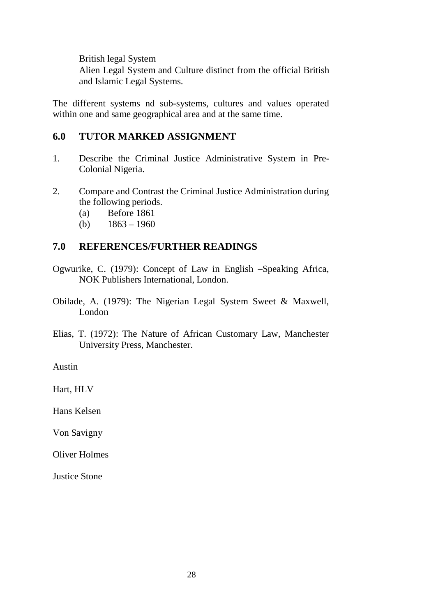British legal System

Alien Legal System and Culture distinct from the official British and Islamic Legal Systems.

The different systems nd sub-systems, cultures and values operated within one and same geographical area and at the same time.

#### **6.0 TUTOR MARKED ASSIGNMENT**

- 1. Describe the Criminal Justice Administrative System in Pre-Colonial Nigeria.
- 2. Compare and Contrast the Criminal Justice Administration during the following periods.
	- (a) Before 1861
	- (b)  $1863 1960$

#### **7.0 REFERENCES/FURTHER READINGS**

- Ogwurike, C. (1979): Concept of Law in English –Speaking Africa, NOK Publishers International, London.
- Obilade, A. (1979): The Nigerian Legal System Sweet & Maxwell, London
- Elias, T. (1972): The Nature of African Customary Law, Manchester University Press, Manchester.

Austin

Hart, HLV

Hans Kelsen

Von Savigny

Oliver Holmes

Justice Stone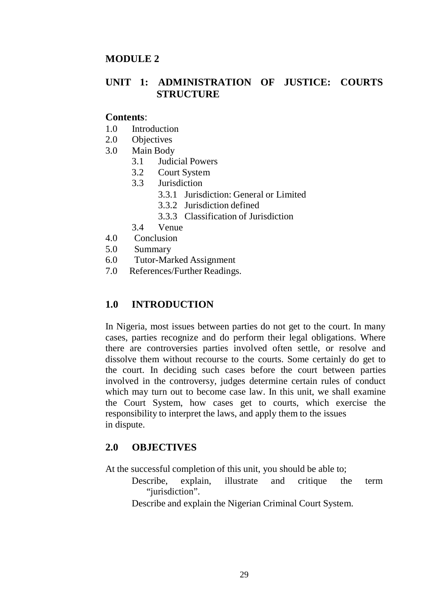#### **MODULE 2**

## **UNIT 1: ADMINISTRATION OF JUSTICE: COURTS STRUCTURE**

#### **Contents**:

- 1.0 Introduction
- 2.0 Objectives
- 3.0 Main Body
	- 3.1 Judicial Powers
	- 3.2 Court System
	- 3.3 Jurisdiction
		- 3.3.1 Jurisdiction: General or Limited
		- 3.3.2 Jurisdiction defined
		- 3.3.3 Classification of Jurisdiction
	- 3.4 Venue
- 4.0 Conclusion
- 5.0 Summary
- 6.0 Tutor-Marked Assignment
- 7.0 References/Further Readings.

## **1.0 INTRODUCTION**

In Nigeria, most issues between parties do not get to the court. In many cases, parties recognize and do perform their legal obligations. Where there are controversies parties involved often settle, or resolve and dissolve them without recourse to the courts. Some certainly do get to the court. In deciding such cases before the court between parties involved in the controversy, judges determine certain rules of conduct which may turn out to become case law. In this unit, we shall examine the Court System, how cases get to courts, which exercise the responsibility to interpret the laws, and apply them to the issues in dispute.

#### **2.0 OBJECTIVES**

At the successful completion of this unit, you should be able to;

- Describe, explain, illustrate and critique the term "jurisdiction".
- Describe and explain the Nigerian Criminal Court System.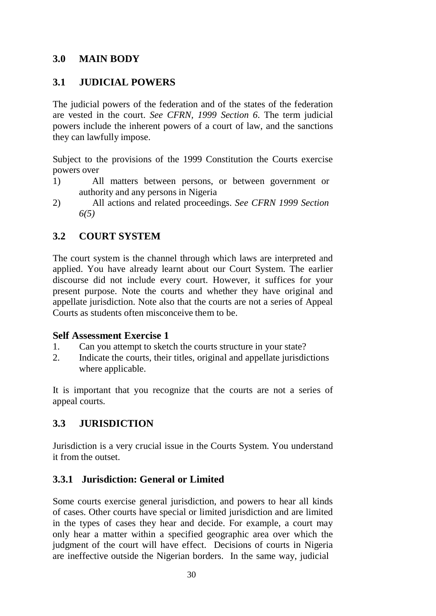## **3.0 MAIN BODY**

# **3.1 JUDICIAL POWERS**

The judicial powers of the federation and of the states of the federation are vested in the court. *See CFRN, 1999 Section 6*. The term judicial powers include the inherent powers of a court of law, and the sanctions they can lawfully impose.

Subject to the provisions of the 1999 Constitution the Courts exercise powers over

- 1) All matters between persons, or between government or authority and any persons in Nigeria
- 2) All actions and related proceedings. *See CFRN 1999 Section 6(5)*

# **3.2 COURT SYSTEM**

The court system is the channel through which laws are interpreted and applied. You have already learnt about our Court System. The earlier discourse did not include every court. However, it suffices for your present purpose. Note the courts and whether they have original and appellate jurisdiction. Note also that the courts are not a series of Appeal Courts as students often misconceive them to be.

#### **Self Assessment Exercise 1**

- 1. Can you attempt to sketch the courts structure in your state?
- 2. Indicate the courts, their titles, original and appellate jurisdictions where applicable.

It is important that you recognize that the courts are not a series of appeal courts.

## **3.3 JURISDICTION**

Jurisdiction is a very crucial issue in the Courts System. You understand it from the outset.

# **3.3.1 Jurisdiction: General or Limited**

Some courts exercise general jurisdiction, and powers to hear all kinds of cases. Other courts have special or limited jurisdiction and are limited in the types of cases they hear and decide. For example, a court may only hear a matter within a specified geographic area over which the judgment of the court will have effect. Decisions of courts in Nigeria are ineffective outside the Nigerian borders. In the same way, judicial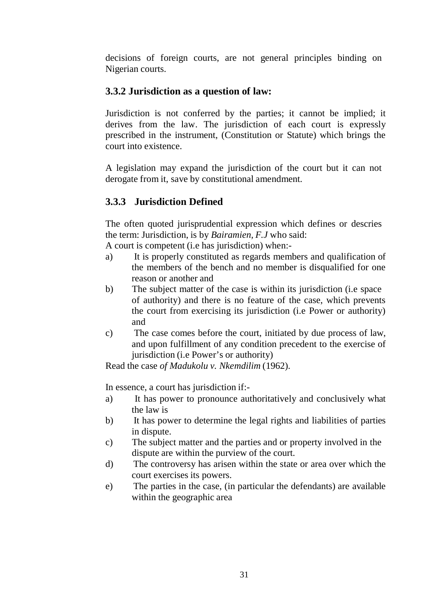decisions of foreign courts, are not general principles binding on Nigerian courts.

# **3.3.2 Jurisdiction as a question of law:**

Jurisdiction is not conferred by the parties; it cannot be implied; it derives from the law. The jurisdiction of each court is expressly prescribed in the instrument, (Constitution or Statute) which brings the court into existence.

A legislation may expand the jurisdiction of the court but it can not derogate from it, save by constitutional amendment.

# **3.3.3 Jurisdiction Defined**

The often quoted jurisprudential expression which defines or descries the term: Jurisdiction, is by *Bairamien, F.J* who said:

A court is competent (i.e has jurisdiction) when:-

- a) It is properly constituted as regards members and qualification of the members of the bench and no member is disqualified for one reason or another and
- b) The subject matter of the case is within its jurisdiction (i.e space of authority) and there is no feature of the case, which prevents the court from exercising its jurisdiction (i.e Power or authority) and
- c) The case comes before the court, initiated by due process of law, and upon fulfillment of any condition precedent to the exercise of jurisdiction (i.e Power's or authority)

Read the case *of Madukolu v. Nkemdilim* (1962).

In essence, a court has jurisdiction if:-

- a) It has power to pronounce authoritatively and conclusively what the law is
- b) It has power to determine the legal rights and liabilities of parties in dispute.
- c) The subject matter and the parties and or property involved in the dispute are within the purview of the court.
- d) The controversy has arisen within the state or area over which the court exercises its powers.
- e) The parties in the case, (in particular the defendants) are available within the geographic area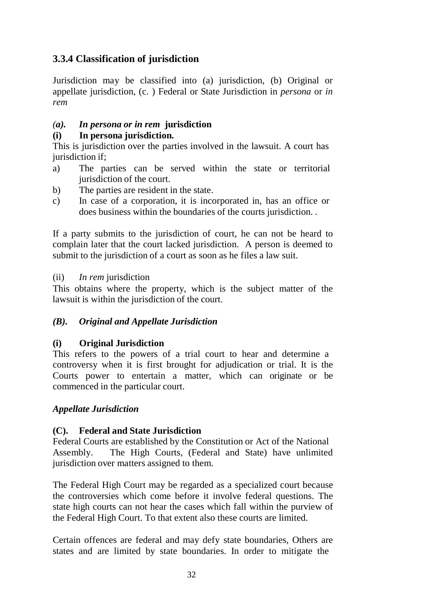# **3.3.4 Classification of jurisdiction**

Jurisdiction may be classified into (a) jurisdiction, (b) Original or appellate jurisdiction, (c. ) Federal or State Jurisdiction in *persona* or *in rem*

#### *(a). In persona or in rem* **jurisdiction**

#### **(i) In persona jurisdiction.**

This is jurisdiction over the parties involved in the lawsuit. A court has jurisdiction if:

- a) The parties can be served within the state or territorial jurisdiction of the court.
- b) The parties are resident in the state.
- c) In case of a corporation, it is incorporated in, has an office or does business within the boundaries of the courts jurisdiction. .

If a party submits to the jurisdiction of court, he can not be heard to complain later that the court lacked jurisdiction. A person is deemed to submit to the jurisdiction of a court as soon as he files a law suit.

(ii) *In rem* jurisdiction

This obtains where the property, which is the subject matter of the lawsuit is within the jurisdiction of the court.

## *(B). Original and Appellate Jurisdiction*

## **(i) Original Jurisdiction**

This refers to the powers of a trial court to hear and determine a controversy when it is first brought for adjudication or trial. It is the Courts power to entertain a matter, which can originate or be commenced in the particular court.

#### *Appellate Jurisdiction*

#### **(C). Federal and State Jurisdiction**

Federal Courts are established by the Constitution or Act of the National Assembly. The High Courts, (Federal and State) have unlimited jurisdiction over matters assigned to them.

The Federal High Court may be regarded as a specialized court because the controversies which come before it involve federal questions. The state high courts can not hear the cases which fall within the purview of the Federal High Court. To that extent also these courts are limited.

Certain offences are federal and may defy state boundaries, Others are states and are limited by state boundaries. In order to mitigate the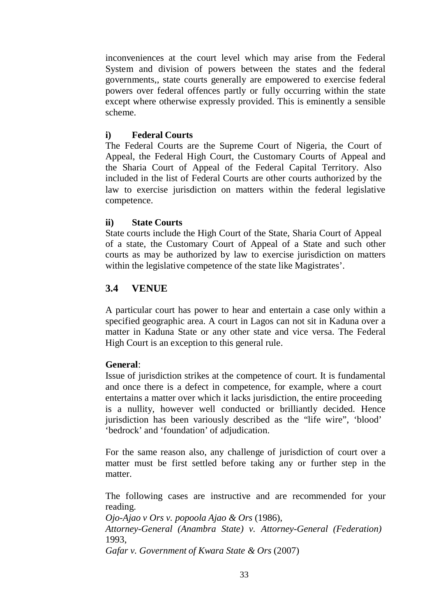inconveniences at the court level which may arise from the Federal System and division of powers between the states and the federal governments,, state courts generally are empowered to exercise federal powers over federal offences partly or fully occurring within the state except where otherwise expressly provided. This is eminently a sensible scheme.

#### **i) Federal Courts**

The Federal Courts are the Supreme Court of Nigeria, the Court of Appeal, the Federal High Court, the Customary Courts of Appeal and the Sharia Court of Appeal of the Federal Capital Territory. Also included in the list of Federal Courts are other courts authorized by the law to exercise jurisdiction on matters within the federal legislative competence.

#### **ii) State Courts**

State courts include the High Court of the State, Sharia Court of Appeal of a state, the Customary Court of Appeal of a State and such other courts as may be authorized by law to exercise jurisdiction on matters within the legislative competence of the state like Magistrates'.

# **3.4 VENUE**

A particular court has power to hear and entertain a case only within a specified geographic area. A court in Lagos can not sit in Kaduna over a matter in Kaduna State or any other state and vice versa. The Federal High Court is an exception to this general rule.

## **General**:

Issue of jurisdiction strikes at the competence of court. It is fundamental and once there is a defect in competence, for example, where a court entertains a matter over which it lacks jurisdiction, the entire proceeding is a nullity, however well conducted or brilliantly decided. Hence jurisdiction has been variously described as the "life wire", 'blood' 'bedrock' and 'foundation' of adjudication.

For the same reason also, any challenge of jurisdiction of court over a matter must be first settled before taking any or further step in the matter.

The following cases are instructive and are recommended for your reading.

*Ojo-Ajao v Ors v. popoola Ajao & Ors* (1986),

*Attorney-General (Anambra State) v. Attorney-General (Federation)* 1993,

*Gafar v. Government of Kwara State & Ors* (2007)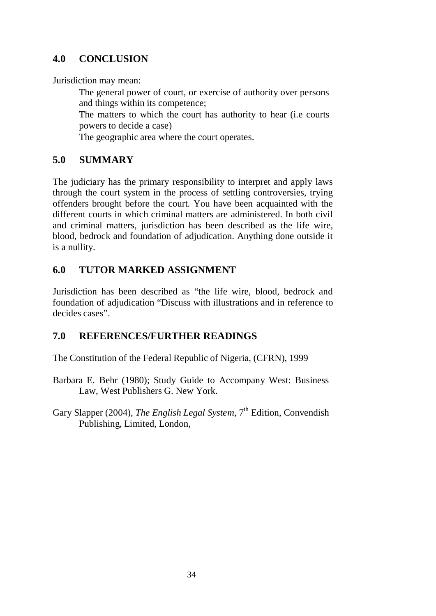# **4.0 CONCLUSION**

Jurisdiction may mean:

The general power of court, or exercise of authority over persons and things within its competence;

The matters to which the court has authority to hear (i.e courts powers to decide a case)

The geographic area where the court operates.

## **5.0 SUMMARY**

The judiciary has the primary responsibility to interpret and apply laws through the court system in the process of settling controversies, trying offenders brought before the court. You have been acquainted with the different courts in which criminal matters are administered. In both civil and criminal matters, jurisdiction has been described as the life wire, blood, bedrock and foundation of adjudication. Anything done outside it is a nullity.

## **6.0 TUTOR MARKED ASSIGNMENT**

Jurisdiction has been described as "the life wire, blood, bedrock and foundation of adjudication "Discuss with illustrations and in reference to decides cases".

## **7.0 REFERENCES/FURTHER READINGS**

The Constitution of the Federal Republic of Nigeria, (CFRN), 1999

- Barbara E. Behr (1980); Study Guide to Accompany West: Business Law, West Publishers G. New York.
- Gary Slapper (2004), *The English Legal System*,  $7<sup>th</sup>$  Edition, Convendish Publishing, Limited, London,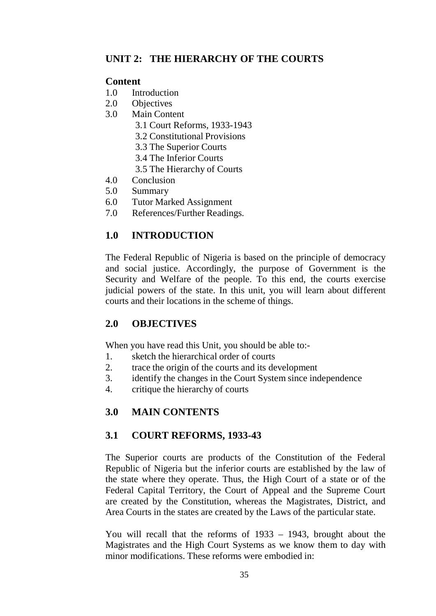# **UNIT 2: THE HIERARCHY OF THE COURTS**

#### **Content**

- 1.0 Introduction
- 2.0 Objectives
- 3.0 Main Content
	- 3.1 Court Reforms, 1933-1943
	- 3.2 Constitutional Provisions
	- 3.3 The Superior Courts
	- 3.4 The Inferior Courts
	- 3.5 The Hierarchy of Courts
- 4.0 Conclusion
- 5.0 Summary
- 6.0 Tutor Marked Assignment
- 7.0 References/Further Readings.

# **1.0 INTRODUCTION**

The Federal Republic of Nigeria is based on the principle of democracy and social justice. Accordingly, the purpose of Government is the Security and Welfare of the people. To this end, the courts exercise judicial powers of the state. In this unit, you will learn about different courts and their locations in the scheme of things.

## **2.0 OBJECTIVES**

When you have read this Unit, you should be able to:-

- 1. sketch the hierarchical order of courts
- 2. trace the origin of the courts and its development
- 3. identify the changes in the Court System since independence
- 4. critique the hierarchy of courts

# **3.0 MAIN CONTENTS**

## **3.1 COURT REFORMS, 1933-43**

The Superior courts are products of the Constitution of the Federal Republic of Nigeria but the inferior courts are established by the law of the state where they operate. Thus, the High Court of a state or of the Federal Capital Territory, the Court of Appeal and the Supreme Court are created by the Constitution, whereas the Magistrates, District, and Area Courts in the states are created by the Laws of the particular state.

You will recall that the reforms of 1933 – 1943, brought about the Magistrates and the High Court Systems as we know them to day with minor modifications. These reforms were embodied in: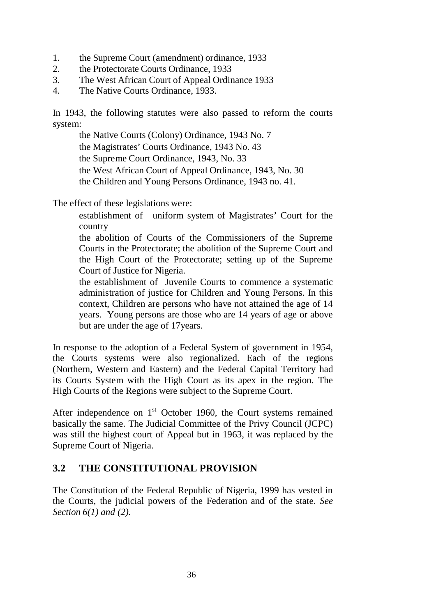- 1. the Supreme Court (amendment) ordinance, 1933
- 2. the Protectorate Courts Ordinance, 1933
- 3. The West African Court of Appeal Ordinance 1933
- 4. The Native Courts Ordinance, 1933.

In 1943, the following statutes were also passed to reform the courts system:

the Native Courts (Colony) Ordinance, 1943 No. 7 the Magistrates' Courts Ordinance, 1943 No. 43 the Supreme Court Ordinance, 1943, No. 33 the West African Court of Appeal Ordinance, 1943, No. 30 the Children and Young Persons Ordinance, 1943 no. 41.

The effect of these legislations were:

establishment of uniform system of Magistrates' Court for the country

the abolition of Courts of the Commissioners of the Supreme Courts in the Protectorate; the abolition of the Supreme Court and the High Court of the Protectorate; setting up of the Supreme Court of Justice for Nigeria.

the establishment of Juvenile Courts to commence a systematic administration of justice for Children and Young Persons. In this context, Children are persons who have not attained the age of 14 years. Young persons are those who are 14 years of age or above but are under the age of 17years.

In response to the adoption of a Federal System of government in 1954, the Courts systems were also regionalized. Each of the regions (Northern, Western and Eastern) and the Federal Capital Territory had its Courts System with the High Court as its apex in the region. The High Courts of the Regions were subject to the Supreme Court.

After independence on  $1<sup>st</sup>$  October 1960, the Court systems remained basically the same. The Judicial Committee of the Privy Council (JCPC) was still the highest court of Appeal but in 1963, it was replaced by the Supreme Court of Nigeria.

## **3.2 THE CONSTITUTIONAL PROVISION**

The Constitution of the Federal Republic of Nigeria, 1999 has vested in the Courts, the judicial powers of the Federation and of the state. *See Section 6(1) and (2).*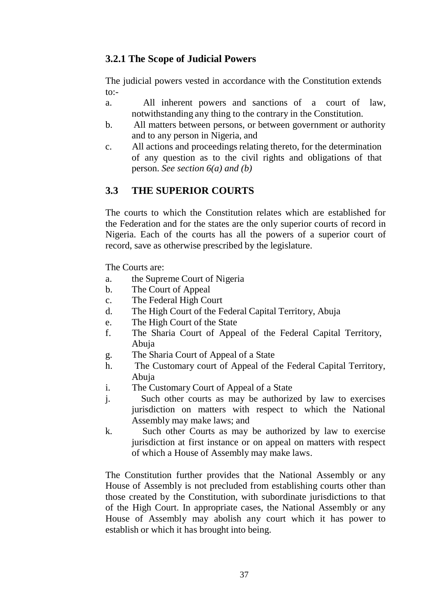## **3.2.1 The Scope of Judicial Powers**

The judicial powers vested in accordance with the Constitution extends to:-

- a. All inherent powers and sanctions of a court of law, notwithstanding any thing to the contrary in the Constitution.
- b. All matters between persons, or between government or authority and to any person in Nigeria, and
- c. All actions and proceedings relating thereto, for the determination of any question as to the civil rights and obligations of that person. *See section 6(a) and (b)*

# **3.3 THE SUPERIOR COURTS**

The courts to which the Constitution relates which are established for the Federation and for the states are the only superior courts of record in Nigeria. Each of the courts has all the powers of a superior court of record, save as otherwise prescribed by the legislature.

The Courts are:

- a. the Supreme Court of Nigeria
- b. The Court of Appeal
- c. The Federal High Court
- d. The High Court of the Federal Capital Territory, Abuja
- e. The High Court of the State
- f. The Sharia Court of Appeal of the Federal Capital Territory, Abuja
- g. The Sharia Court of Appeal of a State
- h. The Customary court of Appeal of the Federal Capital Territory, Abuja
- i. The Customary Court of Appeal of a State
- j. Such other courts as may be authorized by law to exercises jurisdiction on matters with respect to which the National Assembly may make laws; and
- k. Such other Courts as may be authorized by law to exercise jurisdiction at first instance or on appeal on matters with respect of which a House of Assembly may make laws.

The Constitution further provides that the National Assembly or any House of Assembly is not precluded from establishing courts other than those created by the Constitution, with subordinate jurisdictions to that of the High Court. In appropriate cases, the National Assembly or any House of Assembly may abolish any court which it has power to establish or which it has brought into being.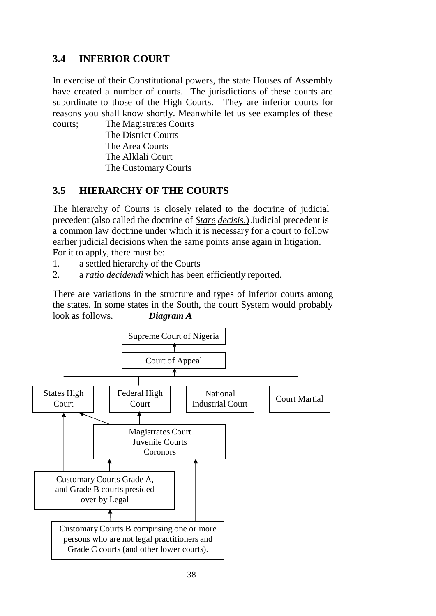# **3.4 INFERIOR COURT**

In exercise of their Constitutional powers, the state Houses of Assembly have created a number of courts. The jurisdictions of these courts are subordinate to those of the High Courts. They are inferior courts for reasons you shall know shortly. Meanwhile let us see examples of these courts; The Magistrates Courts

The District Courts The Area Courts The Alklali Court The Customary Courts

# **3.5 HIERARCHY OF THE COURTS**

The hierarchy of Courts is closely related to the doctrine of judicial precedent (also called the doctrine of *Stare decisis*.) Judicial precedent is a common law doctrine under which it is necessary for a court to follow earlier judicial decisions when the same points arise again in litigation. For it to apply, there must be:

- 1. a settled hierarchy of the Courts
- 2. a *ratio decidendi* which has been efficiently reported.

There are variations in the structure and types of inferior courts among the states. In some states in the South, the court System would probably look as follows. *Diagram A*

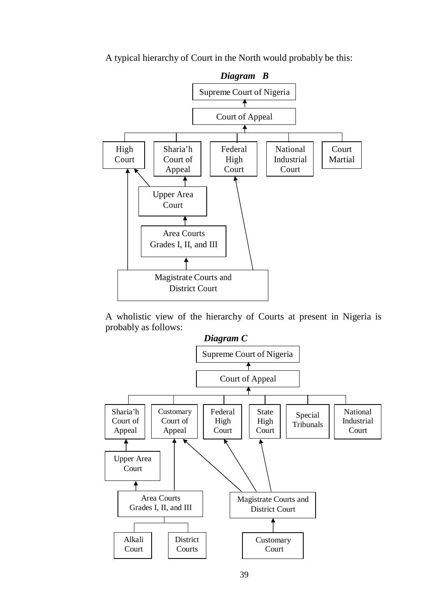A typical hierarchy of Court in the North would probably be this:



A wholistic view of the hierarchy of Courts at present in Nigeria is probably as follows:

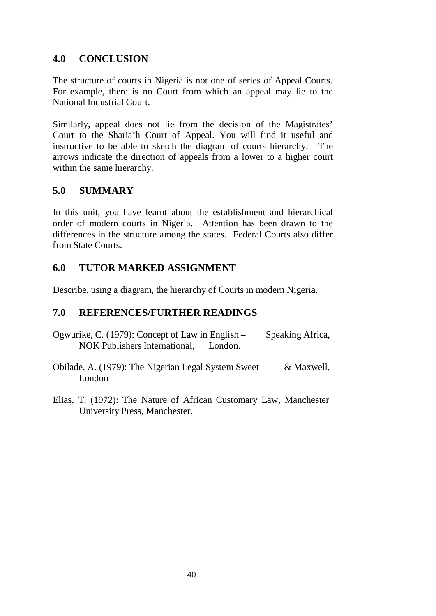## **4.0 CONCLUSION**

The structure of courts in Nigeria is not one of series of Appeal Courts. For example, there is no Court from which an appeal may lie to the National Industrial Court.

Similarly, appeal does not lie from the decision of the Magistrates' Court to the Sharia'h Court of Appeal. You will find it useful and instructive to be able to sketch the diagram of courts hierarchy. The arrows indicate the direction of appeals from a lower to a higher court within the same hierarchy.

## **5.0 SUMMARY**

In this unit, you have learnt about the establishment and hierarchical order of modern courts in Nigeria. Attention has been drawn to the differences in the structure among the states. Federal Courts also differ from State Courts.

## **6.0 TUTOR MARKED ASSIGNMENT**

Describe, using a diagram, the hierarchy of Courts in modern Nigeria.

## **7.0 REFERENCES/FURTHER READINGS**

- Ogwurike, C. (1979): Concept of Law in English Speaking Africa, NOK Publishers International, London.
- Obilade, A. (1979): The Nigerian Legal System Sweet & Maxwell, London
- Elias, T. (1972): The Nature of African Customary Law, Manchester University Press, Manchester.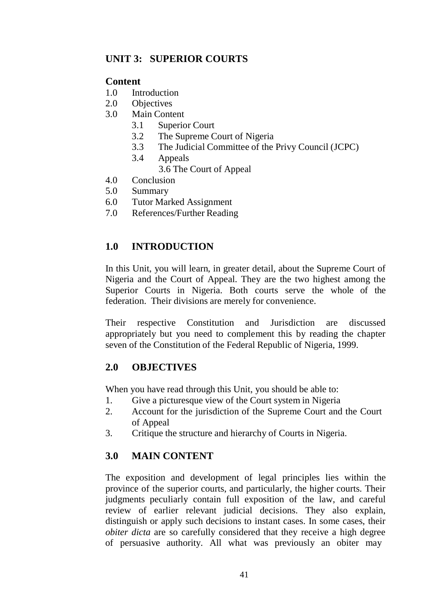## **UNIT 3: SUPERIOR COURTS**

### **Content**

- 1.0 Introduction
- 2.0 Objectives
- 3.0 Main Content
	- 3.1 Superior Court
	- 3.2 The Supreme Court of Nigeria
	- 3.3 The Judicial Committee of the Privy Council (JCPC)
	- 3.4 Appeals
		- 3.6 The Court of Appeal
- 4.0 Conclusion
- 5.0 Summary
- 6.0 Tutor Marked Assignment
- 7.0 References/Further Reading

## **1.0 INTRODUCTION**

In this Unit, you will learn, in greater detail, about the Supreme Court of Nigeria and the Court of Appeal. They are the two highest among the Superior Courts in Nigeria. Both courts serve the whole of the federation. Their divisions are merely for convenience.

Their respective Constitution and Jurisdiction are discussed appropriately but you need to complement this by reading the chapter seven of the Constitution of the Federal Republic of Nigeria, 1999.

## **2.0 OBJECTIVES**

When you have read through this Unit, you should be able to:

- 1. Give a picturesque view of the Court system in Nigeria
- 2. Account for the jurisdiction of the Supreme Court and the Court of Appeal
- 3. Critique the structure and hierarchy of Courts in Nigeria.

# **3.0 MAIN CONTENT**

The exposition and development of legal principles lies within the province of the superior courts, and particularly, the higher courts. Their judgments peculiarly contain full exposition of the law, and careful review of earlier relevant judicial decisions. They also explain, distinguish or apply such decisions to instant cases. In some cases, their *obiter dicta* are so carefully considered that they receive a high degree of persuasive authority. All what was previously an obiter may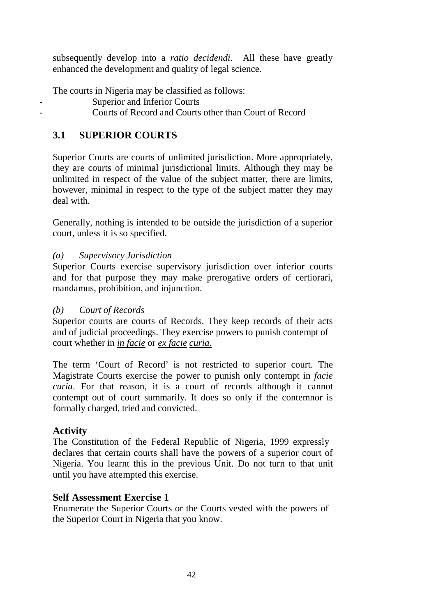subsequently develop into a *ratio decidendi*. All these have greatly enhanced the development and quality of legal science.

The courts in Nigeria may be classified as follows:

- Superior and Inferior Courts
	- Courts of Record and Courts other than Court of Record

## **3.1 SUPERIOR COURTS**

Superior Courts are courts of unlimited jurisdiction. More appropriately, they are courts of minimal jurisdictional limits. Although they may be unlimited in respect of the value of the subject matter, there are limits, however, minimal in respect to the type of the subject matter they may deal with.

Generally, nothing is intended to be outside the jurisdiction of a superior court, unless it is so specified.

### *(a) Supervisory Jurisdiction*

Superior Courts exercise supervisory jurisdiction over inferior courts and for that purpose they may make prerogative orders of certiorari, mandamus, prohibition, and injunction.

#### *(b) Court of Records*

Superior courts are courts of Records. They keep records of their acts and of judicial proceedings. They exercise powers to punish contempt of court whether in *in facie* or *ex facie curia*.

The term 'Court of Record' is not restricted to superior court. The Magistrate Courts exercise the power to punish only contempt in *facie curia*. For that reason, it is a court of records although it cannot contempt out of court summarily. It does so only if the contemnor is formally charged, tried and convicted.

## **Activity**

The Constitution of the Federal Republic of Nigeria, 1999 expressly declares that certain courts shall have the powers of a superior court of Nigeria. You learnt this in the previous Unit. Do not turn to that unit until you have attempted this exercise.

## **Self Assessment Exercise 1**

Enumerate the Superior Courts or the Courts vested with the powers of the Superior Court in Nigeria that you know.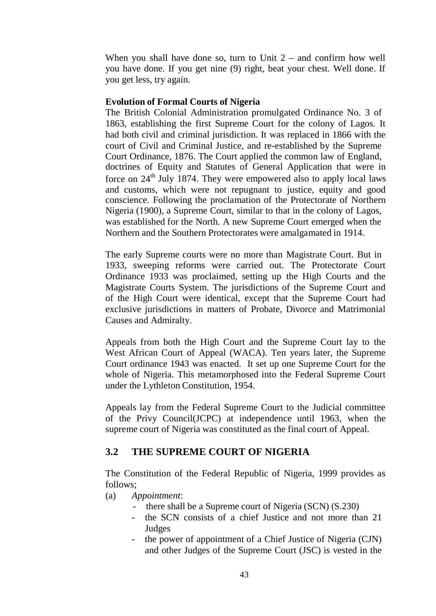When you shall have done so, turn to Unit  $2 -$  and confirm how well you have done. If you get nine (9) right, beat your chest. Well done. If you get less, try again.

#### **Evolution of Formal Courts of Nigeria**

The British Colonial Administration promulgated Ordinance No. 3 of 1863, establishing the first Supreme Court for the colony of Lagos. It had both civil and criminal jurisdiction. It was replaced in 1866 with the court of Civil and Criminal Justice, and re-established by the Supreme Court Ordinance, 1876. The Court applied the common law of England, doctrines of Equity and Statutes of General Application that were in force on  $24<sup>th</sup>$  July 1874. They were empowered also to apply local laws and customs, which were not repugnant to justice, equity and good conscience. Following the proclamation of the Protectorate of Northern Nigeria (1900), a Supreme Court, similar to that in the colony of Lagos, was established for the North. A new Supreme Court emerged when the Northern and the Southern Protectorates were amalgamated in 1914.

The early Supreme courts were no more than Magistrate Court. But in 1933, sweeping reforms were carried out. The Protectorate Court Ordinance 1933 was proclaimed, setting up the High Courts and the Magistrate Courts System. The jurisdictions of the Supreme Court and of the High Court were identical, except that the Supreme Court had exclusive jurisdictions in matters of Probate, Divorce and Matrimonial Causes and Admiralty.

Appeals from both the High Court and the Supreme Court lay to the West African Court of Appeal (WACA). Ten years later, the Supreme Court ordinance 1943 was enacted. It set up one Supreme Court for the whole of Nigeria. This metamorphosed into the Federal Supreme Court under the Lythleton Constitution, 1954.

Appeals lay from the Federal Supreme Court to the Judicial committee of the Privy Council(JCPC) at independence until 1963, when the supreme court of Nigeria was constituted as the final court of Appeal.

#### **3.2 THE SUPREME COURT OF NIGERIA**

The Constitution of the Federal Republic of Nigeria, 1999 provides as follows;

- (a) *Appointment*:
	- there shall be a Supreme court of Nigeria (SCN) (S.230)
	- the SCN consists of a chief Justice and not more than 21 Judges
	- the power of appointment of a Chief Justice of Nigeria (CJN) and other Judges of the Supreme Court (JSC) is vested in the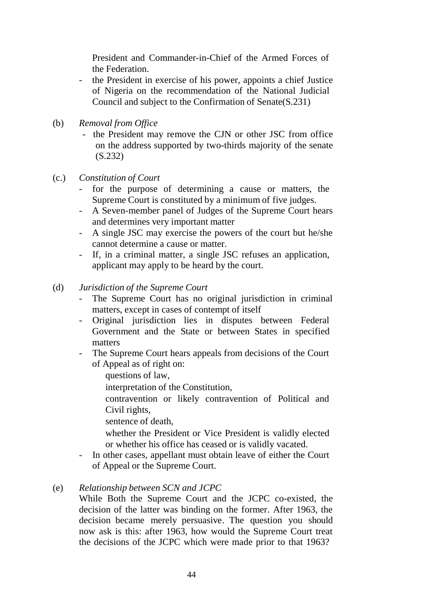President and Commander-in-Chief of the Armed Forces of the Federation.

- the President in exercise of his power, appoints a chief Justice of Nigeria on the recommendation of the National Judicial Council and subject to the Confirmation of Senate(S.231)
- (b) *Removal from Office*
	- the President may remove the CJN or other JSC from office on the address supported by two-thirds majority of the senate (S.232)
- (c.) *Constitution of Court*
	- for the purpose of determining a cause or matters, the Supreme Court is constituted by a minimum of five judges.
	- A Seven-member panel of Judges of the Supreme Court hears and determines very important matter
	- A single JSC may exercise the powers of the court but he/she cannot determine a cause or matter.
	- If, in a criminal matter, a single JSC refuses an application, applicant may apply to be heard by the court.
- (d) *Jurisdiction of the Supreme Court*
	- The Supreme Court has no original jurisdiction in criminal matters, except in cases of contempt of itself
	- Original jurisdiction lies in disputes between Federal Government and the State or between States in specified matters
	- The Supreme Court hears appeals from decisions of the Court of Appeal as of right on:
		- questions of law,
		- interpretation of the Constitution,
		- contravention or likely contravention of Political and Civil rights,
		- sentence of death,
		- whether the President or Vice President is validly elected or whether his office has ceased or is validly vacated.
	- In other cases, appellant must obtain leave of either the Court of Appeal or the Supreme Court.
- (e) *Relationship between SCN and JCPC*

While Both the Supreme Court and the JCPC co-existed, the decision of the latter was binding on the former. After 1963, the decision became merely persuasive. The question you should now ask is this: after 1963, how would the Supreme Court treat the decisions of the JCPC which were made prior to that 1963?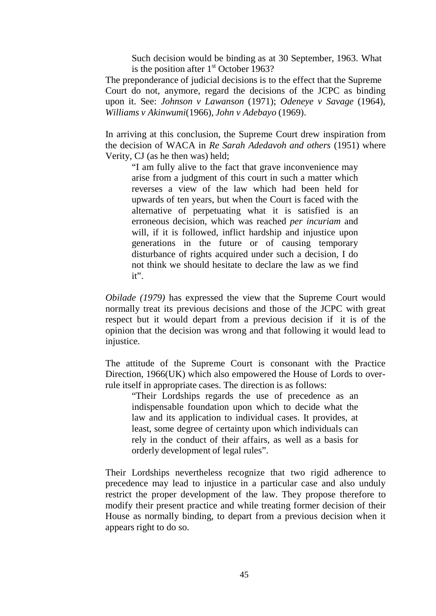Such decision would be binding as at 30 September, 1963. What is the position after  $1<sup>st</sup>$  October 1963?

The preponderance of judicial decisions is to the effect that the Supreme Court do not, anymore, regard the decisions of the JCPC as binding upon it. See: *Johnson v Lawanson* (1971); *Odeneye v Savage* (1964), *Williams v Akinwumi*(1966), *John v Adebayo* (1969).

In arriving at this conclusion, the Supreme Court drew inspiration from the decision of WACA in *Re Sarah Adedavoh and others* (1951) where Verity, CJ (as he then was) held;

"I am fully alive to the fact that grave inconvenience may arise from a judgment of this court in such a matter which reverses a view of the law which had been held for upwards of ten years, but when the Court is faced with the alternative of perpetuating what it is satisfied is an erroneous decision, which was reached *per incuriam* and will, if it is followed, inflict hardship and injustice upon generations in the future or of causing temporary disturbance of rights acquired under such a decision, I do not think we should hesitate to declare the law as we find it".

*Obilade (1979)* has expressed the view that the Supreme Court would normally treat its previous decisions and those of the JCPC with great respect but it would depart from a previous decision if it is of the opinion that the decision was wrong and that following it would lead to injustice.

The attitude of the Supreme Court is consonant with the Practice Direction, 1966(UK) which also empowered the House of Lords to overrule itself in appropriate cases. The direction is as follows:

"Their Lordships regards the use of precedence as an indispensable foundation upon which to decide what the law and its application to individual cases. It provides, at least, some degree of certainty upon which individuals can rely in the conduct of their affairs, as well as a basis for orderly development of legal rules".

Their Lordships nevertheless recognize that two rigid adherence to precedence may lead to injustice in a particular case and also unduly restrict the proper development of the law. They propose therefore to modify their present practice and while treating former decision of their House as normally binding, to depart from a previous decision when it appears right to do so.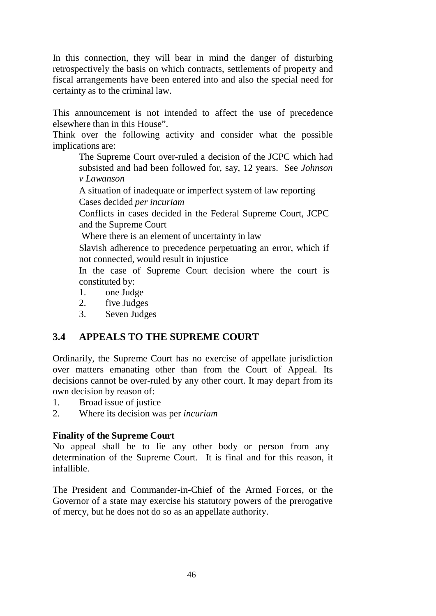In this connection, they will bear in mind the danger of disturbing retrospectively the basis on which contracts, settlements of property and fiscal arrangements have been entered into and also the special need for certainty as to the criminal law.

This announcement is not intended to affect the use of precedence elsewhere than in this House".

Think over the following activity and consider what the possible implications are:

The Supreme Court over-ruled a decision of the JCPC which had subsisted and had been followed for, say, 12 years. See *Johnson v Lawanson*

A situation of inadequate or imperfect system of law reporting Cases decided *per incuriam*

Conflicts in cases decided in the Federal Supreme Court, JCPC and the Supreme Court

Where there is an element of uncertainty in law

Slavish adherence to precedence perpetuating an error, which if not connected, would result in injustice

In the case of Supreme Court decision where the court is constituted by:

- 1. one Judge
- 2. five Judges
- 3. Seven Judges

# **3.4 APPEALS TO THE SUPREME COURT**

Ordinarily, the Supreme Court has no exercise of appellate jurisdiction over matters emanating other than from the Court of Appeal. Its decisions cannot be over-ruled by any other court. It may depart from its own decision by reason of:

- 1. Broad issue of justice
- 2. Where its decision was per *incuriam*

#### **Finality of the Supreme Court**

No appeal shall be to lie any other body or person from any determination of the Supreme Court. It is final and for this reason, it infallible.

The President and Commander-in-Chief of the Armed Forces, or the Governor of a state may exercise his statutory powers of the prerogative of mercy, but he does not do so as an appellate authority.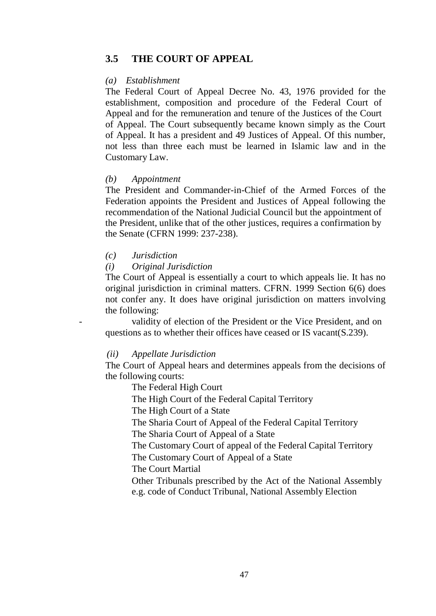#### **3.5 THE COURT OF APPEAL**

#### *(a) Establishment*

The Federal Court of Appeal Decree No. 43, 1976 provided for the establishment, composition and procedure of the Federal Court of Appeal and for the remuneration and tenure of the Justices of the Court of Appeal. The Court subsequently became known simply as the Court of Appeal. It has a president and 49 Justices of Appeal. Of this number, not less than three each must be learned in Islamic law and in the Customary Law.

#### *(b) Appointment*

The President and Commander-in-Chief of the Armed Forces of the Federation appoints the President and Justices of Appeal following the recommendation of the National Judicial Council but the appointment of the President, unlike that of the other justices, requires a confirmation by the Senate (CFRN 1999: 237-238).

#### *(c) Jurisdiction*

*(i) Original Jurisdiction*

The Court of Appeal is essentially a court to which appeals lie. It has no original jurisdiction in criminal matters. CFRN. 1999 Section 6(6) does not confer any. It does have original jurisdiction on matters involving the following:

validity of election of the President or the Vice President, and on questions as to whether their offices have ceased or IS vacant(S.239).

#### *(ii) Appellate Jurisdiction*

The Court of Appeal hears and determines appeals from the decisions of the following courts:

The Federal High Court

The High Court of the Federal Capital Territory

The High Court of a State

The Sharia Court of Appeal of the Federal Capital Territory

The Sharia Court of Appeal of a State

The Customary Court of appeal of the Federal Capital Territory

The Customary Court of Appeal of a State

The Court Martial

Other Tribunals prescribed by the Act of the National Assembly e.g. code of Conduct Tribunal, National Assembly Election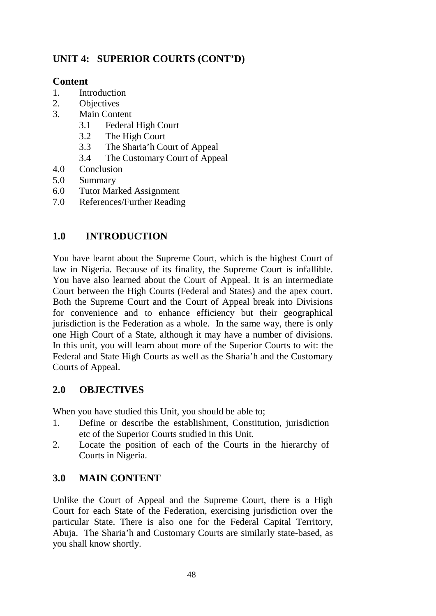# **UNIT 4: SUPERIOR COURTS (CONT'D)**

## **Content**

- 1. Introduction
- 2. Objectives
- 3. Main Content
	- 3.1 Federal High Court
	- 3.2 The High Court
	- 3.3 The Sharia'h Court of Appeal
	- 3.4 The Customary Court of Appeal
- 4.0 Conclusion
- 5.0 Summary
- 6.0 Tutor Marked Assignment
- 7.0 References/Further Reading

## **1.0 INTRODUCTION**

You have learnt about the Supreme Court, which is the highest Court of law in Nigeria. Because of its finality, the Supreme Court is infallible. You have also learned about the Court of Appeal. It is an intermediate Court between the High Courts (Federal and States) and the apex court. Both the Supreme Court and the Court of Appeal break into Divisions for convenience and to enhance efficiency but their geographical jurisdiction is the Federation as a whole. In the same way, there is only one High Court of a State, although it may have a number of divisions. In this unit, you will learn about more of the Superior Courts to wit: the Federal and State High Courts as well as the Sharia'h and the Customary Courts of Appeal.

## **2.0 OBJECTIVES**

When you have studied this Unit, you should be able to;

- 1. Define or describe the establishment, Constitution, jurisdiction etc of the Superior Courts studied in this Unit.
- 2. Locate the position of each of the Courts in the hierarchy of Courts in Nigeria.

# **3.0 MAIN CONTENT**

Unlike the Court of Appeal and the Supreme Court, there is a High Court for each State of the Federation, exercising jurisdiction over the particular State. There is also one for the Federal Capital Territory, Abuja. The Sharia'h and Customary Courts are similarly state-based, as you shall know shortly.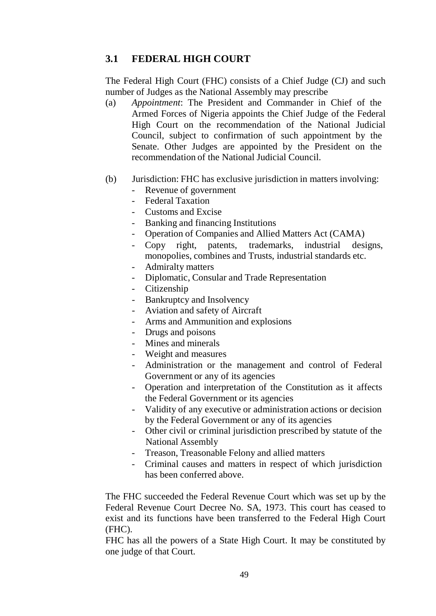## **3.1 FEDERAL HIGH COURT**

The Federal High Court (FHC) consists of a Chief Judge (CJ) and such number of Judges as the National Assembly may prescribe

- (a) *Appointment*: The President and Commander in Chief of the Armed Forces of Nigeria appoints the Chief Judge of the Federal High Court on the recommendation of the National Judicial Council, subject to confirmation of such appointment by the Senate. Other Judges are appointed by the President on the recommendation of the National Judicial Council.
- (b) Jurisdiction: FHC has exclusive jurisdiction in matters involving:
	- Revenue of government
	- Federal Taxation
	- Customs and Excise
	- Banking and financing Institutions
	- Operation of Companies and Allied Matters Act (CAMA)
	- Copy right, patents, trademarks, industrial designs, monopolies, combines and Trusts, industrial standards etc.
	- Admiralty matters
	- Diplomatic, Consular and Trade Representation
	- Citizenship
	- Bankruptcy and Insolvency
	- Aviation and safety of Aircraft
	- Arms and Ammunition and explosions
	- Drugs and poisons
	- Mines and minerals
	- Weight and measures
	- Administration or the management and control of Federal Government or any of its agencies
	- Operation and interpretation of the Constitution as it affects the Federal Government or its agencies
	- Validity of any executive or administration actions or decision by the Federal Government or any of its agencies
	- Other civil or criminal jurisdiction prescribed by statute of the National Assembly
	- Treason, Treasonable Felony and allied matters
	- Criminal causes and matters in respect of which jurisdiction has been conferred above.

The FHC succeeded the Federal Revenue Court which was set up by the Federal Revenue Court Decree No. SA, 1973. This court has ceased to exist and its functions have been transferred to the Federal High Court (FHC).

FHC has all the powers of a State High Court. It may be constituted by one judge of that Court.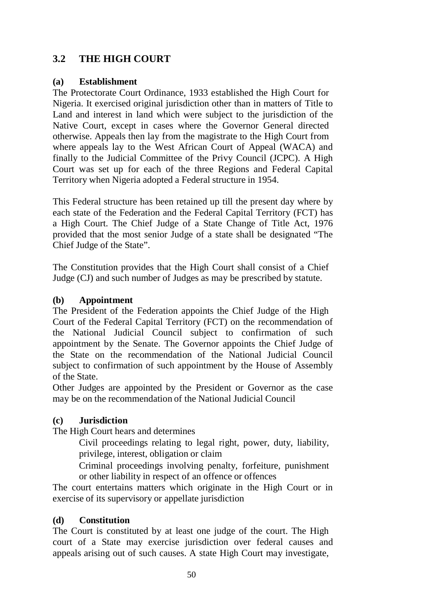# **3.2 THE HIGH COURT**

#### **(a) Establishment**

The Protectorate Court Ordinance, 1933 established the High Court for Nigeria. It exercised original jurisdiction other than in matters of Title to Land and interest in land which were subject to the jurisdiction of the Native Court, except in cases where the Governor General directed otherwise. Appeals then lay from the magistrate to the High Court from where appeals lay to the West African Court of Appeal (WACA) and finally to the Judicial Committee of the Privy Council (JCPC). A High Court was set up for each of the three Regions and Federal Capital Territory when Nigeria adopted a Federal structure in 1954.

This Federal structure has been retained up till the present day where by each state of the Federation and the Federal Capital Territory (FCT) has a High Court. The Chief Judge of a State Change of Title Act, 1976 provided that the most senior Judge of a state shall be designated "The Chief Judge of the State".

The Constitution provides that the High Court shall consist of a Chief Judge (CJ) and such number of Judges as may be prescribed by statute.

#### **(b) Appointment**

The President of the Federation appoints the Chief Judge of the High Court of the Federal Capital Territory (FCT) on the recommendation of the National Judicial Council subject to confirmation of such appointment by the Senate. The Governor appoints the Chief Judge of the State on the recommendation of the National Judicial Council subject to confirmation of such appointment by the House of Assembly of the State.

Other Judges are appointed by the President or Governor as the case may be on the recommendation of the National Judicial Council

#### **(c) Jurisdiction**

The High Court hears and determines

Civil proceedings relating to legal right, power, duty, liability, privilege, interest, obligation or claim

Criminal proceedings involving penalty, forfeiture, punishment or other liability in respect of an offence or offences

The court entertains matters which originate in the High Court or in exercise of its supervisory or appellate jurisdiction

#### **(d) Constitution**

The Court is constituted by at least one judge of the court. The High court of a State may exercise jurisdiction over federal causes and appeals arising out of such causes. A state High Court may investigate,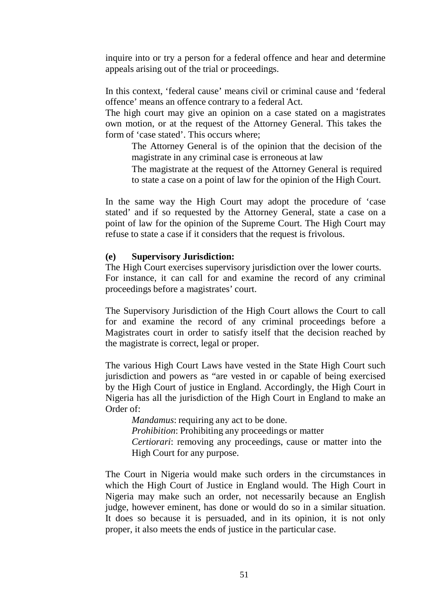inquire into or try a person for a federal offence and hear and determine appeals arising out of the trial or proceedings.

In this context, 'federal cause' means civil or criminal cause and 'federal offence' means an offence contrary to a federal Act.

The high court may give an opinion on a case stated on a magistrates own motion, or at the request of the Attorney General. This takes the form of 'case stated'. This occurs where;

The Attorney General is of the opinion that the decision of the magistrate in any criminal case is erroneous at law

The magistrate at the request of the Attorney General is required to state a case on a point of law for the opinion of the High Court.

In the same way the High Court may adopt the procedure of 'case stated' and if so requested by the Attorney General, state a case on a point of law for the opinion of the Supreme Court. The High Court may refuse to state a case if it considers that the request is frivolous.

#### **(e) Supervisory Jurisdiction:**

The High Court exercises supervisory jurisdiction over the lower courts. For instance, it can call for and examine the record of any criminal proceedings before a magistrates' court.

The Supervisory Jurisdiction of the High Court allows the Court to call for and examine the record of any criminal proceedings before a Magistrates court in order to satisfy itself that the decision reached by the magistrate is correct, legal or proper.

The various High Court Laws have vested in the State High Court such jurisdiction and powers as "are vested in or capable of being exercised by the High Court of justice in England. Accordingly, the High Court in Nigeria has all the jurisdiction of the High Court in England to make an Order of:

*Mandamus*: requiring any act to be done. *Prohibition*: Prohibiting any proceedings or matter *Certiorari*: removing any proceedings, cause or matter into the High Court for any purpose.

The Court in Nigeria would make such orders in the circumstances in which the High Court of Justice in England would. The High Court in Nigeria may make such an order, not necessarily because an English judge, however eminent, has done or would do so in a similar situation. It does so because it is persuaded, and in its opinion, it is not only proper, it also meets the ends of justice in the particular case.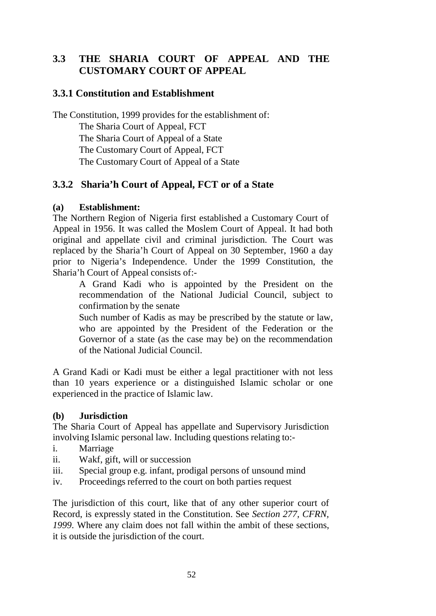# **3.3 THE SHARIA COURT OF APPEAL AND THE CUSTOMARY COURT OF APPEAL**

## **3.3.1 Constitution and Establishment**

The Constitution, 1999 provides for the establishment of: The Sharia Court of Appeal, FCT The Sharia Court of Appeal of a State The Customary Court of Appeal, FCT The Customary Court of Appeal of a State

## **3.3.2 Sharia'h Court of Appeal, FCT or of a State**

#### **(a) Establishment:**

The Northern Region of Nigeria first established a Customary Court of Appeal in 1956. It was called the Moslem Court of Appeal. It had both original and appellate civil and criminal jurisdiction. The Court was replaced by the Sharia'h Court of Appeal on 30 September, 1960 a day prior to Nigeria's Independence. Under the 1999 Constitution, the Sharia'h Court of Appeal consists of:-

A Grand Kadi who is appointed by the President on the recommendation of the National Judicial Council, subject to confirmation by the senate

Such number of Kadis as may be prescribed by the statute or law, who are appointed by the President of the Federation or the Governor of a state (as the case may be) on the recommendation of the National Judicial Council.

A Grand Kadi or Kadi must be either a legal practitioner with not less than 10 years experience or a distinguished Islamic scholar or one experienced in the practice of Islamic law.

#### **(b) Jurisdiction**

The Sharia Court of Appeal has appellate and Supervisory Jurisdiction involving Islamic personal law. Including questions relating to:-

- i. Marriage
- ii. Wakf, gift, will or succession
- iii. Special group e.g. infant, prodigal persons of unsound mind
- iv. Proceedings referred to the court on both parties request

The jurisdiction of this court, like that of any other superior court of Record, is expressly stated in the Constitution. See *Section 277, CFRN, 1999*. Where any claim does not fall within the ambit of these sections, it is outside the jurisdiction of the court.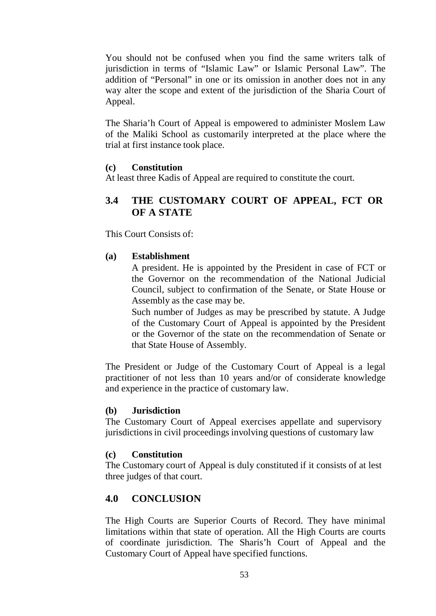You should not be confused when you find the same writers talk of jurisdiction in terms of "Islamic Law" or Islamic Personal Law". The addition of "Personal" in one or its omission in another does not in any way alter the scope and extent of the jurisdiction of the Sharia Court of Appeal.

The Sharia'h Court of Appeal is empowered to administer Moslem Law of the Maliki School as customarily interpreted at the place where the trial at first instance took place.

#### **(c) Constitution**

At least three Kadis of Appeal are required to constitute the court.

## **3.4 THE CUSTOMARY COURT OF APPEAL, FCT OR OF A STATE**

This Court Consists of:

#### **(a) Establishment**

A president. He is appointed by the President in case of FCT or the Governor on the recommendation of the National Judicial Council, subject to confirmation of the Senate, or State House or Assembly as the case may be.

Such number of Judges as may be prescribed by statute. A Judge of the Customary Court of Appeal is appointed by the President or the Governor of the state on the recommendation of Senate or that State House of Assembly.

The President or Judge of the Customary Court of Appeal is a legal practitioner of not less than 10 years and/or of considerate knowledge and experience in the practice of customary law.

#### **(b) Jurisdiction**

The Customary Court of Appeal exercises appellate and supervisory jurisdictions in civil proceedings involving questions of customary law

#### **(c) Constitution**

The Customary court of Appeal is duly constituted if it consists of at lest three judges of that court.

## **4.0 CONCLUSION**

The High Courts are Superior Courts of Record. They have minimal limitations within that state of operation. All the High Courts are courts of coordinate jurisdiction. The Sharis'h Court of Appeal and the Customary Court of Appeal have specified functions.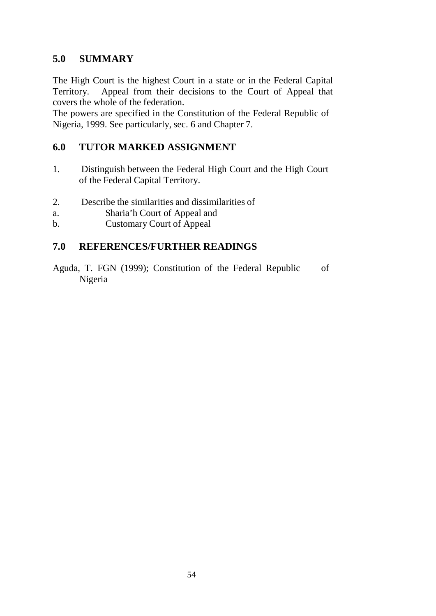## **5.0 SUMMARY**

The High Court is the highest Court in a state or in the Federal Capital Territory. Appeal from their decisions to the Court of Appeal that covers the whole of the federation.

The powers are specified in the Constitution of the Federal Republic of Nigeria, 1999. See particularly, sec. 6 and Chapter 7.

## **6.0 TUTOR MARKED ASSIGNMENT**

- 1. Distinguish between the Federal High Court and the High Court of the Federal Capital Territory.
- 2. Describe the similarities and dissimilarities of
- a. Sharia'h Court of Appeal and
- b. Customary Court of Appeal

## **7.0 REFERENCES/FURTHER READINGS**

Aguda, T. FGN (1999); Constitution of the Federal Republic of Nigeria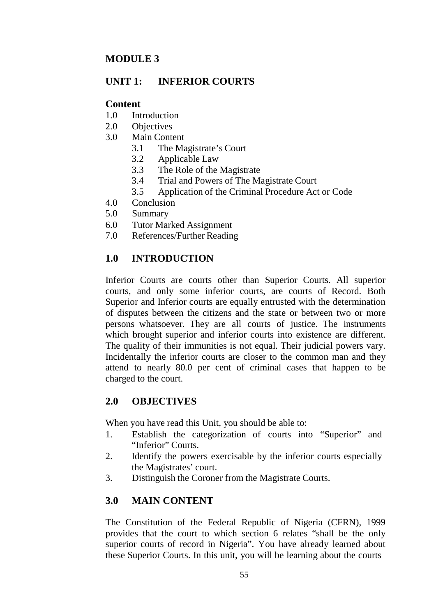## **MODULE 3**

## **UNIT 1: INFERIOR COURTS**

#### **Content**

- 1.0 Introduction
- 2.0 Objectives
- 3.0 Main Content
	- 3.1 The Magistrate's Court
	- 3.2 Applicable Law
	- 3.3 The Role of the Magistrate
	- 3.4 Trial and Powers of The Magistrate Court
	- 3.5 Application of the Criminal Procedure Act or Code
- 4.0 Conclusion
- 5.0 Summary
- 6.0 Tutor Marked Assignment
- 7.0 References/Further Reading

## **1.0 INTRODUCTION**

Inferior Courts are courts other than Superior Courts. All superior courts, and only some inferior courts, are courts of Record. Both Superior and Inferior courts are equally entrusted with the determination of disputes between the citizens and the state or between two or more persons whatsoever. They are all courts of justice. The instruments which brought superior and inferior courts into existence are different. The quality of their immunities is not equal. Their judicial powers vary. Incidentally the inferior courts are closer to the common man and they attend to nearly 80.0 per cent of criminal cases that happen to be charged to the court.

## **2.0 OBJECTIVES**

When you have read this Unit, you should be able to:

- 1. Establish the categorization of courts into "Superior" and "Inferior" Courts.
- 2. Identify the powers exercisable by the inferior courts especially the Magistrates' court.
- 3. Distinguish the Coroner from the Magistrate Courts.

# **3.0 MAIN CONTENT**

The Constitution of the Federal Republic of Nigeria (CFRN), 1999 provides that the court to which section 6 relates "shall be the only superior courts of record in Nigeria". You have already learned about these Superior Courts. In this unit, you will be learning about the courts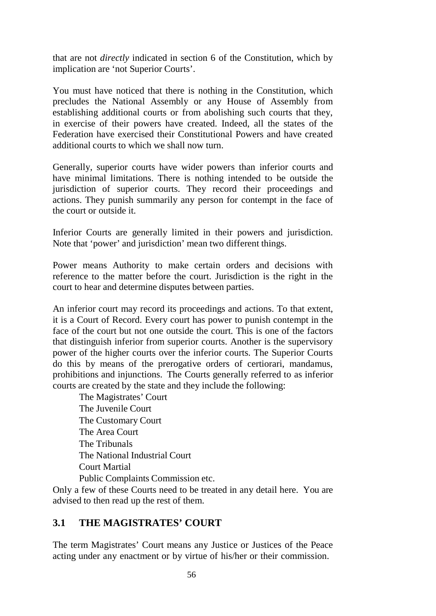that are not *directly* indicated in section 6 of the Constitution, which by implication are 'not Superior Courts'.

You must have noticed that there is nothing in the Constitution, which precludes the National Assembly or any House of Assembly from establishing additional courts or from abolishing such courts that they, in exercise of their powers have created. Indeed, all the states of the Federation have exercised their Constitutional Powers and have created additional courts to which we shall now turn.

Generally, superior courts have wider powers than inferior courts and have minimal limitations. There is nothing intended to be outside the jurisdiction of superior courts. They record their proceedings and actions. They punish summarily any person for contempt in the face of the court or outside it.

Inferior Courts are generally limited in their powers and jurisdiction. Note that 'power' and jurisdiction' mean two different things.

Power means Authority to make certain orders and decisions with reference to the matter before the court. Jurisdiction is the right in the court to hear and determine disputes between parties.

An inferior court may record its proceedings and actions. To that extent, it is a Court of Record. Every court has power to punish contempt in the face of the court but not one outside the court. This is one of the factors that distinguish inferior from superior courts. Another is the supervisory power of the higher courts over the inferior courts. The Superior Courts do this by means of the prerogative orders of certiorari, mandamus, prohibitions and injunctions. The Courts generally referred to as inferior courts are created by the state and they include the following:

The Magistrates' Court The Juvenile Court The Customary Court The Area Court The Tribunals The National Industrial Court Court Martial Public Complaints Commission etc.

Only a few of these Courts need to be treated in any detail here. You are advised to then read up the rest of them.

# **3.1 THE MAGISTRATES' COURT**

The term Magistrates' Court means any Justice or Justices of the Peace acting under any enactment or by virtue of his/her or their commission.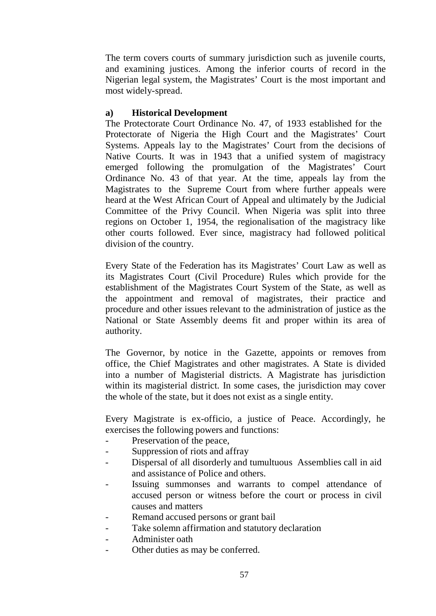The term covers courts of summary jurisdiction such as juvenile courts, and examining justices. Among the inferior courts of record in the Nigerian legal system, the Magistrates' Court is the most important and most widely-spread.

#### **a) Historical Development**

The Protectorate Court Ordinance No. 47, of 1933 established for the Protectorate of Nigeria the High Court and the Magistrates' Court Systems. Appeals lay to the Magistrates' Court from the decisions of Native Courts. It was in 1943 that a unified system of magistracy emerged following the promulgation of the Magistrates' Court Ordinance No. 43 of that year. At the time, appeals lay from the Magistrates to the Supreme Court from where further appeals were heard at the West African Court of Appeal and ultimately by the Judicial Committee of the Privy Council. When Nigeria was split into three regions on October 1, 1954, the regionalisation of the magistracy like other courts followed. Ever since, magistracy had followed political division of the country.

Every State of the Federation has its Magistrates' Court Law as well as its Magistrates Court (Civil Procedure) Rules which provide for the establishment of the Magistrates Court System of the State, as well as the appointment and removal of magistrates, their practice and procedure and other issues relevant to the administration of justice as the National or State Assembly deems fit and proper within its area of authority.

The Governor, by notice in the Gazette, appoints or removes from office, the Chief Magistrates and other magistrates. A State is divided into a number of Magisterial districts. A Magistrate has jurisdiction within its magisterial district. In some cases, the jurisdiction may cover the whole of the state, but it does not exist as a single entity.

Every Magistrate is ex-officio, a justice of Peace. Accordingly, he exercises the following powers and functions:

- Preservation of the peace,
- Suppression of riots and affray
- Dispersal of all disorderly and tumultuous Assemblies call in aid and assistance of Police and others.
- Issuing summonses and warrants to compel attendance of accused person or witness before the court or process in civil causes and matters
- Remand accused persons or grant bail
- Take solemn affirmation and statutory declaration
- Administer oath
- Other duties as may be conferred.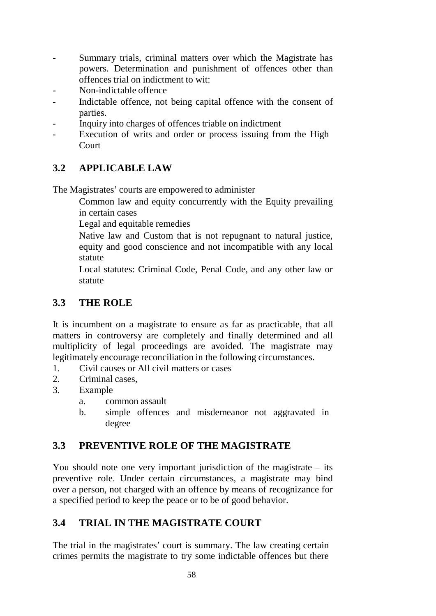- Summary trials, criminal matters over which the Magistrate has powers. Determination and punishment of offences other than offences trial on indictment to wit:
- Non-indictable offence
- Indictable offence, not being capital offence with the consent of parties.
- Inquiry into charges of offences triable on indictment
- Execution of writs and order or process issuing from the High **Court**

# **3.2 APPLICABLE LAW**

The Magistrates' courts are empowered to administer

Common law and equity concurrently with the Equity prevailing in certain cases

Legal and equitable remedies

Native law and Custom that is not repugnant to natural justice, equity and good conscience and not incompatible with any local statute

Local statutes: Criminal Code, Penal Code, and any other law or statute

# **3.3 THE ROLE**

It is incumbent on a magistrate to ensure as far as practicable, that all matters in controversy are completely and finally determined and all multiplicity of legal proceedings are avoided. The magistrate may legitimately encourage reconciliation in the following circumstances.

- 1. Civil causes or All civil matters or cases
- 2. Criminal cases,
- 3. Example
	- a. common assault
	- b. simple offences and misdemeanor not aggravated in degree

# **3.3 PREVENTIVE ROLE OF THE MAGISTRATE**

You should note one very important jurisdiction of the magistrate – its preventive role. Under certain circumstances, a magistrate may bind over a person, not charged with an offence by means of recognizance for a specified period to keep the peace or to be of good behavior.

# **3.4 TRIAL IN THE MAGISTRATE COURT**

The trial in the magistrates' court is summary. The law creating certain crimes permits the magistrate to try some indictable offences but there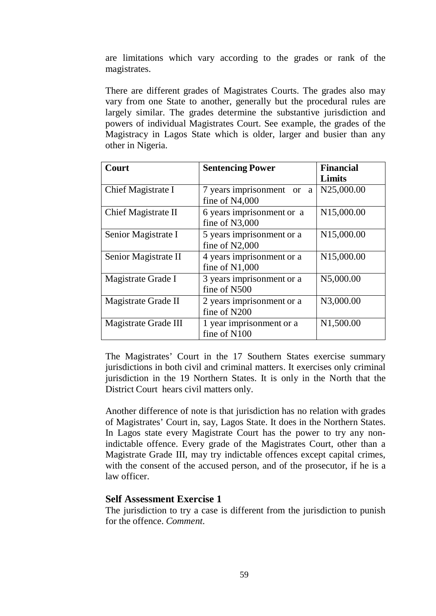are limitations which vary according to the grades or rank of the magistrates.

There are different grades of Magistrates Courts. The grades also may vary from one State to another, generally but the procedural rules are largely similar. The grades determine the substantive jurisdiction and powers of individual Magistrates Court. See example, the grades of the Magistracy in Lagos State which is older, larger and busier than any other in Nigeria.

| <b>Court</b>         | <b>Sentencing Power</b>                        | <b>Financial</b><br><b>Limits</b> |
|----------------------|------------------------------------------------|-----------------------------------|
| Chief Magistrate I   | 7 years imprisonment<br>or a<br>fine of N4,000 | N25,000.00                        |
| Chief Magistrate II  | 6 years imprisonment or a<br>fine of N3,000    | N15,000.00                        |
| Senior Magistrate I  | 5 years imprisonment or a<br>fine of $N2,000$  | N15,000.00                        |
| Senior Magistrate II | 4 years imprisonment or a<br>fine of $N1,000$  | N15,000.00                        |
| Magistrate Grade I   | 3 years imprisonment or a<br>fine of N500      | N5,000.00                         |
| Magistrate Grade II  | 2 years imprisonment or a<br>fine of N200      | N3,000.00                         |
| Magistrate Grade III | 1 year imprisonment or a<br>fine of N100       | N1,500.00                         |

The Magistrates' Court in the 17 Southern States exercise summary jurisdictions in both civil and criminal matters. It exercises only criminal jurisdiction in the 19 Northern States. It is only in the North that the District Court hears civil matters only.

Another difference of note is that jurisdiction has no relation with grades of Magistrates' Court in, say, Lagos State. It does in the Northern States. In Lagos state every Magistrate Court has the power to try any nonindictable offence. Every grade of the Magistrates Court, other than a Magistrate Grade III, may try indictable offences except capital crimes, with the consent of the accused person, and of the prosecutor, if he is a law officer.

#### **Self Assessment Exercise 1**

The jurisdiction to try a case is different from the jurisdiction to punish for the offence. *Comment*.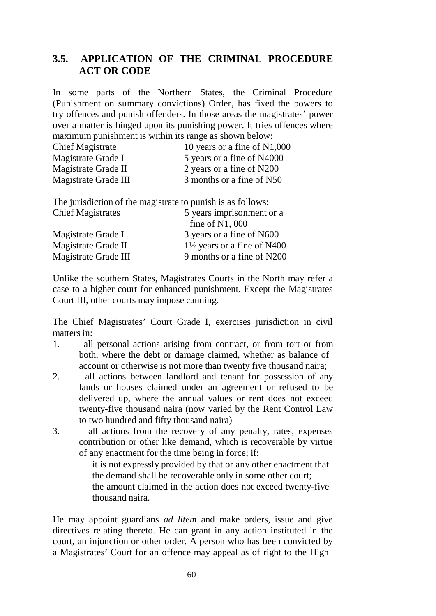## **3.5. APPLICATION OF THE CRIMINAL PROCEDURE ACT OR CODE**

In some parts of the Northern States, the Criminal Procedure (Punishment on summary convictions) Order, has fixed the powers to try offences and punish offenders. In those areas the magistrates' power over a matter is hinged upon its punishing power. It tries offences where maximum punishment is within its range as shown below:

| <b>Chief Magistrate</b> | 10 years or a fine of $N1,000$ |
|-------------------------|--------------------------------|
| Magistrate Grade I      | 5 years or a fine of N4000     |
| Magistrate Grade II     | 2 years or a fine of N200      |
| Magistrate Grade III    | 3 months or a fine of N50      |
|                         |                                |

The jurisdiction of the magistrate to punish is as follows: Chief Magistrates 5 years imprisonment or a fine of N1, 000 Magistrate Grade I 3 years or a fine of N600 Magistrate Grade II  $1\frac{1}{2}$  years or a fine of N400

Magistrate Grade III 9 months or a fine of N200

Unlike the southern States, Magistrates Courts in the North may refer a case to a higher court for enhanced punishment. Except the Magistrates Court III, other courts may impose canning.

The Chief Magistrates' Court Grade I, exercises jurisdiction in civil matters in:

- 1. all personal actions arising from contract, or from tort or from both, where the debt or damage claimed, whether as balance of account or otherwise is not more than twenty five thousand naira;
- 2. all actions between landlord and tenant for possession of any lands or houses claimed under an agreement or refused to be delivered up, where the annual values or rent does not exceed twenty-five thousand naira (now varied by the Rent Control Law to two hundred and fifty thousand naira)
- 3. all actions from the recovery of any penalty, rates, expenses contribution or other like demand, which is recoverable by virtue of any enactment for the time being in force; if:

it is not expressly provided by that or any other enactment that the demand shall be recoverable only in some other court;

the amount claimed in the action does not exceed twenty-five thousand naira.

He may appoint guardians *ad litem* and make orders, issue and give directives relating thereto. He can grant in any action instituted in the court, an injunction or other order. A person who has been convicted by a Magistrates' Court for an offence may appeal as of right to the High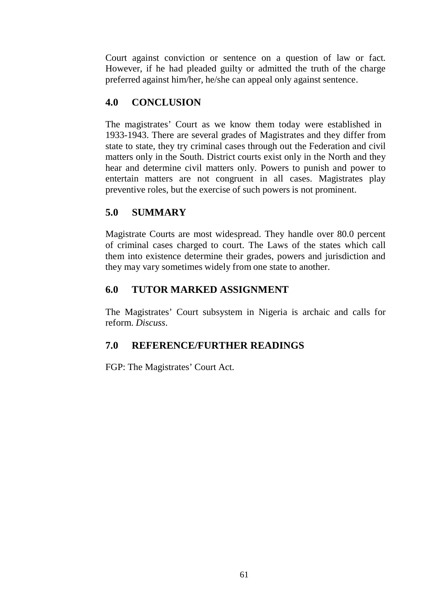Court against conviction or sentence on a question of law or fact. However, if he had pleaded guilty or admitted the truth of the charge preferred against him/her, he/she can appeal only against sentence.

# **4.0 CONCLUSION**

The magistrates' Court as we know them today were established in 1933-1943. There are several grades of Magistrates and they differ from state to state, they try criminal cases through out the Federation and civil matters only in the South. District courts exist only in the North and they hear and determine civil matters only. Powers to punish and power to entertain matters are not congruent in all cases. Magistrates play preventive roles, but the exercise of such powers is not prominent.

## **5.0 SUMMARY**

Magistrate Courts are most widespread. They handle over 80.0 percent of criminal cases charged to court. The Laws of the states which call them into existence determine their grades, powers and jurisdiction and they may vary sometimes widely from one state to another.

## **6.0 TUTOR MARKED ASSIGNMENT**

The Magistrates' Court subsystem in Nigeria is archaic and calls for reform. *Discuss*.

# **7.0 REFERENCE/FURTHER READINGS**

FGP: The Magistrates' Court Act.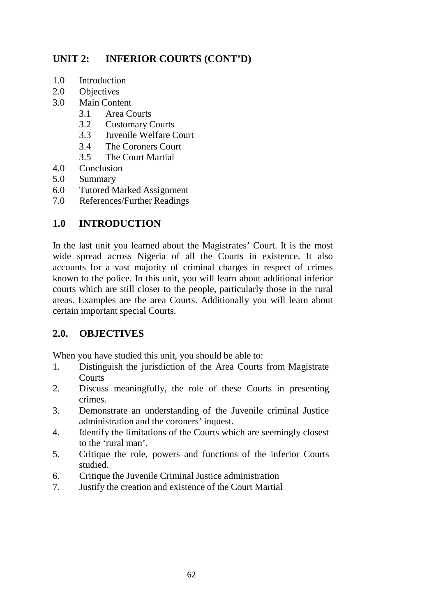# **UNIT 2: INFERIOR COURTS (CONT'D)**

- 1.0 Introduction
- 2.0 Objectives<br>3.0 Main Conte
- Main Content
	- 3.1 Area Courts
	- 3.2 Customary Courts
	- 3.3 Juvenile Welfare Court
	- 3.4 The Coroners Court
	- 3.5 The Court Martial
- 4.0 Conclusion
- 5.0 Summary
- 6.0 Tutored Marked Assignment
- 7.0 References/Further Readings

## **1.0 INTRODUCTION**

In the last unit you learned about the Magistrates' Court. It is the most wide spread across Nigeria of all the Courts in existence. It also accounts for a vast majority of criminal charges in respect of crimes known to the police. In this unit, you will learn about additional inferior courts which are still closer to the people, particularly those in the rural areas. Examples are the area Courts. Additionally you will learn about certain important special Courts.

# **2.0. OBJECTIVES**

When you have studied this unit, you should be able to:

- 1. Distinguish the jurisdiction of the Area Courts from Magistrate **Courts**
- 2. Discuss meaningfully, the role of these Courts in presenting crimes.
- 3. Demonstrate an understanding of the Juvenile criminal Justice administration and the coroners' inquest.
- 4. Identify the limitations of the Courts which are seemingly closest to the 'rural man'.
- 5. Critique the role, powers and functions of the inferior Courts studied.
- 6. Critique the Juvenile Criminal Justice administration
- 7. Justify the creation and existence of the Court Martial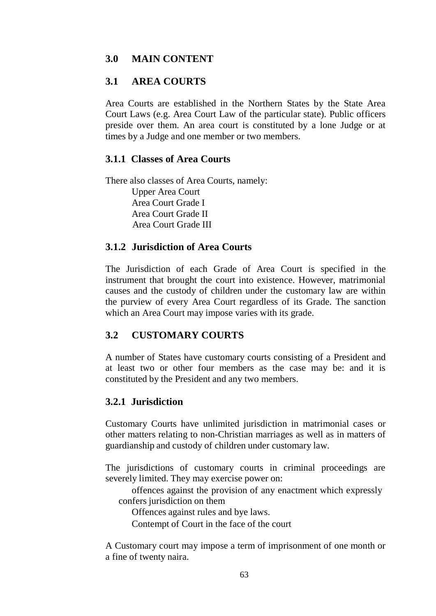## **3.0 MAIN CONTENT**

## **3.1 AREA COURTS**

Area Courts are established in the Northern States by the State Area Court Laws (e.g. Area Court Law of the particular state). Public officers preside over them. An area court is constituted by a lone Judge or at times by a Judge and one member or two members.

### **3.1.1 Classes of Area Courts**

There also classes of Area Courts, namely: Upper Area Court Area Court Grade I Area Court Grade II Area Court Grade III

### **3.1.2 Jurisdiction of Area Courts**

The Jurisdiction of each Grade of Area Court is specified in the instrument that brought the court into existence. However, matrimonial causes and the custody of children under the customary law are within the purview of every Area Court regardless of its Grade. The sanction which an Area Court may impose varies with its grade.

## **3.2 CUSTOMARY COURTS**

A number of States have customary courts consisting of a President and at least two or other four members as the case may be: and it is constituted by the President and any two members.

## **3.2.1 Jurisdiction**

Customary Courts have unlimited jurisdiction in matrimonial cases or other matters relating to non-Christian marriages as well as in matters of guardianship and custody of children under customary law.

The jurisdictions of customary courts in criminal proceedings are severely limited. They may exercise power on:

offences against the provision of any enactment which expressly confers jurisdiction on them

Offences against rules and bye laws.

Contempt of Court in the face of the court

A Customary court may impose a term of imprisonment of one month or a fine of twenty naira.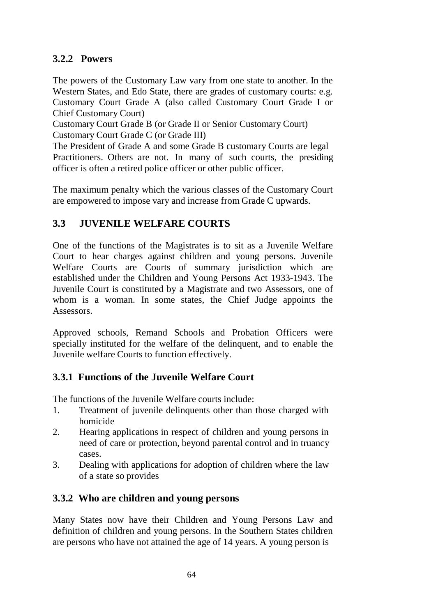## **3.2.2 Powers**

The powers of the Customary Law vary from one state to another. In the Western States, and Edo State, there are grades of customary courts: e.g. Customary Court Grade A (also called Customary Court Grade I or Chief Customary Court)

Customary Court Grade B (or Grade II or Senior Customary Court) Customary Court Grade C (or Grade III)

The President of Grade A and some Grade B customary Courts are legal Practitioners. Others are not. In many of such courts, the presiding officer is often a retired police officer or other public officer.

The maximum penalty which the various classes of the Customary Court are empowered to impose vary and increase from Grade C upwards.

## **3.3 JUVENILE WELFARE COURTS**

One of the functions of the Magistrates is to sit as a Juvenile Welfare Court to hear charges against children and young persons. Juvenile Welfare Courts are Courts of summary jurisdiction which are established under the Children and Young Persons Act 1933-1943. The Juvenile Court is constituted by a Magistrate and two Assessors, one of whom is a woman. In some states, the Chief Judge appoints the Assessors.

Approved schools, Remand Schools and Probation Officers were specially instituted for the welfare of the delinquent, and to enable the Juvenile welfare Courts to function effectively.

## **3.3.1 Functions of the Juvenile Welfare Court**

The functions of the Juvenile Welfare courts include:

- 1. Treatment of juvenile delinquents other than those charged with homicide
- 2. Hearing applications in respect of children and young persons in need of care or protection, beyond parental control and in truancy cases.
- 3. Dealing with applications for adoption of children where the law of a state so provides

## **3.3.2 Who are children and young persons**

Many States now have their Children and Young Persons Law and definition of children and young persons. In the Southern States children are persons who have not attained the age of 14 years. A young person is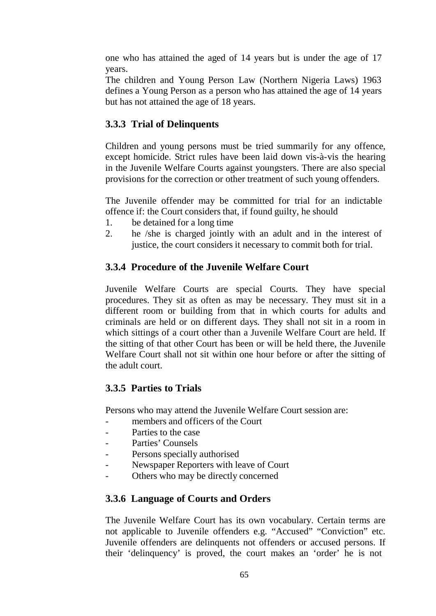one who has attained the aged of 14 years but is under the age of 17 years.

The children and Young Person Law (Northern Nigeria Laws) 1963 defines a Young Person as a person who has attained the age of 14 years but has not attained the age of 18 years.

## **3.3.3 Trial of Delinquents**

Children and young persons must be tried summarily for any offence, except homicide. Strict rules have been laid down vis-à-vis the hearing in the Juvenile Welfare Courts against youngsters. There are also special provisions for the correction or other treatment of such young offenders.

The Juvenile offender may be committed for trial for an indictable offence if: the Court considers that, if found guilty, he should

- 1. be detained for a long time
- 2. he /she is charged jointly with an adult and in the interest of justice, the court considers it necessary to commit both for trial.

## **3.3.4 Procedure of the Juvenile Welfare Court**

Juvenile Welfare Courts are special Courts. They have special procedures. They sit as often as may be necessary. They must sit in a different room or building from that in which courts for adults and criminals are held or on different days. They shall not sit in a room in which sittings of a court other than a Juvenile Welfare Court are held. If the sitting of that other Court has been or will be held there, the Juvenile Welfare Court shall not sit within one hour before or after the sitting of the adult court.

## **3.3.5 Parties to Trials**

Persons who may attend the Juvenile Welfare Court session are:

- members and officers of the Court
- Parties to the case
- Parties' Counsels
- Persons specially authorised
- Newspaper Reporters with leave of Court
- Others who may be directly concerned

# **3.3.6 Language of Courts and Orders**

The Juvenile Welfare Court has its own vocabulary. Certain terms are not applicable to Juvenile offenders e.g. "Accused" "Conviction" etc. Juvenile offenders are delinquents not offenders or accused persons. If their 'delinquency' is proved, the court makes an 'order' he is not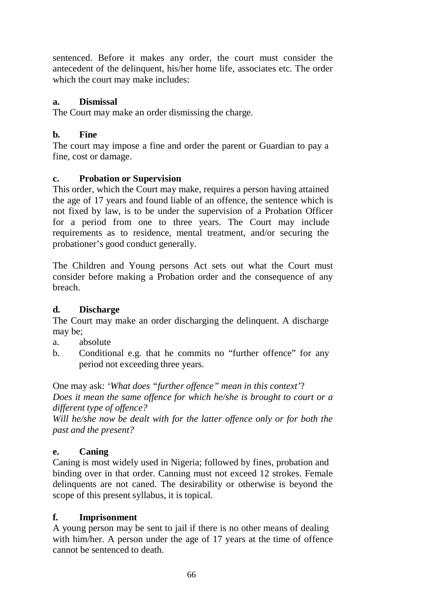sentenced. Before it makes any order, the court must consider the antecedent of the delinquent, his/her home life, associates etc. The order which the court may make includes:

#### **a. Dismissal**

The Court may make an order dismissing the charge.

### **b. Fine**

The court may impose a fine and order the parent or Guardian to pay a fine, cost or damage.

### **c. Probation or Supervision**

This order, which the Court may make, requires a person having attained the age of 17 years and found liable of an offence, the sentence which is not fixed by law, is to be under the supervision of a Probation Officer for a period from one to three years. The Court may include requirements as to residence, mental treatment, and/or securing the probationer's good conduct generally.

The Children and Young persons Act sets out what the Court must consider before making a Probation order and the consequence of any breach.

### **d. Discharge**

The Court may make an order discharging the delinquent. A discharge may be;

- a. absolute
- b. Conditional e.g. that he commits no "further offence" for any period not exceeding three years.

One may ask: *'What does "further offence" mean in this context'*? *Does it mean the same offence for which he/she is brought to court or a different type of offence?*

*Will he/she now be dealt with for the latter offence only or for both the past and the present?*

## **e. Caning**

Caning is most widely used in Nigeria; followed by fines, probation and binding over in that order. Canning must not exceed 12 strokes. Female delinquents are not caned. The desirability or otherwise is beyond the scope of this present syllabus, it is topical.

#### **f. Imprisonment**

A young person may be sent to jail if there is no other means of dealing with him/her. A person under the age of 17 years at the time of offence cannot be sentenced to death.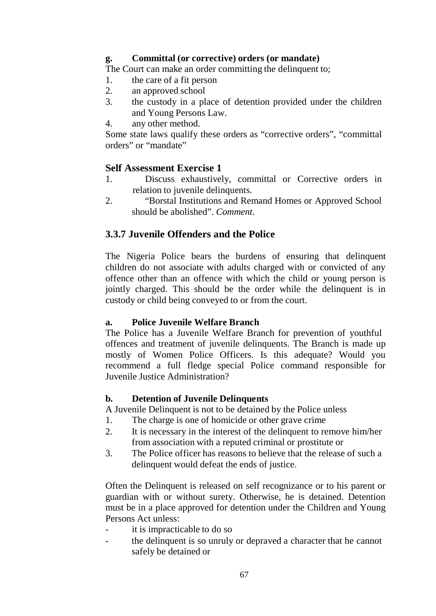#### **g. Committal (or corrective) orders (or mandate)**

The Court can make an order committing the delinquent to;

- 1. the care of a fit person
- 2. an approved school
- 3. the custody in a place of detention provided under the children and Young Persons Law.
- 4. any other method.

Some state laws qualify these orders as "corrective orders", "committal orders" or "mandate"

## **Self Assessment Exercise 1**

- 1. Discuss exhaustively, committal or Corrective orders in relation to juvenile delinquents.
- 2. "Borstal Institutions and Remand Homes or Approved School should be abolished". *Comment*.

# **3.3.7 Juvenile Offenders and the Police**

The Nigeria Police bears the burdens of ensuring that delinquent children do not associate with adults charged with or convicted of any offence other than an offence with which the child or young person is jointly charged. This should be the order while the delinquent is in custody or child being conveyed to or from the court.

## **a. Police Juvenile Welfare Branch**

The Police has a Juvenile Welfare Branch for prevention of youthful offences and treatment of juvenile delinquents. The Branch is made up mostly of Women Police Officers. Is this adequate? Would you recommend a full fledge special Police command responsible for Juvenile Justice Administration?

## **b. Detention of Juvenile Delinquents**

A Juvenile Delinquent is not to be detained by the Police unless

- 1. The charge is one of homicide or other grave crime
- 2. It is necessary in the interest of the delinquent to remove him/her from association with a reputed criminal or prostitute or
- 3. The Police officer has reasons to believe that the release of such a delinquent would defeat the ends of justice.

Often the Delinquent is released on self recognizance or to his parent or guardian with or without surety. Otherwise, he is detained. Detention must be in a place approved for detention under the Children and Young Persons Act unless:

- it is impracticable to do so
- the delinquent is so unruly or depraved a character that he cannot safely be detained or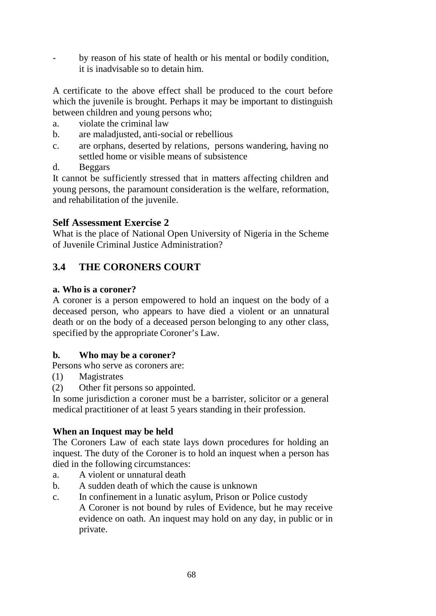by reason of his state of health or his mental or bodily condition, it is inadvisable so to detain him.

A certificate to the above effect shall be produced to the court before which the juvenile is brought. Perhaps it may be important to distinguish between children and young persons who;

- a. violate the criminal law
- b. are maladjusted, anti-social or rebellious
- c. are orphans, deserted by relations, persons wandering, having no settled home or visible means of subsistence
- d. Beggars

It cannot be sufficiently stressed that in matters affecting children and young persons, the paramount consideration is the welfare, reformation, and rehabilitation of the juvenile.

## **Self Assessment Exercise 2**

What is the place of National Open University of Nigeria in the Scheme of Juvenile Criminal Justice Administration?

# **3.4 THE CORONERS COURT**

### **a. Who is a coroner?**

A coroner is a person empowered to hold an inquest on the body of a deceased person, who appears to have died a violent or an unnatural death or on the body of a deceased person belonging to any other class, specified by the appropriate Coroner's Law.

## **b. Who may be a coroner?**

Persons who serve as coroners are:

- (1) Magistrates
- (2) Other fit persons so appointed.

In some jurisdiction a coroner must be a barrister, solicitor or a general medical practitioner of at least 5 years standing in their profession.

#### **When an Inquest may be held**

The Coroners Law of each state lays down procedures for holding an inquest. The duty of the Coroner is to hold an inquest when a person has died in the following circumstances:

- a. A violent or unnatural death
- b. A sudden death of which the cause is unknown
- c. In confinement in a lunatic asylum, Prison or Police custody A Coroner is not bound by rules of Evidence, but he may receive evidence on oath. An inquest may hold on any day, in public or in private.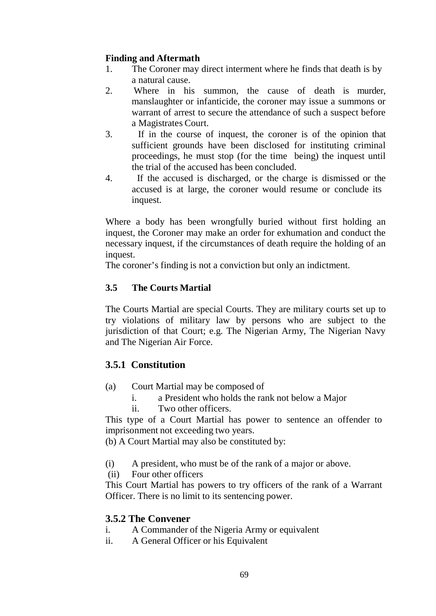### **Finding and Aftermath**

- 1. The Coroner may direct interment where he finds that death is by a natural cause.
- 2. Where in his summon, the cause of death is murder, manslaughter or infanticide, the coroner may issue a summons or warrant of arrest to secure the attendance of such a suspect before a Magistrates Court.
- 3. If in the course of inquest, the coroner is of the opinion that sufficient grounds have been disclosed for instituting criminal proceedings, he must stop (for the time being) the inquest until the trial of the accused has been concluded.
- 4. If the accused is discharged, or the charge is dismissed or the accused is at large, the coroner would resume or conclude its inquest.

Where a body has been wrongfully buried without first holding an inquest, the Coroner may make an order for exhumation and conduct the necessary inquest, if the circumstances of death require the holding of an inquest.

The coroner's finding is not a conviction but only an indictment.

### **3.5 The Courts Martial**

The Courts Martial are special Courts. They are military courts set up to try violations of military law by persons who are subject to the jurisdiction of that Court; e.g. The Nigerian Army, The Nigerian Navy and The Nigerian Air Force.

## **3.5.1 Constitution**

- (a) Court Martial may be composed of
	- i. a President who holds the rank not below a Major
	- ii. Two other officers.

This type of a Court Martial has power to sentence an offender to imprisonment not exceeding two years.

(b) A Court Martial may also be constituted by:

- (i) A president, who must be of the rank of a major or above.
- (ii) Four other officers

This Court Martial has powers to try officers of the rank of a Warrant Officer. There is no limit to its sentencing power.

## **3.5.2 The Convener**

- i. A Commander of the Nigeria Army or equivalent
- ii. A General Officer or his Equivalent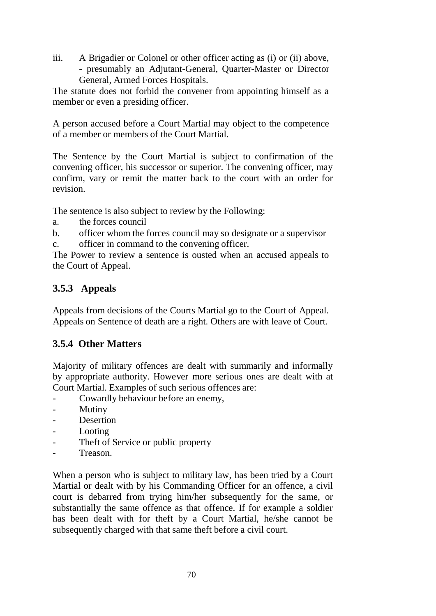iii. A Brigadier or Colonel or other officer acting as (i) or (ii) above, - presumably an Adjutant-General, Quarter-Master or Director General, Armed Forces Hospitals.

The statute does not forbid the convener from appointing himself as a member or even a presiding officer.

A person accused before a Court Martial may object to the competence of a member or members of the Court Martial.

The Sentence by the Court Martial is subject to confirmation of the convening officer, his successor or superior. The convening officer, may confirm, vary or remit the matter back to the court with an order for revision.

The sentence is also subject to review by the Following:

- a. the forces council
- b. officer whom the forces council may so designate or a supervisor c. officer in command to the convening officer.

The Power to review a sentence is ousted when an accused appeals to the Court of Appeal.

# **3.5.3 Appeals**

Appeals from decisions of the Courts Martial go to the Court of Appeal. Appeals on Sentence of death are a right. Others are with leave of Court.

# **3.5.4 Other Matters**

Majority of military offences are dealt with summarily and informally by appropriate authority. However more serious ones are dealt with at Court Martial. Examples of such serious offences are:

- Cowardly behaviour before an enemy,
- Mutiny
- **Desertion**
- **Looting**
- Theft of Service or public property
- Treason.

When a person who is subject to military law, has been tried by a Court Martial or dealt with by his Commanding Officer for an offence, a civil court is debarred from trying him/her subsequently for the same, or substantially the same offence as that offence. If for example a soldier has been dealt with for theft by a Court Martial, he/she cannot be subsequently charged with that same theft before a civil court.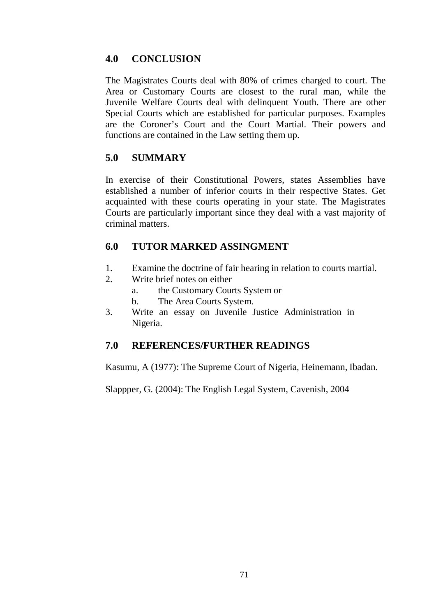## **4.0 CONCLUSION**

The Magistrates Courts deal with 80% of crimes charged to court. The Area or Customary Courts are closest to the rural man, while the Juvenile Welfare Courts deal with delinquent Youth. There are other Special Courts which are established for particular purposes. Examples are the Coroner's Court and the Court Martial. Their powers and functions are contained in the Law setting them up.

## **5.0 SUMMARY**

In exercise of their Constitutional Powers, states Assemblies have established a number of inferior courts in their respective States. Get acquainted with these courts operating in your state. The Magistrates Courts are particularly important since they deal with a vast majority of criminal matters.

## **6.0 TUTOR MARKED ASSINGMENT**

- 1. Examine the doctrine of fair hearing in relation to courts martial.
- 2. Write brief notes on either
	- a. the Customary Courts System or
	- b. The Area Courts System.
- 3. Write an essay on Juvenile Justice Administration in Nigeria.

# **7.0 REFERENCES/FURTHER READINGS**

Kasumu, A (1977): The Supreme Court of Nigeria, Heinemann, Ibadan.

Slappper, G. (2004): The English Legal System, Cavenish, 2004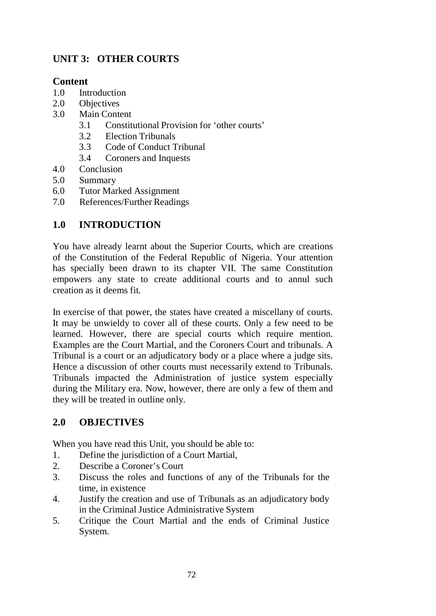# **UNIT 3: OTHER COURTS**

### **Content**

- 1.0 Introduction
- 2.0 Objectives
- 3.0 Main Content
	- 3.1 Constitutional Provision for 'other courts'
	- 3.2 Election Tribunals
	- 3.3 Code of Conduct Tribunal
	- 3.4 Coroners and Inquests
- 4.0 Conclusion
- 5.0 Summary
- 6.0 Tutor Marked Assignment
- 7.0 References/Further Readings

## **1.0 INTRODUCTION**

You have already learnt about the Superior Courts, which are creations of the Constitution of the Federal Republic of Nigeria. Your attention has specially been drawn to its chapter VII. The same Constitution empowers any state to create additional courts and to annul such creation as it deems fit.

In exercise of that power, the states have created a miscellany of courts. It may be unwieldy to cover all of these courts. Only a few need to be learned. However, there are special courts which require mention. Examples are the Court Martial, and the Coroners Court and tribunals. A Tribunal is a court or an adjudicatory body or a place where a judge sits. Hence a discussion of other courts must necessarily extend to Tribunals. Tribunals impacted the Administration of justice system especially during the Military era. Now, however, there are only a few of them and they will be treated in outline only.

## **2.0 OBJECTIVES**

When you have read this Unit, you should be able to:

- 1. Define the jurisdiction of a Court Martial,
- 2. Describe a Coroner's Court
- 3. Discuss the roles and functions of any of the Tribunals for the time, in existence
- 4. Justify the creation and use of Tribunals as an adjudicatory body in the Criminal Justice Administrative System
- 5. Critique the Court Martial and the ends of Criminal Justice System.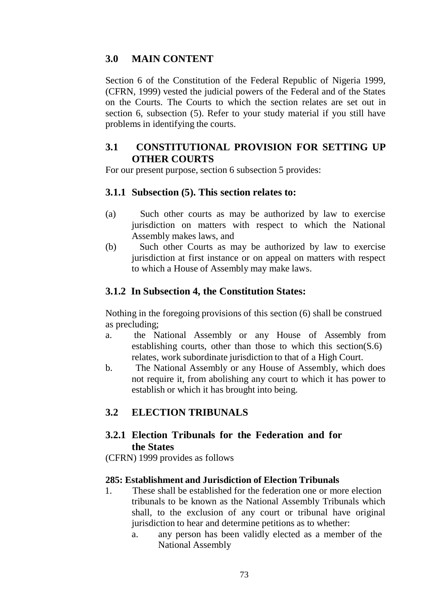## **3.0 MAIN CONTENT**

Section 6 of the Constitution of the Federal Republic of Nigeria 1999, (CFRN, 1999) vested the judicial powers of the Federal and of the States on the Courts. The Courts to which the section relates are set out in section 6, subsection (5). Refer to your study material if you still have problems in identifying the courts.

### **3.1 CONSTITUTIONAL PROVISION FOR SETTING UP OTHER COURTS**

For our present purpose, section 6 subsection 5 provides:

#### **3.1.1 Subsection (5). This section relates to:**

- (a) Such other courts as may be authorized by law to exercise jurisdiction on matters with respect to which the National Assembly makes laws, and
- (b) Such other Courts as may be authorized by law to exercise jurisdiction at first instance or on appeal on matters with respect to which a House of Assembly may make laws.

### **3.1.2 In Subsection 4, the Constitution States:**

Nothing in the foregoing provisions of this section (6) shall be construed as precluding;

- a. the National Assembly or any House of Assembly from establishing courts, other than those to which this section( $S.6$ ) relates, work subordinate jurisdiction to that of a High Court.
- b. The National Assembly or any House of Assembly, which does not require it, from abolishing any court to which it has power to establish or which it has brought into being.

## **3.2 ELECTION TRIBUNALS**

## **3.2.1 Election Tribunals for the Federation and for the States**

(CFRN) 1999 provides as follows

#### **285: Establishment and Jurisdiction of Election Tribunals**

- 1. These shall be established for the federation one or more election tribunals to be known as the National Assembly Tribunals which shall, to the exclusion of any court or tribunal have original jurisdiction to hear and determine petitions as to whether:
	- a. any person has been validly elected as a member of the National Assembly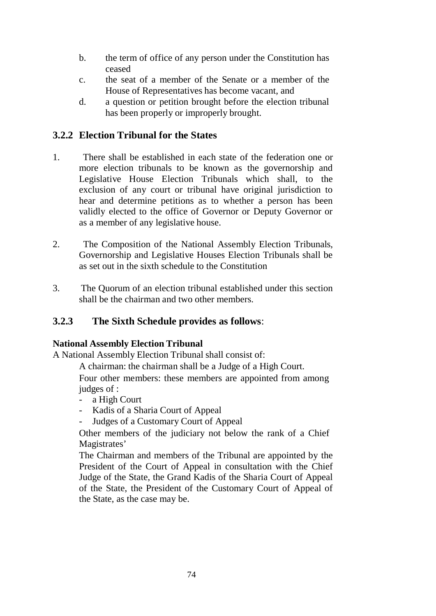- b. the term of office of any person under the Constitution has ceased
- c. the seat of a member of the Senate or a member of the House of Representatives has become vacant, and
- d. a question or petition brought before the election tribunal has been properly or improperly brought.

## **3.2.2 Election Tribunal for the States**

- 1. There shall be established in each state of the federation one or more election tribunals to be known as the governorship and Legislative House Election Tribunals which shall, to the exclusion of any court or tribunal have original jurisdiction to hear and determine petitions as to whether a person has been validly elected to the office of Governor or Deputy Governor or as a member of any legislative house.
- 2. The Composition of the National Assembly Election Tribunals, Governorship and Legislative Houses Election Tribunals shall be as set out in the sixth schedule to the Constitution
- 3. The Quorum of an election tribunal established under this section shall be the chairman and two other members.

### **3.2.3 The Sixth Schedule provides as follows**:

#### **National Assembly Election Tribunal**

A National Assembly Election Tribunal shall consist of:

A chairman: the chairman shall be a Judge of a High Court.

Four other members: these members are appointed from among judges of :

- a High Court
- Kadis of a Sharia Court of Appeal
- Judges of a Customary Court of Appeal

Other members of the judiciary not below the rank of a Chief Magistrates'

The Chairman and members of the Tribunal are appointed by the President of the Court of Appeal in consultation with the Chief Judge of the State, the Grand Kadis of the Sharia Court of Appeal of the State, the President of the Customary Court of Appeal of the State, as the case may be.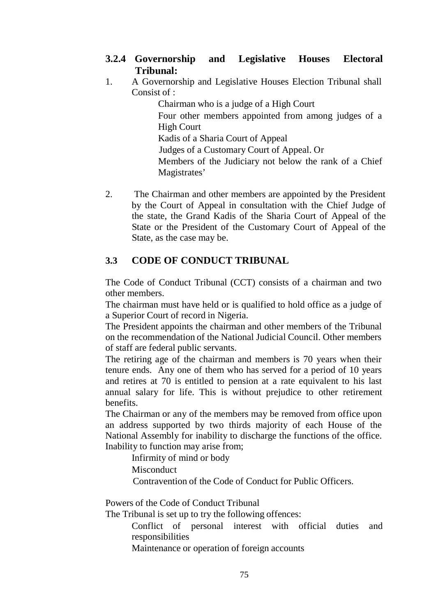- **3.2.4 Governorship and Legislative Houses Electoral Tribunal:**
- 1. A Governorship and Legislative Houses Election Tribunal shall Consist of :

Chairman who is a judge of a High Court Four other members appointed from among judges of a High Court Kadis of a Sharia Court of Appeal Judges of a Customary Court of Appeal. Or Members of the Judiciary not below the rank of a Chief Magistrates'

2. The Chairman and other members are appointed by the President by the Court of Appeal in consultation with the Chief Judge of the state, the Grand Kadis of the Sharia Court of Appeal of the State or the President of the Customary Court of Appeal of the State, as the case may be.

## **3.3 CODE OF CONDUCT TRIBUNAL**

The Code of Conduct Tribunal (CCT) consists of a chairman and two other members.

The chairman must have held or is qualified to hold office as a judge of a Superior Court of record in Nigeria.

The President appoints the chairman and other members of the Tribunal on the recommendation of the National Judicial Council. Other members of staff are federal public servants.

The retiring age of the chairman and members is 70 years when their tenure ends. Any one of them who has served for a period of 10 years and retires at 70 is entitled to pension at a rate equivalent to his last annual salary for life. This is without prejudice to other retirement benefits.

The Chairman or any of the members may be removed from office upon an address supported by two thirds majority of each House of the National Assembly for inability to discharge the functions of the office. Inability to function may arise from;

Infirmity of mind or body **Misconduct** 

Contravention of the Code of Conduct for Public Officers.

Powers of the Code of Conduct Tribunal

The Tribunal is set up to try the following offences:

Conflict of personal interest with official duties and responsibilities

Maintenance or operation of foreign accounts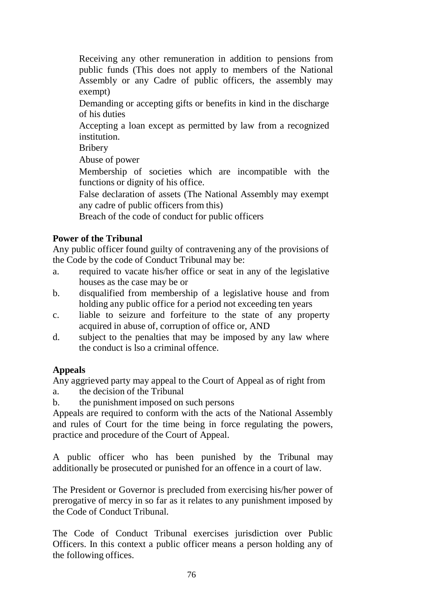Receiving any other remuneration in addition to pensions from public funds (This does not apply to members of the National Assembly or any Cadre of public officers, the assembly may exempt)

Demanding or accepting gifts or benefits in kind in the discharge of his duties

Accepting a loan except as permitted by law from a recognized institution.

Bribery

Abuse of power

Membership of societies which are incompatible with the functions or dignity of his office.

False declaration of assets (The National Assembly may exempt any cadre of public officers from this)

Breach of the code of conduct for public officers

#### **Power of the Tribunal**

Any public officer found guilty of contravening any of the provisions of the Code by the code of Conduct Tribunal may be:

- a. required to vacate his/her office or seat in any of the legislative houses as the case may be or
- b. disqualified from membership of a legislative house and from holding any public office for a period not exceeding ten years
- c. liable to seizure and forfeiture to the state of any property acquired in abuse of, corruption of office or, AND
- d. subject to the penalties that may be imposed by any law where the conduct is lso a criminal offence.

#### **Appeals**

Any aggrieved party may appeal to the Court of Appeal as of right from

- a. the decision of the Tribunal
- b. the punishment imposed on such persons

Appeals are required to conform with the acts of the National Assembly and rules of Court for the time being in force regulating the powers, practice and procedure of the Court of Appeal.

A public officer who has been punished by the Tribunal may additionally be prosecuted or punished for an offence in a court of law.

The President or Governor is precluded from exercising his/her power of prerogative of mercy in so far as it relates to any punishment imposed by the Code of Conduct Tribunal.

The Code of Conduct Tribunal exercises jurisdiction over Public Officers. In this context a public officer means a person holding any of the following offices.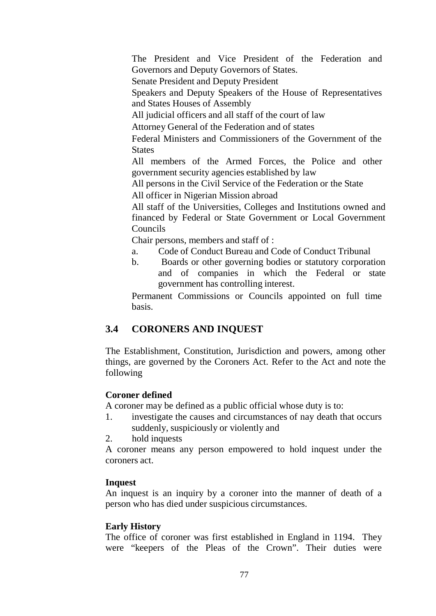The President and Vice President of the Federation and Governors and Deputy Governors of States.

Senate President and Deputy President

Speakers and Deputy Speakers of the House of Representatives and States Houses of Assembly

All judicial officers and all staff of the court of law

Attorney General of the Federation and of states

Federal Ministers and Commissioners of the Government of the **States** 

All members of the Armed Forces, the Police and other government security agencies established by law

All persons in the Civil Service of the Federation or the State

All officer in Nigerian Mission abroad

All staff of the Universities, Colleges and Institutions owned and financed by Federal or State Government or Local Government Councils

Chair persons, members and staff of :

- a. Code of Conduct Bureau and Code of Conduct Tribunal
- b. Boards or other governing bodies or statutory corporation and of companies in which the Federal or state government has controlling interest.

Permanent Commissions or Councils appointed on full time basis.

### **3.4 CORONERS AND INQUEST**

The Establishment, Constitution, Jurisdiction and powers, among other things, are governed by the Coroners Act. Refer to the Act and note the following

#### **Coroner defined**

A coroner may be defined as a public official whose duty is to:

- 1. investigate the causes and circumstances of nay death that occurs suddenly, suspiciously or violently and
- 2. hold inquests

A coroner means any person empowered to hold inquest under the coroners act.

#### **Inquest**

An inquest is an inquiry by a coroner into the manner of death of a person who has died under suspicious circumstances.

#### **Early History**

The office of coroner was first established in England in 1194. They were "keepers of the Pleas of the Crown". Their duties were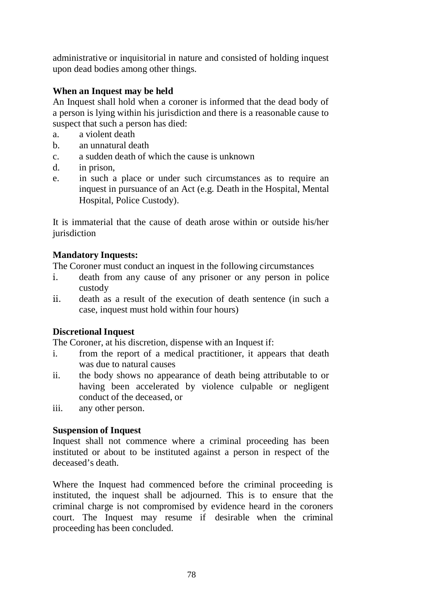administrative or inquisitorial in nature and consisted of holding inquest upon dead bodies among other things.

### **When an Inquest may be held**

An Inquest shall hold when a coroner is informed that the dead body of a person is lying within his jurisdiction and there is a reasonable cause to suspect that such a person has died:

- a. a violent death
- b. an unnatural death
- c. a sudden death of which the cause is unknown
- d. in prison,
- e. in such a place or under such circumstances as to require an inquest in pursuance of an Act (e.g. Death in the Hospital, Mental Hospital, Police Custody).

It is immaterial that the cause of death arose within or outside his/her jurisdiction

#### **Mandatory Inquests:**

The Coroner must conduct an inquest in the following circumstances

- i. death from any cause of any prisoner or any person in police custody
- ii. death as a result of the execution of death sentence (in such a case, inquest must hold within four hours)

#### **Discretional Inquest**

The Coroner, at his discretion, dispense with an Inquest if:

- i. from the report of a medical practitioner, it appears that death was due to natural causes
- ii. the body shows no appearance of death being attributable to or having been accelerated by violence culpable or negligent conduct of the deceased, or
- iii. any other person.

#### **Suspension of Inquest**

Inquest shall not commence where a criminal proceeding has been instituted or about to be instituted against a person in respect of the deceased's death.

Where the Inquest had commenced before the criminal proceeding is instituted, the inquest shall be adjourned. This is to ensure that the criminal charge is not compromised by evidence heard in the coroners court. The Inquest may resume if desirable when the criminal proceeding has been concluded.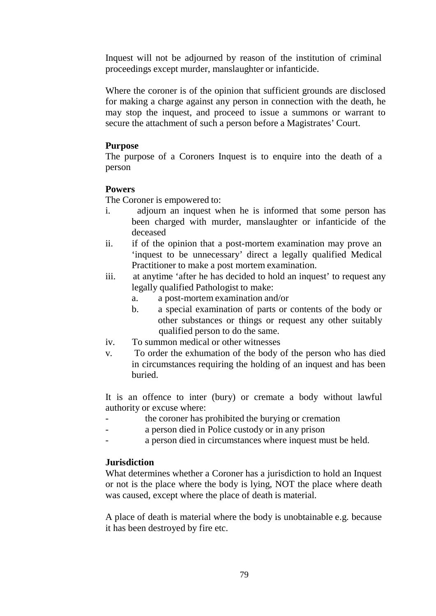Inquest will not be adjourned by reason of the institution of criminal proceedings except murder, manslaughter or infanticide.

Where the coroner is of the opinion that sufficient grounds are disclosed for making a charge against any person in connection with the death, he may stop the inquest, and proceed to issue a summons or warrant to secure the attachment of such a person before a Magistrates' Court.

#### **Purpose**

The purpose of a Coroners Inquest is to enquire into the death of a person

#### **Powers**

The Coroner is empowered to:

- i. adjourn an inquest when he is informed that some person has been charged with murder, manslaughter or infanticide of the deceased
- ii. if of the opinion that a post-mortem examination may prove an 'inquest to be unnecessary' direct a legally qualified Medical Practitioner to make a post mortem examination.
- iii. at anytime 'after he has decided to hold an inquest' to request any legally qualified Pathologist to make:
	- a. a post-mortem examination and/or
	- b. a special examination of parts or contents of the body or other substances or things or request any other suitably qualified person to do the same.
- iv. To summon medical or other witnesses
- v. To order the exhumation of the body of the person who has died in circumstances requiring the holding of an inquest and has been buried.

It is an offence to inter (bury) or cremate a body without lawful authority or excuse where:

- the coroner has prohibited the burying or cremation
- a person died in Police custody or in any prison
- a person died in circumstances where inquest must be held.

#### **Jurisdiction**

What determines whether a Coroner has a jurisdiction to hold an Inquest or not is the place where the body is lying, NOT the place where death was caused, except where the place of death is material.

A place of death is material where the body is unobtainable e.g. because it has been destroyed by fire etc.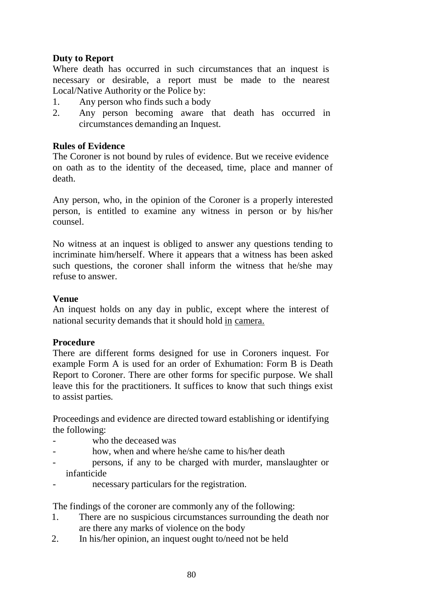#### **Duty to Report**

Where death has occurred in such circumstances that an inquest is necessary or desirable, a report must be made to the nearest Local/Native Authority or the Police by:

- 1. Any person who finds such a body
- 2. Any person becoming aware that death has occurred in circumstances demanding an Inquest.

#### **Rules of Evidence**

The Coroner is not bound by rules of evidence. But we receive evidence on oath as to the identity of the deceased, time, place and manner of death.

Any person, who, in the opinion of the Coroner is a properly interested person, is entitled to examine any witness in person or by his/her counsel.

No witness at an inquest is obliged to answer any questions tending to incriminate him/herself. Where it appears that a witness has been asked such questions, the coroner shall inform the witness that he/she may refuse to answer.

#### **Venue**

An inquest holds on any day in public, except where the interest of national security demands that it should hold in camera.

#### **Procedure**

There are different forms designed for use in Coroners inquest. For example Form A is used for an order of Exhumation: Form B is Death Report to Coroner. There are other forms for specific purpose. We shall leave this for the practitioners. It suffices to know that such things exist to assist parties.

Proceedings and evidence are directed toward establishing or identifying the following:

- who the deceased was
- how, when and where he/she came to his/her death
- persons, if any to be charged with murder, manslaughter or infanticide
- necessary particulars for the registration.

The findings of the coroner are commonly any of the following:

- 1. There are no suspicious circumstances surrounding the death nor are there any marks of violence on the body
- 2. In his/her opinion, an inquest ought to/need not be held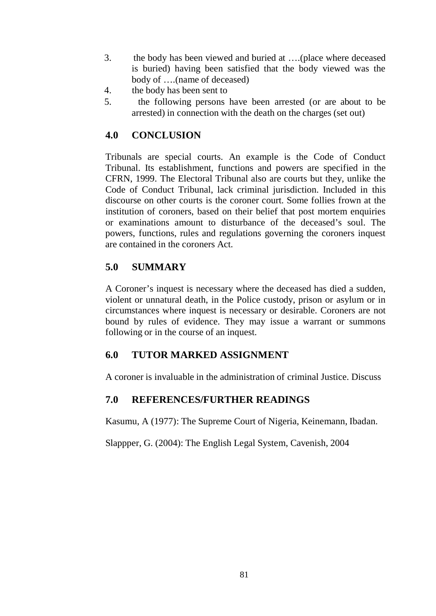- 3. the body has been viewed and buried at ….(place where deceased is buried) having been satisfied that the body viewed was the body of ….(name of deceased)
- 4. the body has been sent to
- 5. the following persons have been arrested (or are about to be arrested) in connection with the death on the charges (set out)

## **4.0 CONCLUSION**

Tribunals are special courts. An example is the Code of Conduct Tribunal. Its establishment, functions and powers are specified in the CFRN, 1999. The Electoral Tribunal also are courts but they, unlike the Code of Conduct Tribunal, lack criminal jurisdiction. Included in this discourse on other courts is the coroner court. Some follies frown at the institution of coroners, based on their belief that post mortem enquiries or examinations amount to disturbance of the deceased's soul. The powers, functions, rules and regulations governing the coroners inquest are contained in the coroners Act.

## **5.0 SUMMARY**

A Coroner's inquest is necessary where the deceased has died a sudden, violent or unnatural death, in the Police custody, prison or asylum or in circumstances where inquest is necessary or desirable. Coroners are not bound by rules of evidence. They may issue a warrant or summons following or in the course of an inquest.

### **6.0 TUTOR MARKED ASSIGNMENT**

A coroner is invaluable in the administration of criminal Justice. Discuss

### **7.0 REFERENCES/FURTHER READINGS**

Kasumu, A (1977): The Supreme Court of Nigeria, Keinemann, Ibadan.

Slappper, G. (2004): The English Legal System, Cavenish, 2004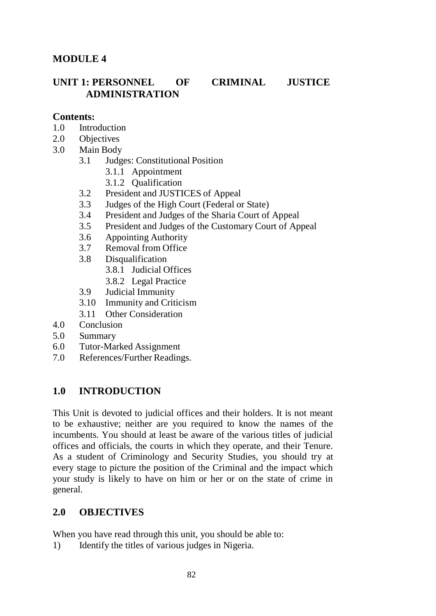### **MODULE 4**

### **UNIT 1: PERSONNEL OF CRIMINAL JUSTICE ADMINISTRATION**

#### **Contents:**

- 1.0 Introduction
- 2.0 Objectives
- 3.0 Main Body
	- 3.1 Judges: Constitutional Position
		- 3.1.1 Appointment
		- 3.1.2 Qualification
	- 3.2 President and JUSTICES of Appeal
	- 3.3 Judges of the High Court (Federal or State)
	- 3.4 President and Judges of the Sharia Court of Appeal
	- 3.5 President and Judges of the Customary Court of Appeal
	- 3.6 Appointing Authority
	- 3.7 Removal from Office
	- 3.8 Disqualification
		- 3.8.1 Judicial Offices
		- 3.8.2 Legal Practice
	- 3.9 Judicial Immunity
	- 3.10 Immunity and Criticism
	- 3.11 Other Consideration
- 4.0 Conclusion
- 5.0 Summary
- 6.0 Tutor-Marked Assignment
- 7.0 References/Further Readings.

#### **1.0 INTRODUCTION**

This Unit is devoted to judicial offices and their holders. It is not meant to be exhaustive; neither are you required to know the names of the incumbents. You should at least be aware of the various titles of judicial offices and officials, the courts in which they operate, and their Tenure. As a student of Criminology and Security Studies, you should try at every stage to picture the position of the Criminal and the impact which your study is likely to have on him or her or on the state of crime in general.

#### **2.0 OBJECTIVES**

When you have read through this unit, you should be able to:

1) Identify the titles of various judges in Nigeria.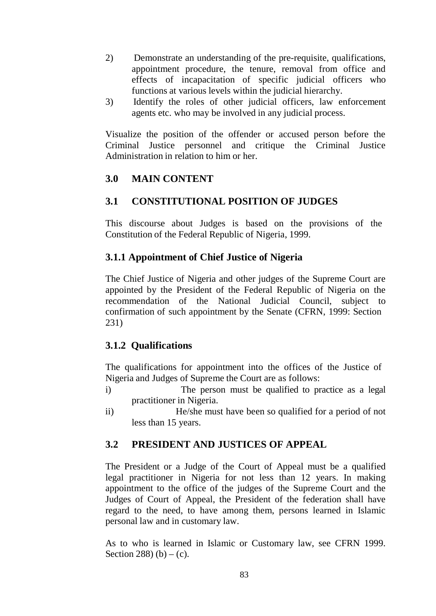- 2) Demonstrate an understanding of the pre-requisite, qualifications, appointment procedure, the tenure, removal from office and effects of incapacitation of specific judicial officers who functions at various levels within the judicial hierarchy.
- 3) Identify the roles of other judicial officers, law enforcement agents etc. who may be involved in any judicial process.

Visualize the position of the offender or accused person before the Criminal Justice personnel and critique the Criminal Justice Administration in relation to him or her.

## **3.0 MAIN CONTENT**

### **3.1 CONSTITUTIONAL POSITION OF JUDGES**

This discourse about Judges is based on the provisions of the Constitution of the Federal Republic of Nigeria, 1999.

### **3.1.1 Appointment of Chief Justice of Nigeria**

The Chief Justice of Nigeria and other judges of the Supreme Court are appointed by the President of the Federal Republic of Nigeria on the recommendation of the National Judicial Council, subject to confirmation of such appointment by the Senate (CFRN, 1999: Section 231)

### **3.1.2 Qualifications**

The qualifications for appointment into the offices of the Justice of Nigeria and Judges of Supreme the Court are as follows:

- i) The person must be qualified to practice as a legal practitioner in Nigeria.
- ii) He/she must have been so qualified for a period of not less than 15 years.

### **3.2 PRESIDENT AND JUSTICES OF APPEAL**

The President or a Judge of the Court of Appeal must be a qualified legal practitioner in Nigeria for not less than 12 years. In making appointment to the office of the judges of the Supreme Court and the Judges of Court of Appeal, the President of the federation shall have regard to the need, to have among them, persons learned in Islamic personal law and in customary law.

As to who is learned in Islamic or Customary law, see CFRN 1999. Section 288) (b) – (c).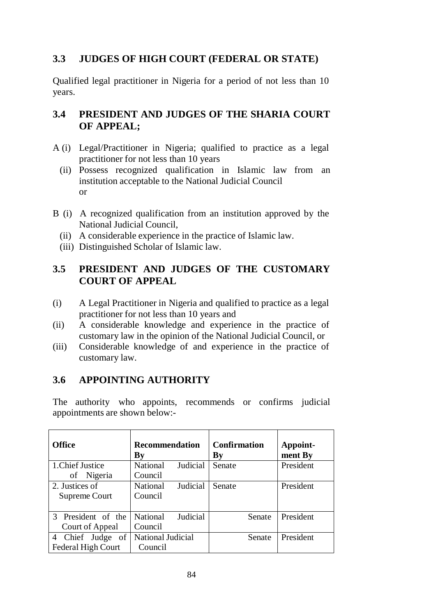## **3.3 JUDGES OF HIGH COURT (FEDERAL OR STATE)**

Qualified legal practitioner in Nigeria for a period of not less than 10 years.

## **3.4 PRESIDENT AND JUDGES OF THE SHARIA COURT OF APPEAL;**

- A (i) Legal/Practitioner in Nigeria; qualified to practice as a legal practitioner for not less than 10 years
	- (ii) Possess recognized qualification in Islamic law from an institution acceptable to the National Judicial Council or
- B (i) A recognized qualification from an institution approved by the National Judicial Council,
	- (ii) A considerable experience in the practice of Islamic law.
	- (iii) Distinguished Scholar of Islamic law.

### **3.5 PRESIDENT AND JUDGES OF THE CUSTOMARY COURT OF APPEAL**

- (i) A Legal Practitioner in Nigeria and qualified to practice as a legal practitioner for not less than 10 years and
- (ii) A considerable knowledge and experience in the practice of customary law in the opinion of the National Judicial Council, or
- (iii) Considerable knowledge of and experience in the practice of customary law.

## **3.6 APPOINTING AUTHORITY**

The authority who appoints, recommends or confirms judicial appointments are shown below:-

| <b>Office</b>                                    | <b>Recommendation</b><br>By            | <b>Confirmation</b><br>By | Appoint-<br>ment By |
|--------------------------------------------------|----------------------------------------|---------------------------|---------------------|
| 1. Chief Justice<br>of Nigeria                   | Judicial<br><b>National</b><br>Council | Senate                    | President           |
| 2. Justices of<br>Supreme Court                  | Judicial<br><b>National</b><br>Council | Senate                    | President           |
| 3 President of the<br>Court of Appeal            | Judicial<br><b>National</b><br>Council | Senate                    | President           |
| Chief Judge of<br>4<br><b>Federal High Court</b> | National Judicial<br>Council           | <b>Senate</b>             | President           |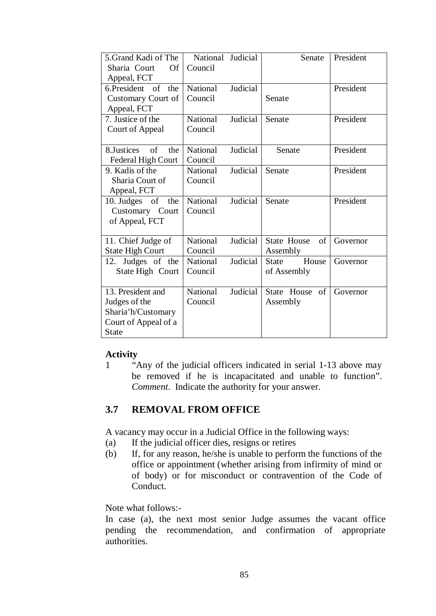| 5. Grand Kadi of The<br>Sharia Court<br>Of | National Judicial<br>Council |          | Senate                   | President |
|--------------------------------------------|------------------------------|----------|--------------------------|-----------|
| Appeal, FCT                                |                              |          |                          |           |
| 6.President of<br>the                      | National                     | Judicial |                          | President |
| Customary Court of                         | Council                      |          | Senate                   |           |
| Appeal, FCT                                |                              |          |                          |           |
| 7. Justice of the                          | National                     | Judicial | Senate                   | President |
| Court of Appeal                            | Council                      |          |                          |           |
|                                            |                              |          |                          |           |
| 8. Justices of<br>the                      | National                     | Judicial | Senate                   | President |
| Federal High Court                         | Council                      |          |                          |           |
| 9. Kadis of the                            | National                     | Judicial | Senate                   | President |
| Sharia Court of                            | Council                      |          |                          |           |
| Appeal, FCT                                |                              |          |                          |           |
| 10. Judges of<br>the                       | National                     | Judicial | Senate                   | President |
| Customary Court                            | Council                      |          |                          |           |
| of Appeal, FCT                             |                              |          |                          |           |
|                                            |                              |          |                          |           |
| 11. Chief Judge of                         | <b>National</b>              | Judicial | <b>State House</b><br>of | Governor  |
| <b>State High Court</b>                    | Council                      |          | Assembly                 |           |
| Judges of the<br>12.                       | <b>National</b>              | Judicial | House<br><b>State</b>    | Governor  |
| State High Court                           | Council                      |          | of Assembly              |           |
|                                            |                              |          |                          |           |
| 13. President and                          | National                     | Judicial | State House of           | Governor  |
| Judges of the                              | Council                      |          | Assembly                 |           |
| Sharia'h/Customary                         |                              |          |                          |           |
| Court of Appeal of a                       |                              |          |                          |           |
| <b>State</b>                               |                              |          |                          |           |

#### **Activity**

1 "Any of the judicial officers indicated in serial 1-13 above may be removed if he is incapacitated and unable to function". *Comment*. Indicate the authority for your answer.

## **3.7 REMOVAL FROM OFFICE**

A vacancy may occur in a Judicial Office in the following ways:

- (a) If the judicial officer dies, resigns or retires
- (b) If, for any reason, he/she is unable to perform the functions of the office or appointment (whether arising from infirmity of mind or of body) or for misconduct or contravention of the Code of Conduct.

Note what follows:-

In case (a), the next most senior Judge assumes the vacant office pending the recommendation, and confirmation of appropriate authorities.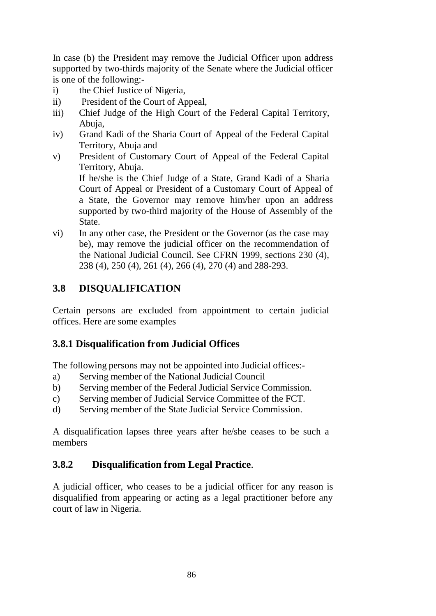In case (b) the President may remove the Judicial Officer upon address supported by two-thirds majority of the Senate where the Judicial officer is one of the following:-

- i) the Chief Justice of Nigeria,
- ii) President of the Court of Appeal,
- iii) Chief Judge of the High Court of the Federal Capital Territory, Abuja,
- iv) Grand Kadi of the Sharia Court of Appeal of the Federal Capital Territory, Abuja and
- v) President of Customary Court of Appeal of the Federal Capital Territory, Abuja.

If he/she is the Chief Judge of a State, Grand Kadi of a Sharia Court of Appeal or President of a Customary Court of Appeal of a State, the Governor may remove him/her upon an address supported by two-third majority of the House of Assembly of the State.

vi) In any other case, the President or the Governor (as the case may be), may remove the judicial officer on the recommendation of the National Judicial Council. See CFRN 1999, sections 230 (4), 238 (4), 250 (4), 261 (4), 266 (4), 270 (4) and 288-293.

# **3.8 DISQUALIFICATION**

Certain persons are excluded from appointment to certain judicial offices. Here are some examples

## **3.8.1 Disqualification from Judicial Offices**

The following persons may not be appointed into Judicial offices:-

- a) Serving member of the National Judicial Council
- b) Serving member of the Federal Judicial Service Commission.
- c) Serving member of Judicial Service Committee of the FCT.
- d) Serving member of the State Judicial Service Commission.

A disqualification lapses three years after he/she ceases to be such a members

## **3.8.2 Disqualification from Legal Practice**.

A judicial officer, who ceases to be a judicial officer for any reason is disqualified from appearing or acting as a legal practitioner before any court of law in Nigeria.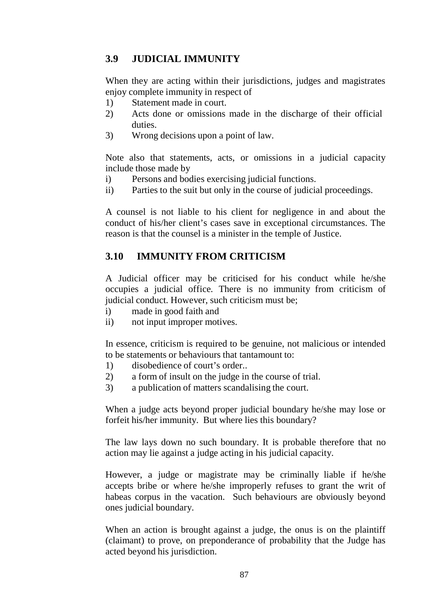## **3.9 JUDICIAL IMMUNITY**

When they are acting within their jurisdictions, judges and magistrates enjoy complete immunity in respect of

- 1) Statement made in court.
- 2) Acts done or omissions made in the discharge of their official duties.
- 3) Wrong decisions upon a point of law.

Note also that statements, acts, or omissions in a judicial capacity include those made by

- i) Persons and bodies exercising judicial functions.
- ii) Parties to the suit but only in the course of judicial proceedings.

A counsel is not liable to his client for negligence in and about the conduct of his/her client's cases save in exceptional circumstances. The reason is that the counsel is a minister in the temple of Justice.

### **3.10 IMMUNITY FROM CRITICISM**

A Judicial officer may be criticised for his conduct while he/she occupies a judicial office. There is no immunity from criticism of judicial conduct. However, such criticism must be;

- i) made in good faith and
- ii) not input improper motives.

In essence, criticism is required to be genuine, not malicious or intended to be statements or behaviours that tantamount to:

- 1) disobedience of court's order..
- 2) a form of insult on the judge in the course of trial.
- 3) a publication of matters scandalising the court.

When a judge acts beyond proper judicial boundary he/she may lose or forfeit his/her immunity. But where lies this boundary?

The law lays down no such boundary. It is probable therefore that no action may lie against a judge acting in his judicial capacity.

However, a judge or magistrate may be criminally liable if he/she accepts bribe or where he/she improperly refuses to grant the writ of habeas corpus in the vacation. Such behaviours are obviously beyond ones judicial boundary.

When an action is brought against a judge, the onus is on the plaintiff (claimant) to prove, on preponderance of probability that the Judge has acted beyond his jurisdiction.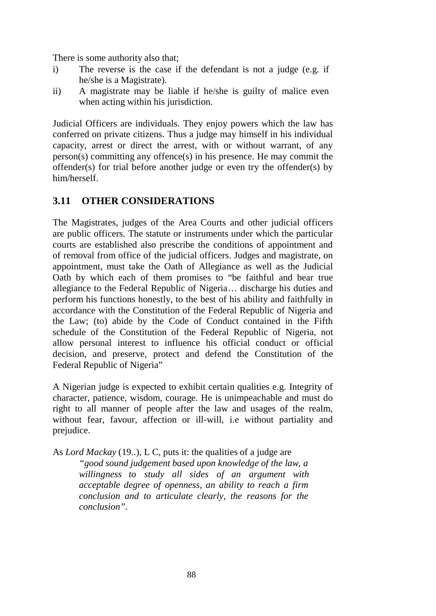There is some authority also that;

- i) The reverse is the case if the defendant is not a judge (e.g. if he/she is a Magistrate).
- ii) A magistrate may be liable if he/she is guilty of malice even when acting within his jurisdiction.

Judicial Officers are individuals. They enjoy powers which the law has conferred on private citizens. Thus a judge may himself in his individual capacity, arrest or direct the arrest, with or without warrant, of any person(s) committing any offence(s) in his presence. He may commit the offender(s) for trial before another judge or even try the offender(s) by him/herself.

## **3.11 OTHER CONSIDERATIONS**

The Magistrates, judges of the Area Courts and other judicial officers are public officers. The statute or instruments under which the particular courts are established also prescribe the conditions of appointment and of removal from office of the judicial officers. Judges and magistrate, on appointment, must take the Oath of Allegiance as well as the Judicial Oath by which each of them promises to "be faithful and bear true allegiance to the Federal Republic of Nigeria… discharge his duties and perform his functions honestly, to the best of his ability and faithfully in accordance with the Constitution of the Federal Republic of Nigeria and the Law; (to) abide by the Code of Conduct contained in the Fifth schedule of the Constitution of the Federal Republic of Nigeria, not allow personal interest to influence his official conduct or official decision, and preserve, protect and defend the Constitution of the Federal Republic of Nigeria"

A Nigerian judge is expected to exhibit certain qualities e.g. Integrity of character, patience, wisdom, courage. He is unimpeachable and must do right to all manner of people after the law and usages of the realm, without fear, favour, affection or ill-will, i.e without partiality and prejudice.

As *Lord Mackay* (19..), L C, puts it: the qualities of a judge are

*"good sound judgement based upon knowledge of the law, a willingness to study all sides of an argument with acceptable degree of openness, an ability to reach a firm conclusion and to articulate clearly, the reasons for the conclusion".*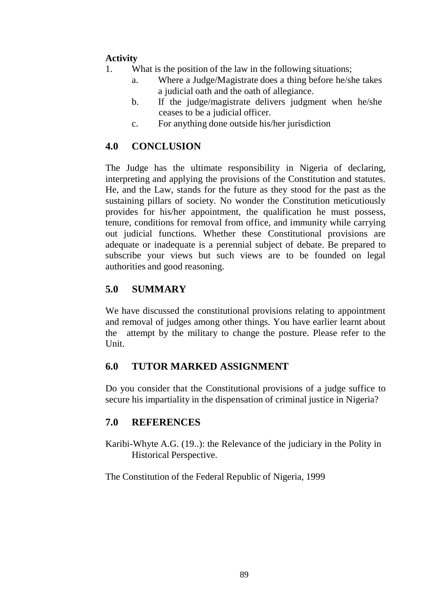## **Activity**

- 1. What is the position of the law in the following situations;
	- a. Where a Judge/Magistrate does a thing before he/she takes a judicial oath and the oath of allegiance.
	- b. If the judge/magistrate delivers judgment when he/she ceases to be a judicial officer.
	- c. For anything done outside his/her jurisdiction

## **4.0 CONCLUSION**

The Judge has the ultimate responsibility in Nigeria of declaring, interpreting and applying the provisions of the Constitution and statutes. He, and the Law, stands for the future as they stood for the past as the sustaining pillars of society. No wonder the Constitution meticutiously provides for his/her appointment, the qualification he must possess, tenure, conditions for removal from office, and immunity while carrying out judicial functions. Whether these Constitutional provisions are adequate or inadequate is a perennial subject of debate. Be prepared to subscribe your views but such views are to be founded on legal authorities and good reasoning.

## **5.0 SUMMARY**

We have discussed the constitutional provisions relating to appointment and removal of judges among other things. You have earlier learnt about the attempt by the military to change the posture. Please refer to the Unit.

### **6.0 TUTOR MARKED ASSIGNMENT**

Do you consider that the Constitutional provisions of a judge suffice to secure his impartiality in the dispensation of criminal justice in Nigeria?

### **7.0 REFERENCES**

Karibi-Whyte A.G. (19..): the Relevance of the judiciary in the Polity in Historical Perspective.

The Constitution of the Federal Republic of Nigeria, 1999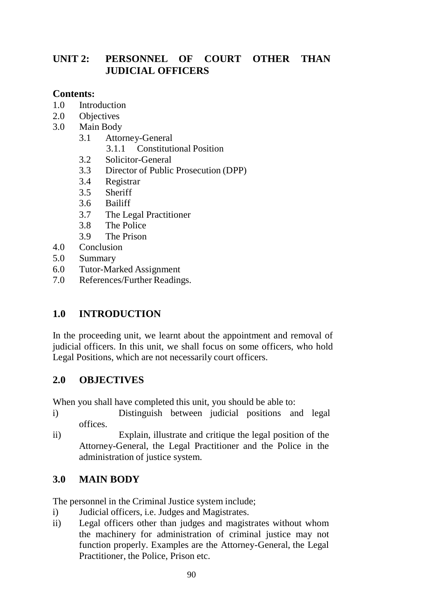## **UNIT 2: PERSONNEL OF COURT OTHER THAN JUDICIAL OFFICERS**

### **Contents:**

- 1.0 Introduction
- 2.0 Objectives
- 3.0 Main Body
	- 3.1 Attorney-General
		- 3.1.1 Constitutional Position
	- 3.2 Solicitor-General
	- 3.3 Director of Public Prosecution (DPP)
	- 3.4 Registrar
	- 3.5 Sheriff
	- 3.6 Bailiff
	- 3.7 The Legal Practitioner
	- 3.8 The Police
	- 3.9 The Prison
- 4.0 Conclusion
- 5.0 Summary
- 6.0 Tutor-Marked Assignment
- 7.0 References/Further Readings.

## **1.0 INTRODUCTION**

In the proceeding unit, we learnt about the appointment and removal of judicial officers. In this unit, we shall focus on some officers, who hold Legal Positions, which are not necessarily court officers.

### **2.0 OBJECTIVES**

When you shall have completed this unit, you should be able to:

- i) Distinguish between judicial positions and legal offices.
- ii) Explain, illustrate and critique the legal position of the Attorney-General, the Legal Practitioner and the Police in the administration of justice system.

## **3.0 MAIN BODY**

The personnel in the Criminal Justice system include;

- i) Judicial officers, i.e. Judges and Magistrates.
- ii) Legal officers other than judges and magistrates without whom the machinery for administration of criminal justice may not function properly. Examples are the Attorney-General, the Legal Practitioner, the Police, Prison etc.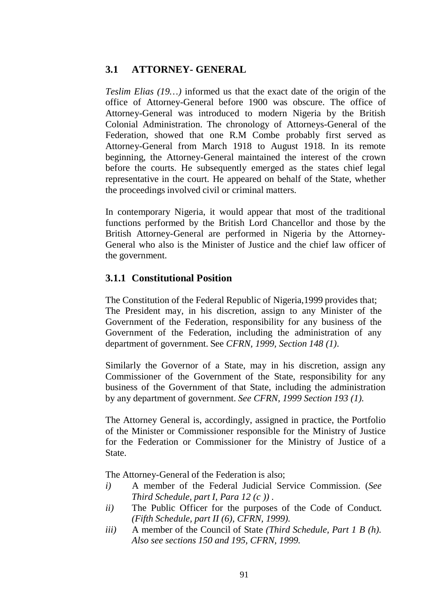### **3.1 ATTORNEY- GENERAL**

*Teslim Elias (19…)* informed us that the exact date of the origin of the office of Attorney-General before 1900 was obscure. The office of Attorney-General was introduced to modern Nigeria by the British Colonial Administration. The chronology of Attorneys-General of the Federation, showed that one R.M Combe probably first served as Attorney-General from March 1918 to August 1918. In its remote beginning, the Attorney-General maintained the interest of the crown before the courts. He subsequently emerged as the states chief legal representative in the court. He appeared on behalf of the State, whether the proceedings involved civil or criminal matters.

In contemporary Nigeria, it would appear that most of the traditional functions performed by the British Lord Chancellor and those by the British Attorney-General are performed in Nigeria by the Attorney-General who also is the Minister of Justice and the chief law officer of the government.

### **3.1.1 Constitutional Position**

The Constitution of the Federal Republic of Nigeria,1999 provides that; The President may, in his discretion, assign to any Minister of the Government of the Federation, responsibility for any business of the Government of the Federation, including the administration of any department of government. See *CFRN, 1999, Section 148 (1)*.

Similarly the Governor of a State, may in his discretion, assign any Commissioner of the Government of the State, responsibility for any business of the Government of that State, including the administration by any department of government. *See CFRN, 1999 Section 193 (1).*

The Attorney General is, accordingly, assigned in practice, the Portfolio of the Minister or Commissioner responsible for the Ministry of Justice for the Federation or Commissioner for the Ministry of Justice of a State.

The Attorney-General of the Federation is also;

- *i)* A member of the Federal Judicial Service Commission. (*See Third Schedule, part I, Para 12 (c )) .*
- *ii)* The Public Officer for the purposes of the Code of Conduct*. (Fifth Schedule, part II (6), CFRN, 1999).*
- *iii)* A member of the Council of State *(Third Schedule, Part 1 B (h). Also see sections 150 and 195, CFRN, 1999.*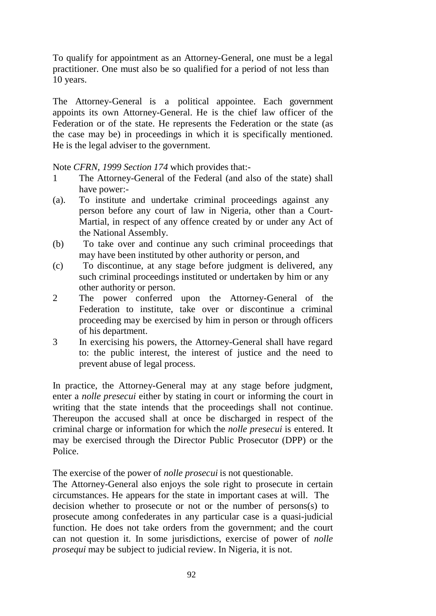To qualify for appointment as an Attorney-General, one must be a legal practitioner. One must also be so qualified for a period of not less than 10 years.

The Attorney-General is a political appointee. Each government appoints its own Attorney-General. He is the chief law officer of the Federation or of the state. He represents the Federation or the state (as the case may be) in proceedings in which it is specifically mentioned. He is the legal adviser to the government.

Note *CFRN, 1999 Section 174* which provides that:-

- 1 The Attorney-General of the Federal (and also of the state) shall have power:-
- (a). To institute and undertake criminal proceedings against any person before any court of law in Nigeria, other than a Court-Martial, in respect of any offence created by or under any Act of the National Assembly.
- (b) To take over and continue any such criminal proceedings that may have been instituted by other authority or person, and
- (c) To discontinue, at any stage before judgment is delivered, any such criminal proceedings instituted or undertaken by him or any other authority or person.
- 2 The power conferred upon the Attorney-General of the Federation to institute, take over or discontinue a criminal proceeding may be exercised by him in person or through officers of his department.
- 3 In exercising his powers, the Attorney-General shall have regard to: the public interest, the interest of justice and the need to prevent abuse of legal process.

In practice, the Attorney-General may at any stage before judgment, enter a *nolle presecui* either by stating in court or informing the court in writing that the state intends that the proceedings shall not continue. Thereupon the accused shall at once be discharged in respect of the criminal charge or information for which the *nolle presecui* is entered. It may be exercised through the Director Public Prosecutor (DPP) or the Police.

The exercise of the power of *nolle prosecui* is not questionable.

The Attorney-General also enjoys the sole right to prosecute in certain circumstances. He appears for the state in important cases at will. The decision whether to prosecute or not or the number of persons(s) to prosecute among confederates in any particular case is a quasi-judicial function. He does not take orders from the government; and the court can not question it. In some jurisdictions, exercise of power of *nolle prosequi* may be subject to judicial review. In Nigeria, it is not.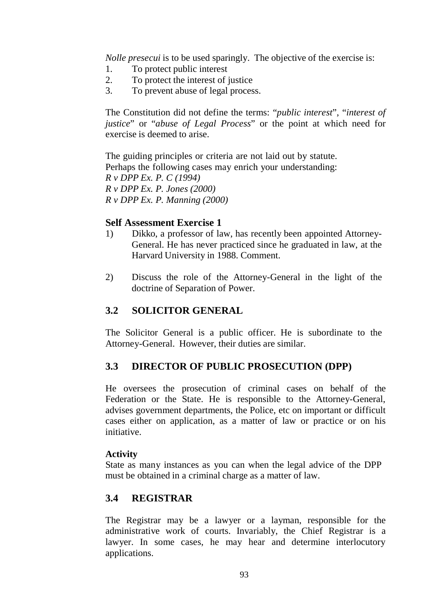*Nolle presecui* is to be used sparingly. The objective of the exercise is:

- 1. To protect public interest
- 2. To protect the interest of justice
- 3. To prevent abuse of legal process.

The Constitution did not define the terms: "*public interest*", "*interest of justice*" or "*abuse of Legal Process*" or the point at which need for exercise is deemed to arise.

The guiding principles or criteria are not laid out by statute. Perhaps the following cases may enrich your understanding: *R v DPP Ex. P. C (1994) R v DPP Ex. P. Jones (2000) R v DPP Ex. P. Manning (2000)*

#### **Self Assessment Exercise 1**

- 1) Dikko, a professor of law, has recently been appointed Attorney-General. He has never practiced since he graduated in law, at the Harvard University in 1988. Comment.
- 2) Discuss the role of the Attorney-General in the light of the doctrine of Separation of Power.

### **3.2 SOLICITOR GENERAL**

The Solicitor General is a public officer. He is subordinate to the Attorney-General. However, their duties are similar.

### **3.3 DIRECTOR OF PUBLIC PROSECUTION (DPP)**

He oversees the prosecution of criminal cases on behalf of the Federation or the State. He is responsible to the Attorney-General, advises government departments, the Police, etc on important or difficult cases either on application, as a matter of law or practice or on his initiative.

#### **Activity**

State as many instances as you can when the legal advice of the DPP must be obtained in a criminal charge as a matter of law.

#### **3.4 REGISTRAR**

The Registrar may be a lawyer or a layman, responsible for the administrative work of courts. Invariably, the Chief Registrar is a lawyer. In some cases, he may hear and determine interlocutory applications.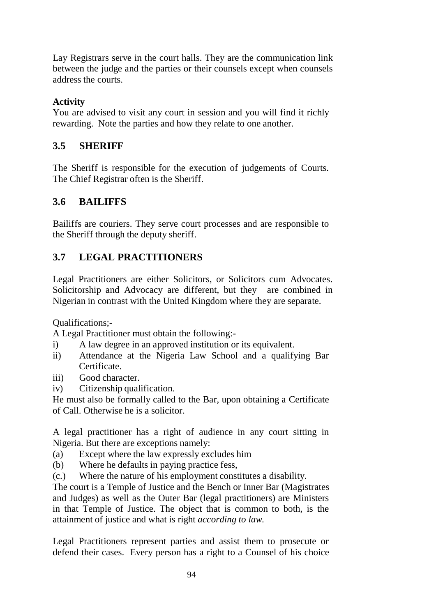Lay Registrars serve in the court halls. They are the communication link between the judge and the parties or their counsels except when counsels address the courts.

## **Activity**

You are advised to visit any court in session and you will find it richly rewarding. Note the parties and how they relate to one another.

## **3.5 SHERIFF**

The Sheriff is responsible for the execution of judgements of Courts. The Chief Registrar often is the Sheriff.

# **3.6 BAILIFFS**

Bailiffs are couriers. They serve court processes and are responsible to the Sheriff through the deputy sheriff.

# **3.7 LEGAL PRACTITIONERS**

Legal Practitioners are either Solicitors, or Solicitors cum Advocates. Solicitorship and Advocacy are different, but they are combined in Nigerian in contrast with the United Kingdom where they are separate.

Qualifications;-

A Legal Practitioner must obtain the following:-

- i) A law degree in an approved institution or its equivalent.
- ii) Attendance at the Nigeria Law School and a qualifying Bar Certificate.
- iii) Good character.
- iv) Citizenship qualification.

He must also be formally called to the Bar, upon obtaining a Certificate of Call. Otherwise he is a solicitor.

A legal practitioner has a right of audience in any court sitting in Nigeria. But there are exceptions namely:

- (a) Except where the law expressly excludes him
- (b) Where he defaults in paying practice fess,
- (c.) Where the nature of his employment constitutes a disability.

The court is a Temple of Justice and the Bench or Inner Bar (Magistrates and Judges) as well as the Outer Bar (legal practitioners) are Ministers in that Temple of Justice. The object that is common to both, is the attainment of justice and what is right *according to law*.

Legal Practitioners represent parties and assist them to prosecute or defend their cases. Every person has a right to a Counsel of his choice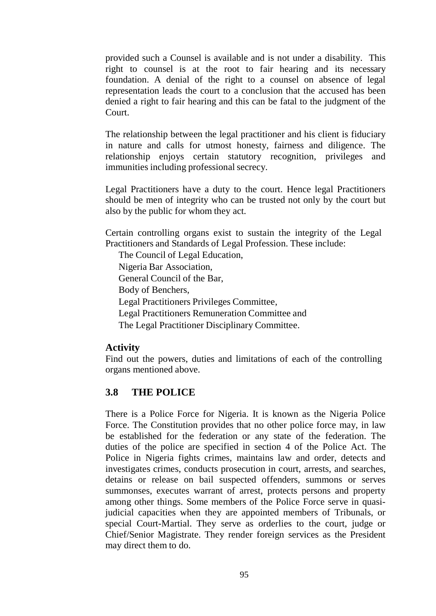provided such a Counsel is available and is not under a disability. This right to counsel is at the root to fair hearing and its necessary foundation. A denial of the right to a counsel on absence of legal representation leads the court to a conclusion that the accused has been denied a right to fair hearing and this can be fatal to the judgment of the Court.

The relationship between the legal practitioner and his client is fiduciary in nature and calls for utmost honesty, fairness and diligence. The relationship enjoys certain statutory recognition, privileges and immunities including professional secrecy.

Legal Practitioners have a duty to the court. Hence legal Practitioners should be men of integrity who can be trusted not only by the court but also by the public for whom they act.

Certain controlling organs exist to sustain the integrity of the Legal Practitioners and Standards of Legal Profession. These include:

The Council of Legal Education, Nigeria Bar Association, General Council of the Bar, Body of Benchers, Legal Practitioners Privileges Committee, Legal Practitioners Remuneration Committee and The Legal Practitioner Disciplinary Committee.

#### **Activity**

Find out the powers, duties and limitations of each of the controlling organs mentioned above.

#### **3.8 THE POLICE**

There is a Police Force for Nigeria. It is known as the Nigeria Police Force. The Constitution provides that no other police force may, in law be established for the federation or any state of the federation. The duties of the police are specified in section 4 of the Police Act. The Police in Nigeria fights crimes, maintains law and order, detects and investigates crimes, conducts prosecution in court, arrests, and searches, detains or release on bail suspected offenders, summons or serves summonses, executes warrant of arrest, protects persons and property among other things. Some members of the Police Force serve in quasijudicial capacities when they are appointed members of Tribunals, or special Court-Martial. They serve as orderlies to the court, judge or Chief/Senior Magistrate. They render foreign services as the President may direct them to do.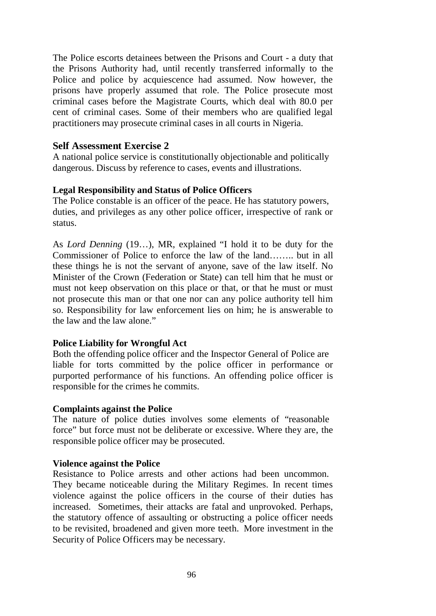The Police escorts detainees between the Prisons and Court - a duty that the Prisons Authority had, until recently transferred informally to the Police and police by acquiescence had assumed. Now however, the prisons have properly assumed that role. The Police prosecute most criminal cases before the Magistrate Courts, which deal with 80.0 per cent of criminal cases. Some of their members who are qualified legal practitioners may prosecute criminal cases in all courts in Nigeria.

#### **Self Assessment Exercise 2**

A national police service is constitutionally objectionable and politically dangerous. Discuss by reference to cases, events and illustrations.

#### **Legal Responsibility and Status of Police Officers**

The Police constable is an officer of the peace. He has statutory powers, duties, and privileges as any other police officer, irrespective of rank or status.

As *Lord Denning* (19…), MR, explained "I hold it to be duty for the Commissioner of Police to enforce the law of the land…….. but in all these things he is not the servant of anyone, save of the law itself. No Minister of the Crown (Federation or State) can tell him that he must or must not keep observation on this place or that, or that he must or must not prosecute this man or that one nor can any police authority tell him so. Responsibility for law enforcement lies on him; he is answerable to the law and the law alone."

#### **Police Liability for Wrongful Act**

Both the offending police officer and the Inspector General of Police are liable for torts committed by the police officer in performance or purported performance of his functions. An offending police officer is responsible for the crimes he commits.

#### **Complaints against the Police**

The nature of police duties involves some elements of "reasonable force" but force must not be deliberate or excessive. Where they are, the responsible police officer may be prosecuted.

#### **Violence against the Police**

Resistance to Police arrests and other actions had been uncommon. They became noticeable during the Military Regimes. In recent times violence against the police officers in the course of their duties has increased. Sometimes, their attacks are fatal and unprovoked. Perhaps, the statutory offence of assaulting or obstructing a police officer needs to be revisited, broadened and given more teeth. More investment in the Security of Police Officers may be necessary.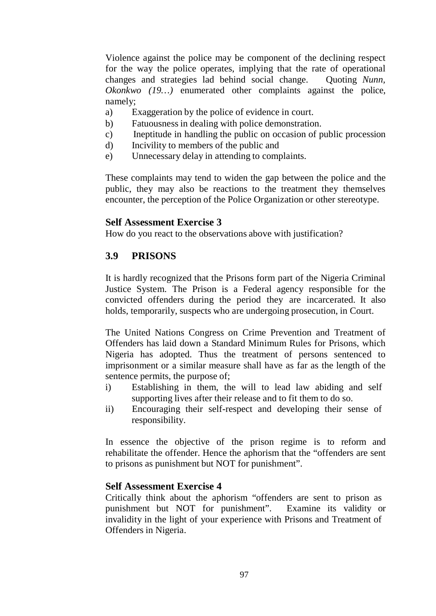Violence against the police may be component of the declining respect for the way the police operates, implying that the rate of operational changes and strategies lad behind social change. Quoting *Nunn, Okonkwo (19…)* enumerated other complaints against the police, namely;

- a) Exaggeration by the police of evidence in court.
- b) Fatuousness in dealing with police demonstration.
- c) Ineptitude in handling the public on occasion of public procession
- d) Incivility to members of the public and
- e) Unnecessary delay in attending to complaints.

These complaints may tend to widen the gap between the police and the public, they may also be reactions to the treatment they themselves encounter, the perception of the Police Organization or other stereotype.

#### **Self Assessment Exercise 3**

How do you react to the observations above with justification?

#### **3.9 PRISONS**

It is hardly recognized that the Prisons form part of the Nigeria Criminal Justice System. The Prison is a Federal agency responsible for the convicted offenders during the period they are incarcerated. It also holds, temporarily, suspects who are undergoing prosecution, in Court.

The United Nations Congress on Crime Prevention and Treatment of Offenders has laid down a Standard Minimum Rules for Prisons, which Nigeria has adopted. Thus the treatment of persons sentenced to imprisonment or a similar measure shall have as far as the length of the sentence permits, the purpose of;

- i) Establishing in them, the will to lead law abiding and self supporting lives after their release and to fit them to do so.
- ii) Encouraging their self-respect and developing their sense of responsibility.

In essence the objective of the prison regime is to reform and rehabilitate the offender. Hence the aphorism that the "offenders are sent to prisons as punishment but NOT for punishment".

#### **Self Assessment Exercise 4**

Critically think about the aphorism "offenders are sent to prison as punishment but NOT for punishment". Examine its validity or invalidity in the light of your experience with Prisons and Treatment of Offenders in Nigeria.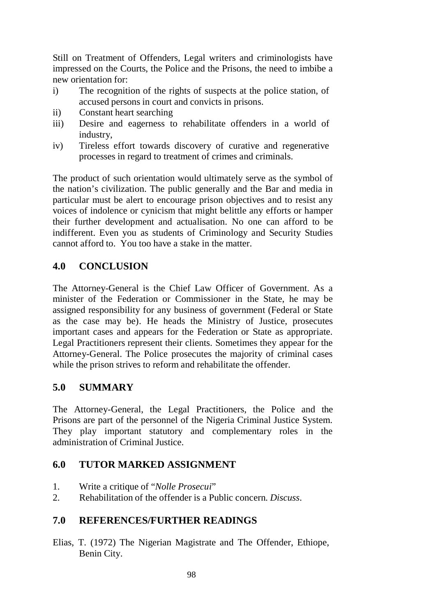Still on Treatment of Offenders, Legal writers and criminologists have impressed on the Courts, the Police and the Prisons, the need to imbibe a new orientation for:

- i) The recognition of the rights of suspects at the police station, of accused persons in court and convicts in prisons.
- ii) Constant heart searching
- iii) Desire and eagerness to rehabilitate offenders in a world of industry,
- iv) Tireless effort towards discovery of curative and regenerative processes in regard to treatment of crimes and criminals.

The product of such orientation would ultimately serve as the symbol of the nation's civilization. The public generally and the Bar and media in particular must be alert to encourage prison objectives and to resist any voices of indolence or cynicism that might belittle any efforts or hamper their further development and actualisation. No one can afford to be indifferent. Even you as students of Criminology and Security Studies cannot afford to. You too have a stake in the matter.

## **4.0 CONCLUSION**

The Attorney-General is the Chief Law Officer of Government. As a minister of the Federation or Commissioner in the State, he may be assigned responsibility for any business of government (Federal or State as the case may be). He heads the Ministry of Justice, prosecutes important cases and appears for the Federation or State as appropriate. Legal Practitioners represent their clients. Sometimes they appear for the Attorney-General. The Police prosecutes the majority of criminal cases while the prison strives to reform and rehabilitate the offender.

### **5.0 SUMMARY**

The Attorney-General, the Legal Practitioners, the Police and the Prisons are part of the personnel of the Nigeria Criminal Justice System. They play important statutory and complementary roles in the administration of Criminal Justice.

#### **6.0 TUTOR MARKED ASSIGNMENT**

- 1. Write a critique of "*Nolle Prosecui*"
- 2. Rehabilitation of the offender is a Public concern. *Discuss*.

#### **7.0 REFERENCES/FURTHER READINGS**

Elias, T. (1972) The Nigerian Magistrate and The Offender, Ethiope, Benin City.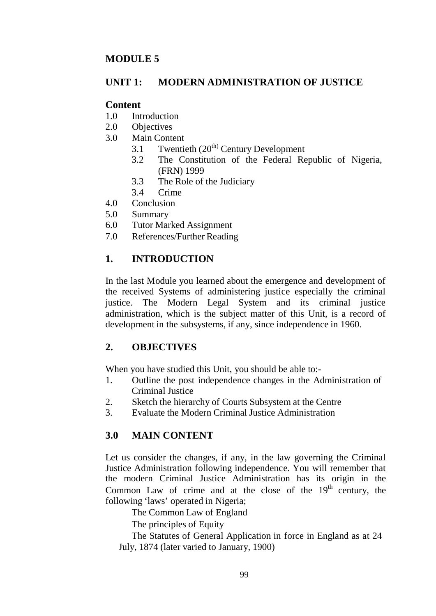### **MODULE 5**

#### **UNIT 1: MODERN ADMINISTRATION OF JUSTICE**

#### **Content**

- 1.0 Introduction
- 2.0 Objectives
- 3.0 Main Content
	- 3.1 Twentieth (20<sup>th)</sup> Century Development
	- 3.2 The Constitution of the Federal Republic of Nigeria, (FRN) 1999
	- 3.3 The Role of the Judiciary
	- 3.4 Crime
- 4.0 Conclusion
- 5.0 Summary
- 6.0 Tutor Marked Assignment
- 7.0 References/Further Reading

## **1. INTRODUCTION**

In the last Module you learned about the emergence and development of the received Systems of administering justice especially the criminal justice. The Modern Legal System and its criminal justice administration, which is the subject matter of this Unit, is a record of development in the subsystems, if any, since independence in 1960.

### **2. OBJECTIVES**

When you have studied this Unit, you should be able to:-

- 1. Outline the post independence changes in the Administration of Criminal Justice
- 2. Sketch the hierarchy of Courts Subsystem at the Centre
- 3. Evaluate the Modern Criminal Justice Administration

### **3.0 MAIN CONTENT**

Let us consider the changes, if any, in the law governing the Criminal Justice Administration following independence. You will remember that the modern Criminal Justice Administration has its origin in the Common Law of crime and at the close of the  $19<sup>th</sup>$  century, the following 'laws' operated in Nigeria;

The Common Law of England

The principles of Equity

The Statutes of General Application in force in England as at 24 July, 1874 (later varied to January, 1900)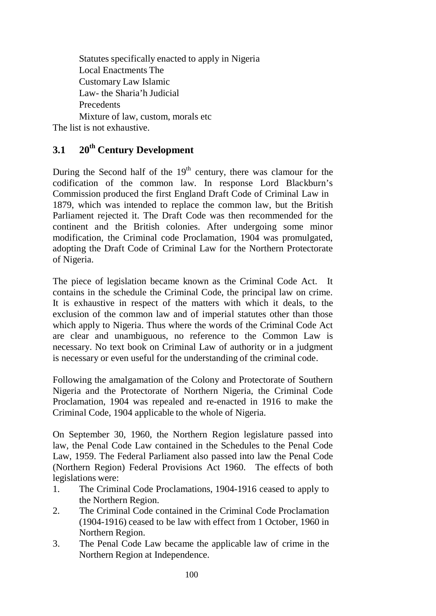Statutes specifically enacted to apply in Nigeria Local Enactments The Customary Law Islamic Law- the Sharia'h Judicial Precedents Mixture of law, custom, morals etc

The list is not exhaustive.

# **3.1 20th Century Development**

During the Second half of the  $19<sup>th</sup>$  century, there was clamour for the codification of the common law. In response Lord Blackburn's Commission produced the first England Draft Code of Criminal Law in 1879, which was intended to replace the common law, but the British Parliament rejected it. The Draft Code was then recommended for the continent and the British colonies. After undergoing some minor modification, the Criminal code Proclamation, 1904 was promulgated, adopting the Draft Code of Criminal Law for the Northern Protectorate of Nigeria.

The piece of legislation became known as the Criminal Code Act. It contains in the schedule the Criminal Code, the principal law on crime. It is exhaustive in respect of the matters with which it deals, to the exclusion of the common law and of imperial statutes other than those which apply to Nigeria. Thus where the words of the Criminal Code Act are clear and unambiguous, no reference to the Common Law is necessary. No text book on Criminal Law of authority or in a judgment is necessary or even useful for the understanding of the criminal code.

Following the amalgamation of the Colony and Protectorate of Southern Nigeria and the Protectorate of Northern Nigeria, the Criminal Code Proclamation, 1904 was repealed and re-enacted in 1916 to make the Criminal Code, 1904 applicable to the whole of Nigeria.

On September 30, 1960, the Northern Region legislature passed into law, the Penal Code Law contained in the Schedules to the Penal Code Law, 1959. The Federal Parliament also passed into law the Penal Code (Northern Region) Federal Provisions Act 1960. The effects of both legislations were:

- 1. The Criminal Code Proclamations, 1904-1916 ceased to apply to the Northern Region.
- 2. The Criminal Code contained in the Criminal Code Proclamation (1904-1916) ceased to be law with effect from 1 October, 1960 in Northern Region.
- 3. The Penal Code Law became the applicable law of crime in the Northern Region at Independence.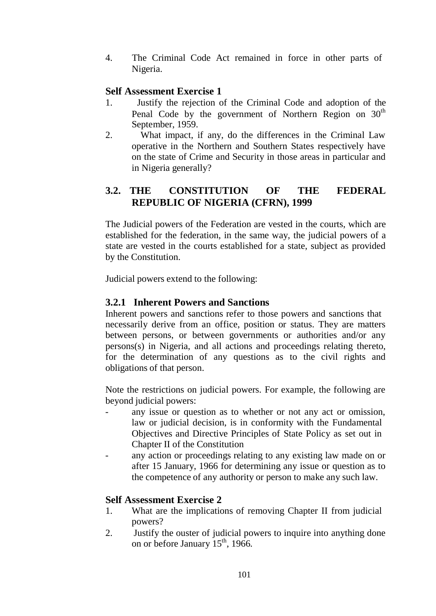4. The Criminal Code Act remained in force in other parts of Nigeria.

#### **Self Assessment Exercise 1**

- 1. Justify the rejection of the Criminal Code and adoption of the Penal Code by the government of Northern Region on  $30<sup>th</sup>$ September, 1959.
- 2. What impact, if any, do the differences in the Criminal Law operative in the Northern and Southern States respectively have on the state of Crime and Security in those areas in particular and in Nigeria generally?

## **3.2. THE CONSTITUTION OF THE FEDERAL REPUBLIC OF NIGERIA (CFRN), 1999**

The Judicial powers of the Federation are vested in the courts, which are established for the federation, in the same way, the judicial powers of a state are vested in the courts established for a state, subject as provided by the Constitution.

Judicial powers extend to the following:

#### **3.2.1 Inherent Powers and Sanctions**

Inherent powers and sanctions refer to those powers and sanctions that necessarily derive from an office, position or status. They are matters between persons, or between governments or authorities and/or any persons(s) in Nigeria, and all actions and proceedings relating thereto, for the determination of any questions as to the civil rights and obligations of that person.

Note the restrictions on judicial powers. For example, the following are beyond judicial powers:

- any issue or question as to whether or not any act or omission, law or judicial decision, is in conformity with the Fundamental Objectives and Directive Principles of State Policy as set out in Chapter II of the Constitution
- any action or proceedings relating to any existing law made on or after 15 January, 1966 for determining any issue or question as to the competence of any authority or person to make any such law.

### **Self Assessment Exercise 2**

- 1. What are the implications of removing Chapter II from judicial powers?
- 2. Justify the ouster of judicial powers to inquire into anything done on or before January  $15^{th}$ , 1966.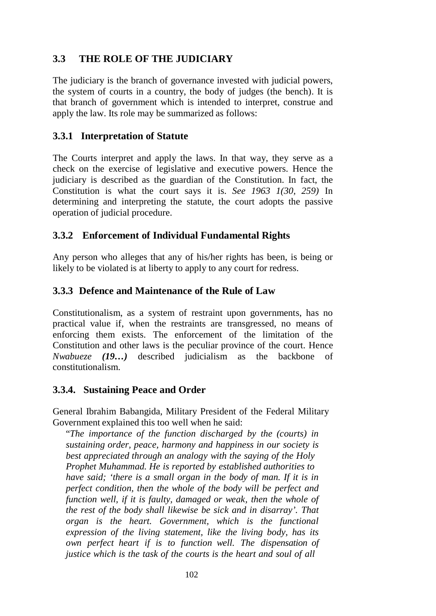## **3.3 THE ROLE OF THE JUDICIARY**

The judiciary is the branch of governance invested with judicial powers, the system of courts in a country, the body of judges (the bench). It is that branch of government which is intended to interpret, construe and apply the law. Its role may be summarized as follows:

### **3.3.1 Interpretation of Statute**

The Courts interpret and apply the laws. In that way, they serve as a check on the exercise of legislative and executive powers. Hence the judiciary is described as the guardian of the Constitution. In fact, the Constitution is what the court says it is. *See 1963 1(30, 259)* In determining and interpreting the statute, the court adopts the passive operation of judicial procedure.

### **3.3.2 Enforcement of Individual Fundamental Rights**

Any person who alleges that any of his/her rights has been, is being or likely to be violated is at liberty to apply to any court for redress.

#### **3.3.3 Defence and Maintenance of the Rule of Law**

Constitutionalism, as a system of restraint upon governments, has no practical value if, when the restraints are transgressed, no means of enforcing them exists. The enforcement of the limitation of the Constitution and other laws is the peculiar province of the court. Hence *Nwabueze (19…)* described judicialism as the backbone of constitutionalism.

### **3.3.4. Sustaining Peace and Order**

General Ibrahim Babangida, Military President of the Federal Military Government explained this too well when he said:

"*The importance of the function discharged by the (courts) in sustaining order, peace, harmony and happiness in our society is best appreciated through an analogy with the saying of the Holy Prophet Muhammad. He is reported by established authorities to have said; 'there is a small organ in the body of man. If it is in perfect condition, then the whole of the body will be perfect and function well, if it is faulty, damaged or weak, then the whole of the rest of the body shall likewise be sick and in disarray'. That organ is the heart. Government, which is the functional expression of the living statement, like the living body, has its own perfect heart if is to function well. The dispensation of justice which is the task of the courts is the heart and soul of all*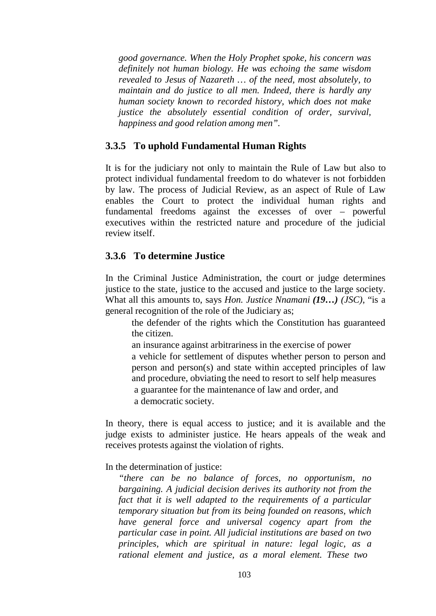*good governance. When the Holy Prophet spoke, his concern was definitely not human biology. He was echoing the same wisdom revealed to Jesus of Nazareth … of the need, most absolutely, to maintain and do justice to all men. Indeed, there is hardly any human society known to recorded history, which does not make justice the absolutely essential condition of order, survival, happiness and good relation among men".*

#### **3.3.5 To uphold Fundamental Human Rights**

It is for the judiciary not only to maintain the Rule of Law but also to protect individual fundamental freedom to do whatever is not forbidden by law. The process of Judicial Review, as an aspect of Rule of Law enables the Court to protect the individual human rights and fundamental freedoms against the excesses of over – powerful executives within the restricted nature and procedure of the judicial review itself.

#### **3.3.6 To determine Justice**

In the Criminal Justice Administration, the court or judge determines justice to the state, justice to the accused and justice to the large society. What all this amounts to, says *Hon. Justice Nnamani (19…) (JSC)*, "is a general recognition of the role of the Judiciary as;

the defender of the rights which the Constitution has guaranteed the citizen.

an insurance against arbitrariness in the exercise of power a vehicle for settlement of disputes whether person to person and person and person(s) and state within accepted principles of law and procedure, obviating the need to resort to self help measures a guarantee for the maintenance of law and order, and a democratic society.

In theory, there is equal access to justice; and it is available and the judge exists to administer justice. He hears appeals of the weak and receives protests against the violation of rights.

#### In the determination of justice:

*"there can be no balance of forces, no opportunism, no bargaining. A judicial decision derives its authority not from the fact that it is well adapted to the requirements of a particular temporary situation but from its being founded on reasons, which have general force and universal cogency apart from the particular case in point. All judicial institutions are based on two principles, which are spiritual in nature: legal logic, as a rational element and justice, as a moral element. These two*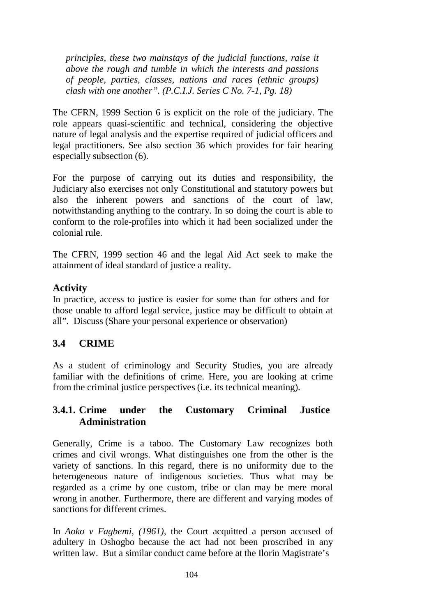*principles, these two mainstays of the judicial functions, raise it above the rough and tumble in which the interests and passions of people, parties, classes, nations and races (ethnic groups) clash with one another". (P.C.I.J. Series C No. 7-1, Pg. 18)*

The CFRN, 1999 Section 6 is explicit on the role of the judiciary. The role appears quasi-scientific and technical, considering the objective nature of legal analysis and the expertise required of judicial officers and legal practitioners. See also section 36 which provides for fair hearing especially subsection (6).

For the purpose of carrying out its duties and responsibility, the Judiciary also exercises not only Constitutional and statutory powers but also the inherent powers and sanctions of the court of law, notwithstanding anything to the contrary. In so doing the court is able to conform to the role-profiles into which it had been socialized under the colonial rule.

The CFRN, 1999 section 46 and the legal Aid Act seek to make the attainment of ideal standard of justice a reality.

### **Activity**

In practice, access to justice is easier for some than for others and for those unable to afford legal service, justice may be difficult to obtain at all". Discuss (Share your personal experience or observation)

### **3.4 CRIME**

As a student of criminology and Security Studies, you are already familiar with the definitions of crime. Here, you are looking at crime from the criminal justice perspectives (i.e. its technical meaning).

#### **3.4.1. Crime under the Customary Criminal Justice Administration**

Generally, Crime is a taboo. The Customary Law recognizes both crimes and civil wrongs. What distinguishes one from the other is the variety of sanctions. In this regard, there is no uniformity due to the heterogeneous nature of indigenous societies. Thus what may be regarded as a crime by one custom, tribe or clan may be mere moral wrong in another. Furthermore, there are different and varying modes of sanctions for different crimes.

In *Aoko v Fagbemi, (1961),* the Court acquitted a person accused of adultery in Oshogbo because the act had not been proscribed in any written law. But a similar conduct came before at the Ilorin Magistrate's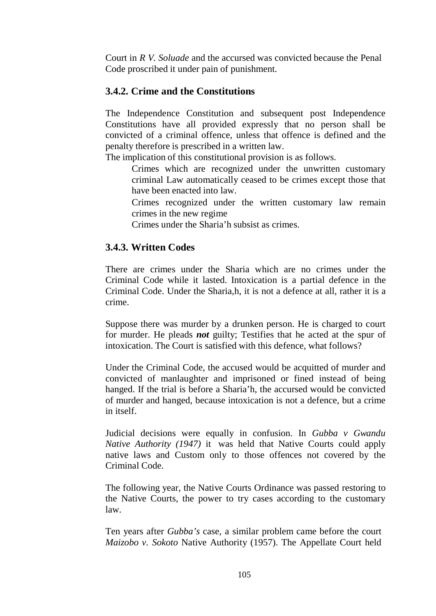Court in *R V. Soluade* and the accursed was convicted because the Penal Code proscribed it under pain of punishment.

## **3.4.2. Crime and the Constitutions**

The Independence Constitution and subsequent post Independence Constitutions have all provided expressly that no person shall be convicted of a criminal offence, unless that offence is defined and the penalty therefore is prescribed in a written law.

The implication of this constitutional provision is as follows.

Crimes which are recognized under the unwritten customary criminal Law automatically ceased to be crimes except those that have been enacted into law.

Crimes recognized under the written customary law remain crimes in the new regime

Crimes under the Sharia'h subsist as crimes.

### **3.4.3. Written Codes**

There are crimes under the Sharia which are no crimes under the Criminal Code while it lasted. Intoxication is a partial defence in the Criminal Code. Under the Sharia,h, it is not a defence at all, rather it is a crime.

Suppose there was murder by a drunken person. He is charged to court for murder. He pleads *not* guilty; Testifies that he acted at the spur of intoxication. The Court is satisfied with this defence, what follows?

Under the Criminal Code, the accused would be acquitted of murder and convicted of manlaughter and imprisoned or fined instead of being hanged. If the trial is before a Sharia'h, the accursed would be convicted of murder and hanged, because intoxication is not a defence, but a crime in itself.

Judicial decisions were equally in confusion. In *Gubba v Gwandu Native Authority (1947)* it was held that Native Courts could apply native laws and Custom only to those offences not covered by the Criminal Code.

The following year, the Native Courts Ordinance was passed restoring to the Native Courts, the power to try cases according to the customary law.

Ten years after *Gubba's* case, a similar problem came before the court *Maizobo v. Sokoto* Native Authority (1957). The Appellate Court held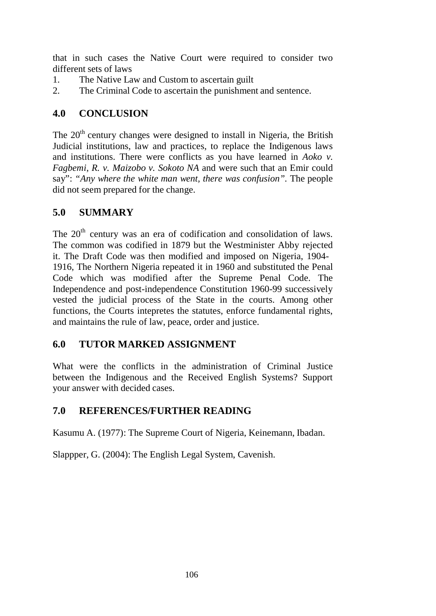that in such cases the Native Court were required to consider two different sets of laws

- 1. The Native Law and Custom to ascertain guilt
- 2. The Criminal Code to ascertain the punishment and sentence.

# **4.0 CONCLUSION**

The  $20<sup>th</sup>$  century changes were designed to install in Nigeria, the British Judicial institutions, law and practices, to replace the Indigenous laws and institutions. There were conflicts as you have learned in *Aoko v. Fagbemi*, *R. v. Maizobo v. Sokoto NA* and were such that an Emir could say": *"Any where the white man went, there was confusion".* The people did not seem prepared for the change.

# **5.0 SUMMARY**

The 20<sup>th</sup> century was an era of codification and consolidation of laws. The common was codified in 1879 but the Westminister Abby rejected it. The Draft Code was then modified and imposed on Nigeria, 1904- 1916, The Northern Nigeria repeated it in 1960 and substituted the Penal Code which was modified after the Supreme Penal Code. The Independence and post-independence Constitution 1960-99 successively vested the judicial process of the State in the courts. Among other functions, the Courts intepretes the statutes, enforce fundamental rights, and maintains the rule of law, peace, order and justice.

# **6.0 TUTOR MARKED ASSIGNMENT**

What were the conflicts in the administration of Criminal Justice between the Indigenous and the Received English Systems? Support your answer with decided cases.

# **7.0 REFERENCES/FURTHER READING**

Kasumu A. (1977): The Supreme Court of Nigeria, Keinemann, Ibadan.

Slappper, G. (2004): The English Legal System, Cavenish.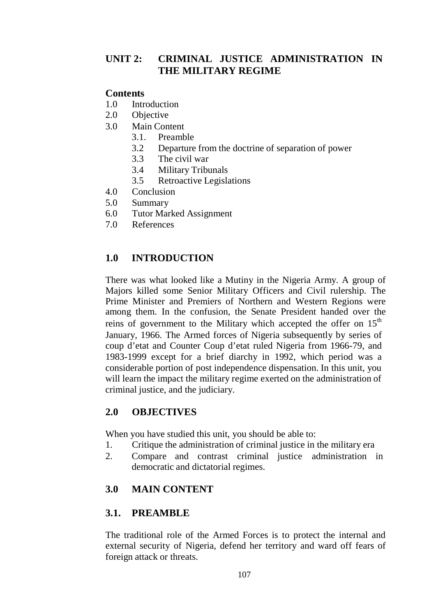## **UNIT 2: CRIMINAL JUSTICE ADMINISTRATION IN THE MILITARY REGIME**

### **Contents**

- 1.0 Introduction
- 2.0 Objective
- 3.0 Main Content
	- 3.1. Preamble
	- 3.2 Departure from the doctrine of separation of power
	- 3.3 The civil war
	- 3.4 Military Tribunals
	- 3.5 Retroactive Legislations
- 4.0 Conclusion
- 5.0 Summary
- 6.0 Tutor Marked Assignment
- 7.0 References

## **1.0 INTRODUCTION**

There was what looked like a Mutiny in the Nigeria Army. A group of Majors killed some Senior Military Officers and Civil rulership. The Prime Minister and Premiers of Northern and Western Regions were among them. In the confusion, the Senate President handed over the reins of government to the Military which accepted the offer on  $15<sup>th</sup>$ January, 1966. The Armed forces of Nigeria subsequently by series of coup d'etat and Counter Coup d'etat ruled Nigeria from 1966-79, and 1983-1999 except for a brief diarchy in 1992, which period was a considerable portion of post independence dispensation. In this unit, you will learn the impact the military regime exerted on the administration of criminal justice, and the judiciary.

### **2.0 OBJECTIVES**

When you have studied this unit, you should be able to:

- 1. Critique the administration of criminal justice in the military era
- 2. Compare and contrast criminal justice administration in democratic and dictatorial regimes.

## **3.0 MAIN CONTENT**

### **3.1. PREAMBLE**

The traditional role of the Armed Forces is to protect the internal and external security of Nigeria, defend her territory and ward off fears of foreign attack or threats.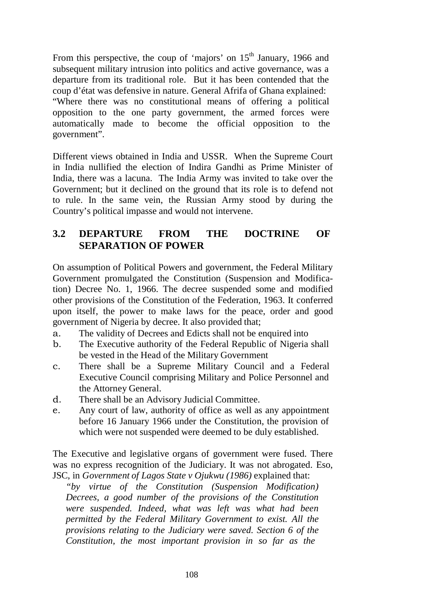From this perspective, the coup of 'majors' on  $15<sup>th</sup>$  January, 1966 and subsequent military intrusion into politics and active governance, was a departure from its traditional role. But it has been contended that the coup d'état was defensive in nature. General Afrifa of Ghana explained: "Where there was no constitutional means of offering a political opposition to the one party government, the armed forces were automatically made to become the official opposition to the government".

Different views obtained in India and USSR. When the Supreme Court in India nullified the election of Indira Gandhi as Prime Minister of India, there was a lacuna. The India Army was invited to take over the Government; but it declined on the ground that its role is to defend not to rule. In the same vein, the Russian Army stood by during the Country's political impasse and would not intervene.

## **3.2 DEPARTURE FROM THE DOCTRINE OF SEPARATION OF POWER**

On assumption of Political Powers and government, the Federal Military Government promulgated the Constitution (Suspension and Modification) Decree No. 1, 1966. The decree suspended some and modified other provisions of the Constitution of the Federation, 1963. It conferred upon itself, the power to make laws for the peace, order and good government of Nigeria by decree. It also provided that;

- a. The validity of Decrees and Edicts shall not be enquired into
- b. The Executive authority of the Federal Republic of Nigeria shall be vested in the Head of the Military Government
- c. There shall be a Supreme Military Council and a Federal Executive Council comprising Military and Police Personnel and the Attorney General.
- d. There shall be an Advisory Judicial Committee.
- e. Any court of law, authority of office as well as any appointment before 16 January 1966 under the Constitution, the provision of which were not suspended were deemed to be duly established.

The Executive and legislative organs of government were fused. There was no express recognition of the Judiciary. It was not abrogated. Eso, JSC, in *Government of Lagos State v Ojukwu (1986)* explained that:

*"by virtue of the Constitution (Suspension Modification) Decrees, a good number of the provisions of the Constitution were suspended. Indeed, what was left was what had been permitted by the Federal Military Government to exist. All the provisions relating to the Judiciary were saved. Section 6 of the Constitution, the most important provision in so far as the*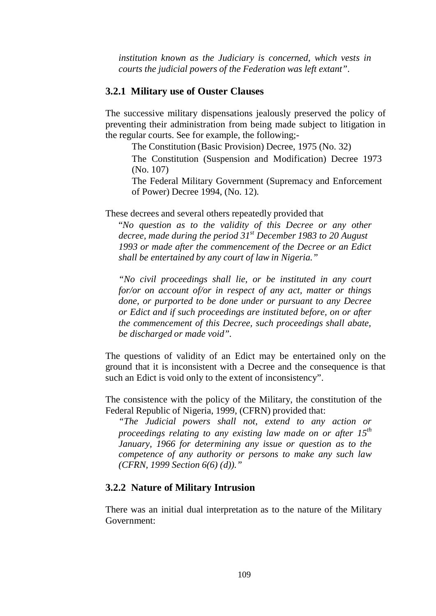*institution known as the Judiciary is concerned, which vests in courts the judicial powers of the Federation was left extant"*.

#### **3.2.1 Military use of Ouster Clauses**

The successive military dispensations jealously preserved the policy of preventing their administration from being made subject to litigation in the regular courts. See for example, the following;-

The Constitution (Basic Provision) Decree, 1975 (No. 32)

The Constitution (Suspension and Modification) Decree 1973 (No. 107)

The Federal Military Government (Supremacy and Enforcement of Power) Decree 1994, (No. 12).

These decrees and several others repeatedly provided that

"*No question as to the validity of this Decree or any other decree, made during the period 31st December 1983 to 20 August 1993 or made after the commencement of the Decree or an Edict shall be entertained by any court of law in Nigeria."*

*"No civil proceedings shall lie, or be instituted in any court for/or on account of/or in respect of any act, matter or things done, or purported to be done under or pursuant to any Decree or Edict and if such proceedings are instituted before, on or after the commencement of this Decree, such proceedings shall abate, be discharged or made void".*

The questions of validity of an Edict may be entertained only on the ground that it is inconsistent with a Decree and the consequence is that such an Edict is void only to the extent of inconsistency".

The consistence with the policy of the Military, the constitution of the Federal Republic of Nigeria, 1999, (CFRN) provided that:

*"The Judicial powers shall not, extend to any action or proceedings relating to any existing law made on or after 15th January, 1966 for determining any issue or question as to the competence of any authority or persons to make any such law (CFRN, 1999 Section 6(6) (d))."*

#### **3.2.2 Nature of Military Intrusion**

There was an initial dual interpretation as to the nature of the Military Government: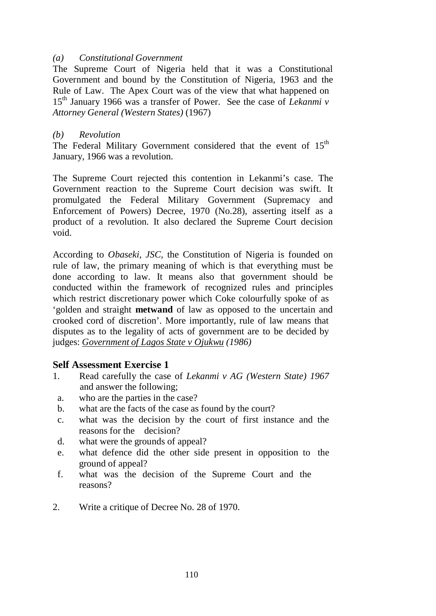#### *(a) Constitutional Government*

The Supreme Court of Nigeria held that it was a Constitutional Government and bound by the Constitution of Nigeria, 1963 and the Rule of Law. The Apex Court was of the view that what happened on 15th January 1966 was a transfer of Power. See the case of *Lekanmi v Attorney General (Western States)* (1967)

#### *(b) Revolution*

The Federal Military Government considered that the event of  $15<sup>th</sup>$ January, 1966 was a revolution.

The Supreme Court rejected this contention in Lekanmi's case. The Government reaction to the Supreme Court decision was swift. It promulgated the Federal Military Government (Supremacy and Enforcement of Powers) Decree, 1970 (No.28), asserting itself as a product of a revolution. It also declared the Supreme Court decision void.

According to *Obaseki, JSC,* the Constitution of Nigeria is founded on rule of law, the primary meaning of which is that everything must be done according to law. It means also that government should be conducted within the framework of recognized rules and principles which restrict discretionary power which Coke colourfully spoke of as 'golden and straight **metwand** of law as opposed to the uncertain and crooked cord of discretion'. More importantly, rule of law means that disputes as to the legality of acts of government are to be decided by judges: *Government of Lagos State v Ojukwu (1986)*

#### **Self Assessment Exercise 1**

- 1. Read carefully the case of *Lekanmi v AG (Western State) 1967* and answer the following;
	- a. who are the parties in the case?
- b. what are the facts of the case as found by the court?
- c. what was the decision by the court of first instance and the reasons for the decision?
- d. what were the grounds of appeal?
- e. what defence did the other side present in opposition to the ground of appeal?
- f. what was the decision of the Supreme Court and the reasons?
- 2. Write a critique of Decree No. 28 of 1970.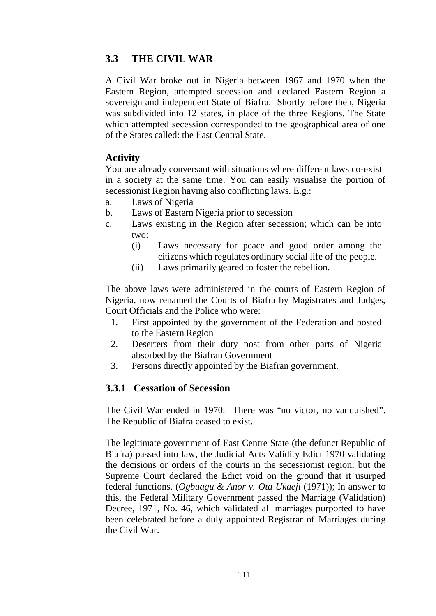### **3.3 THE CIVIL WAR**

A Civil War broke out in Nigeria between 1967 and 1970 when the Eastern Region, attempted secession and declared Eastern Region a sovereign and independent State of Biafra. Shortly before then, Nigeria was subdivided into 12 states, in place of the three Regions. The State which attempted secession corresponded to the geographical area of one of the States called: the East Central State.

#### **Activity**

You are already conversant with situations where different laws co-exist in a society at the same time. You can easily visualise the portion of secessionist Region having also conflicting laws. E.g.:

- a. Laws of Nigeria
- b. Laws of Eastern Nigeria prior to secession
- c. Laws existing in the Region after secession; which can be into two:
	- (i) Laws necessary for peace and good order among the citizens which regulates ordinary social life of the people.
	- (ii) Laws primarily geared to foster the rebellion.

The above laws were administered in the courts of Eastern Region of Nigeria, now renamed the Courts of Biafra by Magistrates and Judges, Court Officials and the Police who were:

- 1. First appointed by the government of the Federation and posted to the Eastern Region
- 2. Deserters from their duty post from other parts of Nigeria absorbed by the Biafran Government
- 3. Persons directly appointed by the Biafran government.

### **3.3.1 Cessation of Secession**

The Civil War ended in 1970. There was "no victor, no vanquished". The Republic of Biafra ceased to exist.

The legitimate government of East Centre State (the defunct Republic of Biafra) passed into law, the Judicial Acts Validity Edict 1970 validating the decisions or orders of the courts in the secessionist region, but the Supreme Court declared the Edict void on the ground that it usurped federal functions. (*Ogbuagu & Anor v. Ota Ukaeji* (1971)); In answer to this, the Federal Military Government passed the Marriage (Validation) Decree, 1971, No. 46, which validated all marriages purported to have been celebrated before a duly appointed Registrar of Marriages during the Civil War.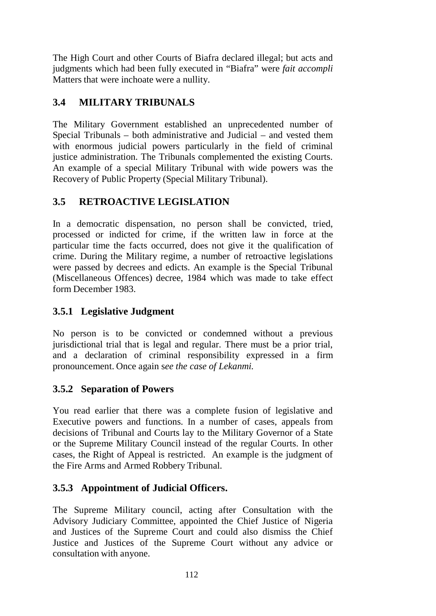The High Court and other Courts of Biafra declared illegal; but acts and judgments which had been fully executed in "Biafra" were *fait accompli*  Matters that were inchoate were a nullity.

# **3.4 MILITARY TRIBUNALS**

The Military Government established an unprecedented number of Special Tribunals – both administrative and Judicial – and vested them with enormous judicial powers particularly in the field of criminal justice administration. The Tribunals complemented the existing Courts. An example of a special Military Tribunal with wide powers was the Recovery of Public Property (Special Military Tribunal).

## **3.5 RETROACTIVE LEGISLATION**

In a democratic dispensation, no person shall be convicted, tried, processed or indicted for crime, if the written law in force at the particular time the facts occurred, does not give it the qualification of crime. During the Military regime, a number of retroactive legislations were passed by decrees and edicts. An example is the Special Tribunal (Miscellaneous Offences) decree, 1984 which was made to take effect form December 1983.

## **3.5.1 Legislative Judgment**

No person is to be convicted or condemned without a previous jurisdictional trial that is legal and regular. There must be a prior trial, and a declaration of criminal responsibility expressed in a firm pronouncement. Once again s*ee the case of Lekanmi.*

## **3.5.2 Separation of Powers**

You read earlier that there was a complete fusion of legislative and Executive powers and functions. In a number of cases, appeals from decisions of Tribunal and Courts lay to the Military Governor of a State or the Supreme Military Council instead of the regular Courts. In other cases, the Right of Appeal is restricted. An example is the judgment of the Fire Arms and Armed Robbery Tribunal.

## **3.5.3 Appointment of Judicial Officers.**

The Supreme Military council, acting after Consultation with the Advisory Judiciary Committee, appointed the Chief Justice of Nigeria and Justices of the Supreme Court and could also dismiss the Chief Justice and Justices of the Supreme Court without any advice or consultation with anyone.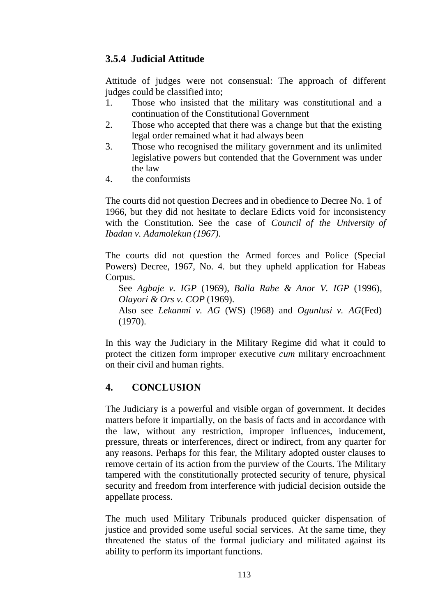## **3.5.4 Judicial Attitude**

Attitude of judges were not consensual: The approach of different judges could be classified into;

- 1. Those who insisted that the military was constitutional and a continuation of the Constitutional Government
- 2. Those who accepted that there was a change but that the existing legal order remained what it had always been
- 3. Those who recognised the military government and its unlimited legislative powers but contended that the Government was under the law
- 4. the conformists

The courts did not question Decrees and in obedience to Decree No. 1 of 1966, but they did not hesitate to declare Edicts void for inconsistency with the Constitution. See the case of *Council of the University of Ibadan v. Adamolekun (1967).*

The courts did not question the Armed forces and Police (Special Powers) Decree, 1967, No. 4. but they upheld application for Habeas Corpus.

See *Agbaje v. IGP* (1969), *Balla Rabe & Anor V. IGP* (1996), *Olayori & Ors v. COP* (1969).

Also see *Lekanmi v. AG* (WS) (!968) and *Ogunlusi v. AG*(Fed) (1970).

In this way the Judiciary in the Military Regime did what it could to protect the citizen form improper executive *cum* military encroachment on their civil and human rights.

### **4. CONCLUSION**

The Judiciary is a powerful and visible organ of government. It decides matters before it impartially, on the basis of facts and in accordance with the law, without any restriction, improper influences, inducement, pressure, threats or interferences, direct or indirect, from any quarter for any reasons. Perhaps for this fear, the Military adopted ouster clauses to remove certain of its action from the purview of the Courts. The Military tampered with the constitutionally protected security of tenure, physical security and freedom from interference with judicial decision outside the appellate process.

The much used Military Tribunals produced quicker dispensation of justice and provided some useful social services. At the same time, they threatened the status of the formal judiciary and militated against its ability to perform its important functions.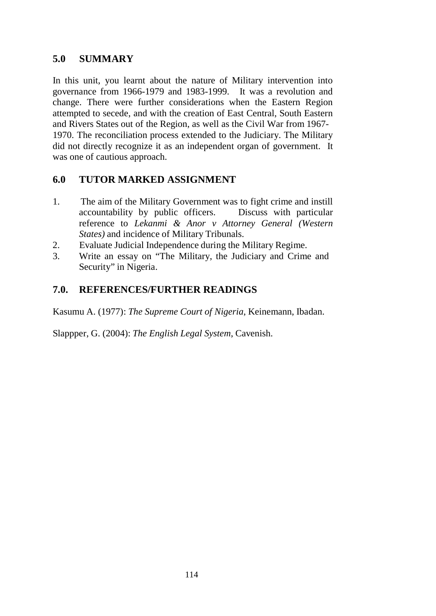### **5.0 SUMMARY**

In this unit, you learnt about the nature of Military intervention into governance from 1966-1979 and 1983-1999. It was a revolution and change. There were further considerations when the Eastern Region attempted to secede, and with the creation of East Central, South Eastern and Rivers States out of the Region, as well as the Civil War from 1967- 1970. The reconciliation process extended to the Judiciary. The Military did not directly recognize it as an independent organ of government. It was one of cautious approach.

### **6.0 TUTOR MARKED ASSIGNMENT**

- 1. The aim of the Military Government was to fight crime and instill accountability by public officers. Discuss with particular reference to *Lekanmi & Anor v Attorney General (Western States)* and incidence of Military Tribunals.
- 2. Evaluate Judicial Independence during the Military Regime.
- 3. Write an essay on "The Military, the Judiciary and Crime and Security" in Nigeria.

### **7.0. REFERENCES/FURTHER READINGS**

Kasumu A. (1977): *The Supreme Court of Nigeria*, Keinemann, Ibadan.

Slappper, G. (2004): *The English Legal System*, Cavenish.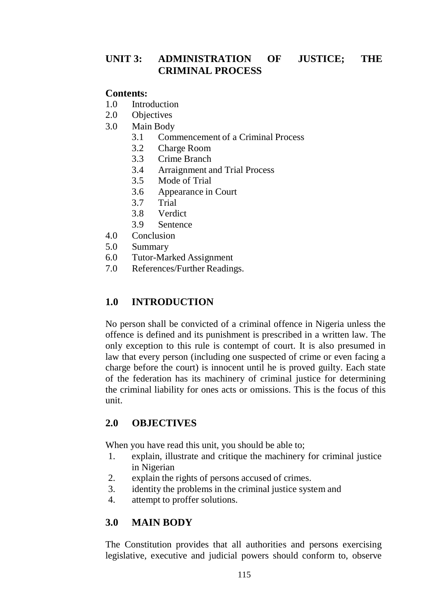### **UNIT 3: ADMINISTRATION OF JUSTICE; THE CRIMINAL PROCESS**

### **Contents:**

- 1.0 Introduction
- 2.0 Objectives
- 3.0 Main Body
	- 3.1 Commencement of a Criminal Process
	- 3.2 Charge Room
	- 3.3 Crime Branch
	- 3.4 Arraignment and Trial Process
	- 3.5 Mode of Trial
	- 3.6 Appearance in Court
	- 3.7 Trial
	- 3.8 Verdict
	- 3.9 Sentence
- 4.0 Conclusion
- 5.0 Summary
- 6.0 Tutor-Marked Assignment
- 7.0 References/Further Readings.

### **1.0 INTRODUCTION**

No person shall be convicted of a criminal offence in Nigeria unless the offence is defined and its punishment is prescribed in a written law. The only exception to this rule is contempt of court. It is also presumed in law that every person (including one suspected of crime or even facing a charge before the court) is innocent until he is proved guilty. Each state of the federation has its machinery of criminal justice for determining the criminal liability for ones acts or omissions. This is the focus of this unit.

### **2.0 OBJECTIVES**

When you have read this unit, you should be able to;

- 1. explain, illustrate and critique the machinery for criminal justice in Nigerian
- 2. explain the rights of persons accused of crimes.
- 3. identity the problems in the criminal justice system and
- 4. attempt to proffer solutions.

### **3.0 MAIN BODY**

The Constitution provides that all authorities and persons exercising legislative, executive and judicial powers should conform to, observe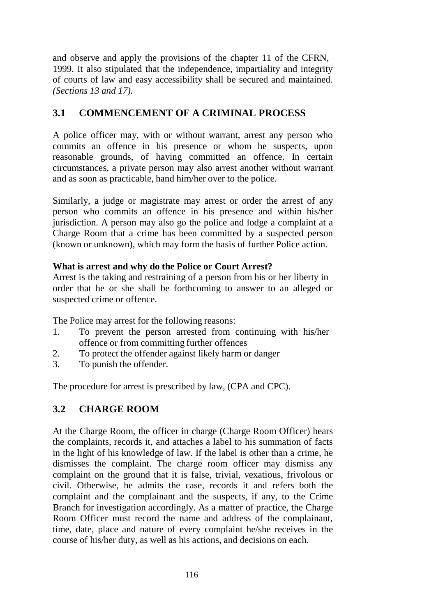and observe and apply the provisions of the chapter 11 of the CFRN, 1999. It also stipulated that the independence, impartiality and integrity of courts of law and easy accessibility shall be secured and maintained. *(Sections 13 and 17).*

# **3.1 COMMENCEMENT OF A CRIMINAL PROCESS**

A police officer may, with or without warrant, arrest any person who commits an offence in his presence or whom he suspects, upon reasonable grounds, of having committed an offence. In certain circumstances, a private person may also arrest another without warrant and as soon as practicable, hand him/her over to the police.

Similarly, a judge or magistrate may arrest or order the arrest of any person who commits an offence in his presence and within his/her jurisdiction. A person may also go the police and lodge a complaint at a Charge Room that a crime has been committed by a suspected person (known or unknown), which may form the basis of further Police action.

### **What is arrest and why do the Police or Court Arrest?**

Arrest is the taking and restraining of a person from his or her liberty in order that he or she shall be forthcoming to answer to an alleged or suspected crime or offence.

The Police may arrest for the following reasons:

- 1. To prevent the person arrested from continuing with his/her offence or from committing further offences
- 2. To protect the offender against likely harm or danger
- 3. To punish the offender.

The procedure for arrest is prescribed by law, (CPA and CPC).

## **3.2 CHARGE ROOM**

At the Charge Room, the officer in charge (Charge Room Officer) hears the complaints, records it, and attaches a label to his summation of facts in the light of his knowledge of law. If the label is other than a crime, he dismisses the complaint. The charge room officer may dismiss any complaint on the ground that it is false, trivial, vexatious, frivolous or civil. Otherwise, he admits the case, records it and refers both the complaint and the complainant and the suspects, if any, to the Crime Branch for investigation accordingly. As a matter of practice, the Charge Room Officer must record the name and address of the complainant, time, date, place and nature of every complaint he/she receives in the course of his/her duty, as well as his actions, and decisions on each.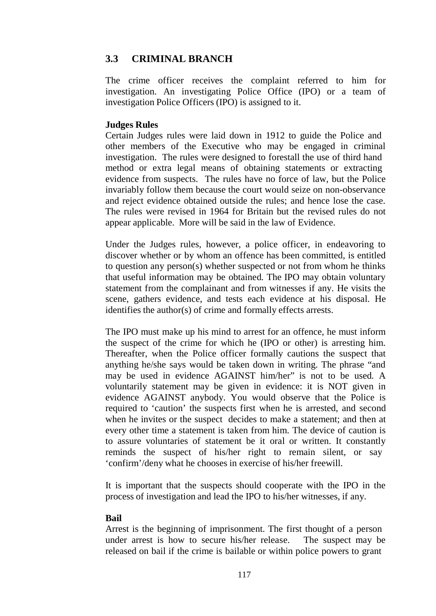### **3.3 CRIMINAL BRANCH**

The crime officer receives the complaint referred to him for investigation. An investigating Police Office (IPO) or a team of investigation Police Officers (IPO) is assigned to it.

#### **Judges Rules**

Certain Judges rules were laid down in 1912 to guide the Police and other members of the Executive who may be engaged in criminal investigation. The rules were designed to forestall the use of third hand method or extra legal means of obtaining statements or extracting evidence from suspects. The rules have no force of law, but the Police invariably follow them because the court would seize on non-observance and reject evidence obtained outside the rules; and hence lose the case. The rules were revised in 1964 for Britain but the revised rules do not appear applicable. More will be said in the law of Evidence.

Under the Judges rules, however, a police officer, in endeavoring to discover whether or by whom an offence has been committed, is entitled to question any person(s) whether suspected or not from whom he thinks that useful information may be obtained. The IPO may obtain voluntary statement from the complainant and from witnesses if any. He visits the scene, gathers evidence, and tests each evidence at his disposal. He identifies the author(s) of crime and formally effects arrests.

The IPO must make up his mind to arrest for an offence, he must inform the suspect of the crime for which he (IPO or other) is arresting him. Thereafter, when the Police officer formally cautions the suspect that anything he/she says would be taken down in writing. The phrase "and may be used in evidence AGAINST him/her" is not to be used. A voluntarily statement may be given in evidence: it is NOT given in evidence AGAINST anybody. You would observe that the Police is required to 'caution' the suspects first when he is arrested, and second when he invites or the suspect decides to make a statement; and then at every other time a statement is taken from him. The device of caution is to assure voluntaries of statement be it oral or written. It constantly reminds the suspect of his/her right to remain silent, or say 'confirm'/deny what he chooses in exercise of his/her freewill.

It is important that the suspects should cooperate with the IPO in the process of investigation and lead the IPO to his/her witnesses, if any.

#### **Bail**

Arrest is the beginning of imprisonment. The first thought of a person under arrest is how to secure his/her release. The suspect may be released on bail if the crime is bailable or within police powers to grant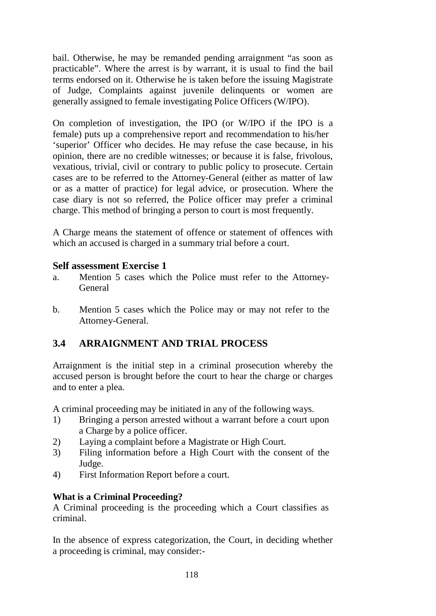bail. Otherwise, he may be remanded pending arraignment "as soon as practicable". Where the arrest is by warrant, it is usual to find the bail terms endorsed on it. Otherwise he is taken before the issuing Magistrate of Judge, Complaints against juvenile delinquents or women are generally assigned to female investigating Police Officers (W/IPO).

On completion of investigation, the IPO (or W/IPO if the IPO is a female) puts up a comprehensive report and recommendation to his/her 'superior' Officer who decides. He may refuse the case because, in his opinion, there are no credible witnesses; or because it is false, frivolous, vexatious, trivial, civil or contrary to public policy to prosecute. Certain cases are to be referred to the Attorney-General (either as matter of law or as a matter of practice) for legal advice, or prosecution. Where the case diary is not so referred, the Police officer may prefer a criminal charge. This method of bringing a person to court is most frequently.

A Charge means the statement of offence or statement of offences with which an accused is charged in a summary trial before a court.

#### **Self assessment Exercise 1**

- a. Mention 5 cases which the Police must refer to the Attorney-General
- b. Mention 5 cases which the Police may or may not refer to the Attorney-General.

### **3.4 ARRAIGNMENT AND TRIAL PROCESS**

Arraignment is the initial step in a criminal prosecution whereby the accused person is brought before the court to hear the charge or charges and to enter a plea.

A criminal proceeding may be initiated in any of the following ways.

- 1) Bringing a person arrested without a warrant before a court upon a Charge by a police officer.
- 2) Laying a complaint before a Magistrate or High Court.
- 3) Filing information before a High Court with the consent of the Judge.
- 4) First Information Report before a court.

#### **What is a Criminal Proceeding?**

A Criminal proceeding is the proceeding which a Court classifies as criminal.

In the absence of express categorization, the Court, in deciding whether a proceeding is criminal, may consider:-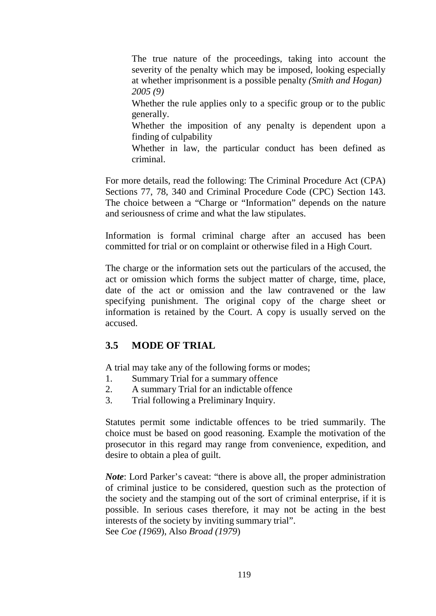The true nature of the proceedings, taking into account the severity of the penalty which may be imposed, looking especially at whether imprisonment is a possible penalty *(Smith and Hogan) 2005 (9)*

Whether the rule applies only to a specific group or to the public generally.

Whether the imposition of any penalty is dependent upon a finding of culpability

Whether in law, the particular conduct has been defined as criminal.

For more details, read the following: The Criminal Procedure Act (CPA) Sections 77, 78, 340 and Criminal Procedure Code (CPC) Section 143. The choice between a "Charge or "Information" depends on the nature and seriousness of crime and what the law stipulates.

Information is formal criminal charge after an accused has been committed for trial or on complaint or otherwise filed in a High Court.

The charge or the information sets out the particulars of the accused, the act or omission which forms the subject matter of charge, time, place, date of the act or omission and the law contravened or the law specifying punishment. The original copy of the charge sheet or information is retained by the Court. A copy is usually served on the accused.

## **3.5 MODE OF TRIAL**

A trial may take any of the following forms or modes;

- 1. Summary Trial for a summary offence
- 2. A summary Trial for an indictable offence
- 3. Trial following a Preliminary Inquiry.

Statutes permit some indictable offences to be tried summarily. The choice must be based on good reasoning. Example the motivation of the prosecutor in this regard may range from convenience, expedition, and desire to obtain a plea of guilt.

*Note*: Lord Parker's caveat: "there is above all, the proper administration of criminal justice to be considered, question such as the protection of the society and the stamping out of the sort of criminal enterprise, if it is possible. In serious cases therefore, it may not be acting in the best interests of the society by inviting summary trial". See *Coe (1969*), Also *Broad (1979*)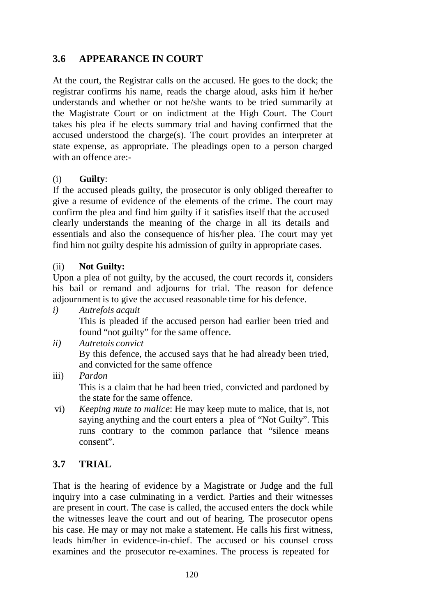## **3.6 APPEARANCE IN COURT**

At the court, the Registrar calls on the accused. He goes to the dock; the registrar confirms his name, reads the charge aloud, asks him if he/her understands and whether or not he/she wants to be tried summarily at the Magistrate Court or on indictment at the High Court. The Court takes his plea if he elects summary trial and having confirmed that the accused understood the charge(s). The court provides an interpreter at state expense, as appropriate. The pleadings open to a person charged with an offence are:-

#### (i) **Guilty**:

If the accused pleads guilty, the prosecutor is only obliged thereafter to give a resume of evidence of the elements of the crime. The court may confirm the plea and find him guilty if it satisfies itself that the accused clearly understands the meaning of the charge in all its details and essentials and also the consequence of his/her plea. The court may yet find him not guilty despite his admission of guilty in appropriate cases.

#### (ii) **Not Guilty:**

Upon a plea of not guilty, by the accused, the court records it, considers his bail or remand and adjourns for trial. The reason for defence adjournment is to give the accused reasonable time for his defence.

*i) Autrefois acquit*

This is pleaded if the accused person had earlier been tried and found "not guilty" for the same offence.

- *ii) Autretois convict* By this defence, the accused says that he had already been tried, and convicted for the same offence
- iii) *Pardon* This is a claim that he had been tried, convicted and pardoned by the state for the same offence.
- vi) *Keeping mute to malice*: He may keep mute to malice, that is, not saying anything and the court enters a plea of "Not Guilty". This runs contrary to the common parlance that "silence means consent".

## **3.7 TRIAL**

That is the hearing of evidence by a Magistrate or Judge and the full inquiry into a case culminating in a verdict. Parties and their witnesses are present in court. The case is called, the accused enters the dock while the witnesses leave the court and out of hearing. The prosecutor opens his case. He may or may not make a statement. He calls his first witness, leads him/her in evidence-in-chief. The accused or his counsel cross examines and the prosecutor re-examines. The process is repeated for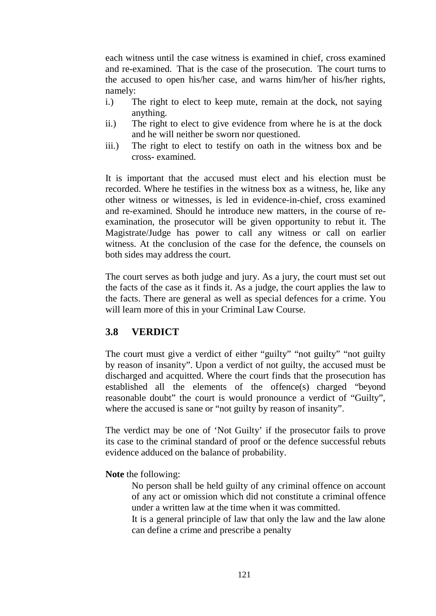each witness until the case witness is examined in chief, cross examined and re-examined. That is the case of the prosecution. The court turns to the accused to open his/her case, and warns him/her of his/her rights, namely:

- i.) The right to elect to keep mute, remain at the dock, not saying anything.
- ii.) The right to elect to give evidence from where he is at the dock and he will neither be sworn nor questioned.
- iii.) The right to elect to testify on oath in the witness box and be cross- examined.

It is important that the accused must elect and his election must be recorded. Where he testifies in the witness box as a witness, he, like any other witness or witnesses, is led in evidence-in-chief, cross examined and re-examined. Should he introduce new matters, in the course of reexamination, the prosecutor will be given opportunity to rebut it. The Magistrate/Judge has power to call any witness or call on earlier witness. At the conclusion of the case for the defence, the counsels on both sides may address the court.

The court serves as both judge and jury. As a jury, the court must set out the facts of the case as it finds it. As a judge, the court applies the law to the facts. There are general as well as special defences for a crime. You will learn more of this in your Criminal Law Course.

## **3.8 VERDICT**

The court must give a verdict of either "guilty" "not guilty" "not guilty by reason of insanity". Upon a verdict of not guilty, the accused must be discharged and acquitted. Where the court finds that the prosecution has established all the elements of the offence(s) charged "beyond reasonable doubt" the court is would pronounce a verdict of "Guilty", where the accused is sane or "not guilty by reason of insanity".

The verdict may be one of 'Not Guilty' if the prosecutor fails to prove its case to the criminal standard of proof or the defence successful rebuts evidence adduced on the balance of probability.

**Note** the following:

No person shall be held guilty of any criminal offence on account of any act or omission which did not constitute a criminal offence under a written law at the time when it was committed.

It is a general principle of law that only the law and the law alone can define a crime and prescribe a penalty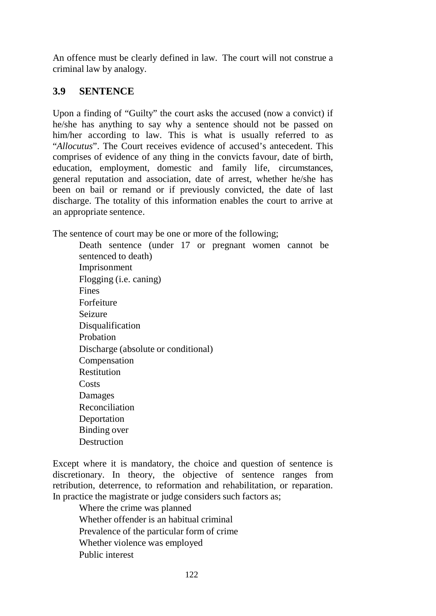An offence must be clearly defined in law. The court will not construe a criminal law by analogy.

### **3.9 SENTENCE**

Upon a finding of "Guilty" the court asks the accused (now a convict) if he/she has anything to say why a sentence should not be passed on him/her according to law. This is what is usually referred to as "*Allocutus*". The Court receives evidence of accused's antecedent. This comprises of evidence of any thing in the convicts favour, date of birth, education, employment, domestic and family life, circumstances, general reputation and association, date of arrest, whether he/she has been on bail or remand or if previously convicted, the date of last discharge. The totality of this information enables the court to arrive at an appropriate sentence.

The sentence of court may be one or more of the following;

Death sentence (under 17 or pregnant women cannot be sentenced to death) Imprisonment Flogging (i.e. caning) Fines Forfeiture Seizure **Disqualification** Probation Discharge (absolute or conditional) Compensation Restitution Costs Damages Reconciliation Deportation Binding over **Destruction** 

Except where it is mandatory, the choice and question of sentence is discretionary. In theory, the objective of sentence ranges from retribution, deterrence, to reformation and rehabilitation, or reparation. In practice the magistrate or judge considers such factors as;

Where the crime was planned Whether offender is an habitual criminal Prevalence of the particular form of crime Whether violence was employed Public interest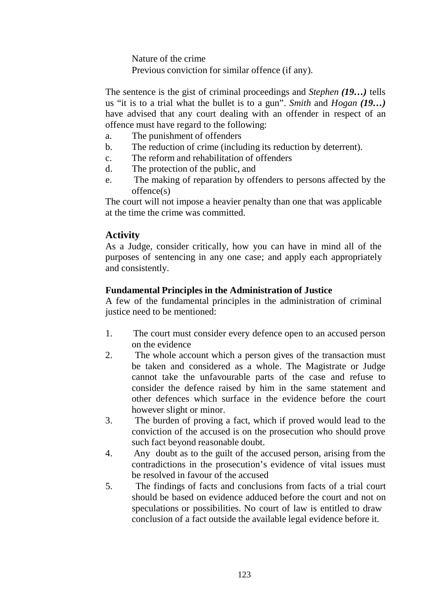Nature of the crime Previous conviction for similar offence (if any).

The sentence is the gist of criminal proceedings and *Stephen (19…)* tells us "it is to a trial what the bullet is to a gun". *Smith* and *Hogan (19…)*  have advised that any court dealing with an offender in respect of an offence must have regard to the following:

- a. The punishment of offenders
- b. The reduction of crime (including its reduction by deterrent).
- c. The reform and rehabilitation of offenders
- d. The protection of the public, and
- e. The making of reparation by offenders to persons affected by the offence(s)

The court will not impose a heavier penalty than one that was applicable at the time the crime was committed.

## **Activity**

As a Judge, consider critically, how you can have in mind all of the purposes of sentencing in any one case; and apply each appropriately and consistently.

#### **Fundamental Principles in the Administration of Justice**

A few of the fundamental principles in the administration of criminal justice need to be mentioned:

- 1. The court must consider every defence open to an accused person on the evidence
- 2. The whole account which a person gives of the transaction must be taken and considered as a whole. The Magistrate or Judge cannot take the unfavourable parts of the case and refuse to consider the defence raised by him in the same statement and other defences which surface in the evidence before the court however slight or minor.
- 3. The burden of proving a fact, which if proved would lead to the conviction of the accused is on the prosecution who should prove such fact beyond reasonable doubt.
- 4. Any doubt as to the guilt of the accused person, arising from the contradictions in the prosecution's evidence of vital issues must be resolved in favour of the accused
- 5. The findings of facts and conclusions from facts of a trial court should be based on evidence adduced before the court and not on speculations or possibilities. No court of law is entitled to draw conclusion of a fact outside the available legal evidence before it.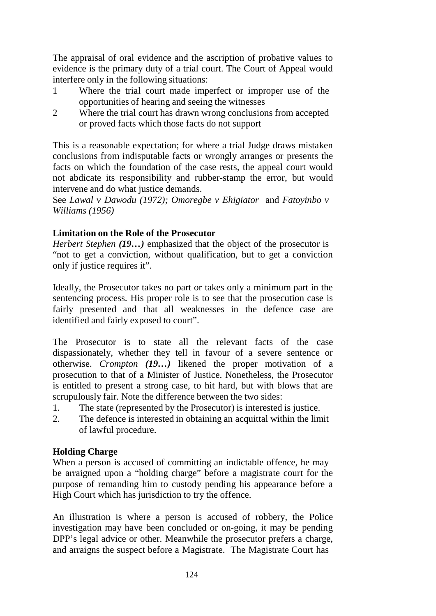The appraisal of oral evidence and the ascription of probative values to evidence is the primary duty of a trial court. The Court of Appeal would interfere only in the following situations:

- 1 Where the trial court made imperfect or improper use of the opportunities of hearing and seeing the witnesses
- 2 Where the trial court has drawn wrong conclusions from accepted or proved facts which those facts do not support

This is a reasonable expectation; for where a trial Judge draws mistaken conclusions from indisputable facts or wrongly arranges or presents the facts on which the foundation of the case rests, the appeal court would not abdicate its responsibility and rubber-stamp the error, but would intervene and do what justice demands.

See *Lawal v Dawodu (1972); Omoregbe v Ehigiator* and *Fatoyinbo v Williams (1956)*

#### **Limitation on the Role of the Prosecutor**

*Herbert Stephen (19…)* emphasized that the object of the prosecutor is "not to get a conviction, without qualification, but to get a conviction only if justice requires it".

Ideally, the Prosecutor takes no part or takes only a minimum part in the sentencing process. His proper role is to see that the prosecution case is fairly presented and that all weaknesses in the defence case are identified and fairly exposed to court".

The Prosecutor is to state all the relevant facts of the case dispassionately, whether they tell in favour of a severe sentence or otherwise. *Crompton (19…)* likened the proper motivation of a prosecution to that of a Minister of Justice. Nonetheless, the Prosecutor is entitled to present a strong case, to hit hard, but with blows that are scrupulously fair. Note the difference between the two sides:

- 1. The state (represented by the Prosecutor) is interested is justice.
- 2. The defence is interested in obtaining an acquittal within the limit of lawful procedure.

#### **Holding Charge**

When a person is accused of committing an indictable offence, he may be arraigned upon a "holding charge" before a magistrate court for the purpose of remanding him to custody pending his appearance before a High Court which has jurisdiction to try the offence.

An illustration is where a person is accused of robbery, the Police investigation may have been concluded or on-going, it may be pending DPP's legal advice or other. Meanwhile the prosecutor prefers a charge, and arraigns the suspect before a Magistrate. The Magistrate Court has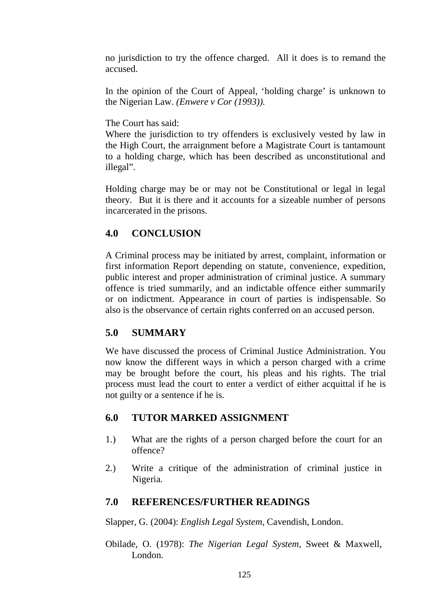no jurisdiction to try the offence charged. All it does is to remand the accused.

In the opinion of the Court of Appeal, 'holding charge' is unknown to the Nigerian Law. *(Enwere v Cor (1993)).*

The Court has said:

Where the jurisdiction to try offenders is exclusively vested by law in the High Court, the arraignment before a Magistrate Court is tantamount to a holding charge, which has been described as unconstitutional and illegal".

Holding charge may be or may not be Constitutional or legal in legal theory. But it is there and it accounts for a sizeable number of persons incarcerated in the prisons.

## **4.0 CONCLUSION**

A Criminal process may be initiated by arrest, complaint, information or first information Report depending on statute, convenience, expedition, public interest and proper administration of criminal justice. A summary offence is tried summarily, and an indictable offence either summarily or on indictment. Appearance in court of parties is indispensable. So also is the observance of certain rights conferred on an accused person.

## **5.0 SUMMARY**

We have discussed the process of Criminal Justice Administration. You now know the different ways in which a person charged with a crime may be brought before the court, his pleas and his rights. The trial process must lead the court to enter a verdict of either acquittal if he is not guilty or a sentence if he is.

## **6.0 TUTOR MARKED ASSIGNMENT**

- 1.) What are the rights of a person charged before the court for an offence?
- 2.) Write a critique of the administration of criminal justice in Nigeria.

## **7.0 REFERENCES/FURTHER READINGS**

Slapper, G. (2004): *English Legal System*, Cavendish, London.

Obilade, O. (1978): *The Nigerian Legal System,* Sweet & Maxwell, London.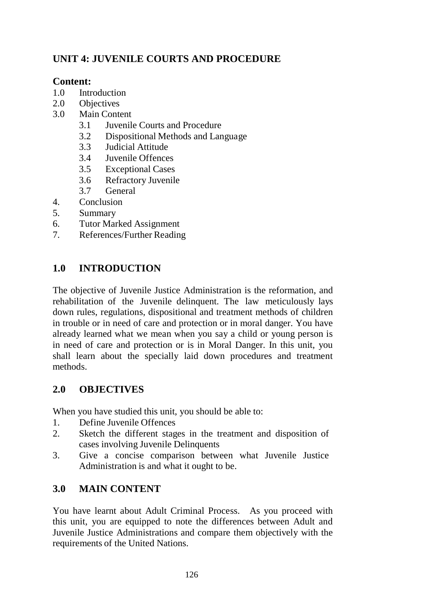# **UNIT 4: JUVENILE COURTS AND PROCEDURE**

### **Content:**

- 1.0 Introduction
- 2.0 Objectives
- 3.0 Main Content
	- 3.1 Juvenile Courts and Procedure
	- 3.2 Dispositional Methods and Language
	- 3.3 Judicial Attitude
	- 3.4 Juvenile Offences
	- 3.5 Exceptional Cases
	- 3.6 Refractory Juvenile
	- 3.7 General
- 4. Conclusion
- 5. Summary
- 6. Tutor Marked Assignment
- 7. References/Further Reading

### **1.0 INTRODUCTION**

The objective of Juvenile Justice Administration is the reformation, and rehabilitation of the Juvenile delinquent. The law meticulously lays down rules, regulations, dispositional and treatment methods of children in trouble or in need of care and protection or in moral danger. You have already learned what we mean when you say a child or young person is in need of care and protection or is in Moral Danger. In this unit, you shall learn about the specially laid down procedures and treatment methods.

## **2.0 OBJECTIVES**

When you have studied this unit, you should be able to:

- 1. Define Juvenile Offences
- 2. Sketch the different stages in the treatment and disposition of cases involving Juvenile Delinquents
- 3. Give a concise comparison between what Juvenile Justice Administration is and what it ought to be.

### **3.0 MAIN CONTENT**

You have learnt about Adult Criminal Process. As you proceed with this unit, you are equipped to note the differences between Adult and Juvenile Justice Administrations and compare them objectively with the requirements of the United Nations.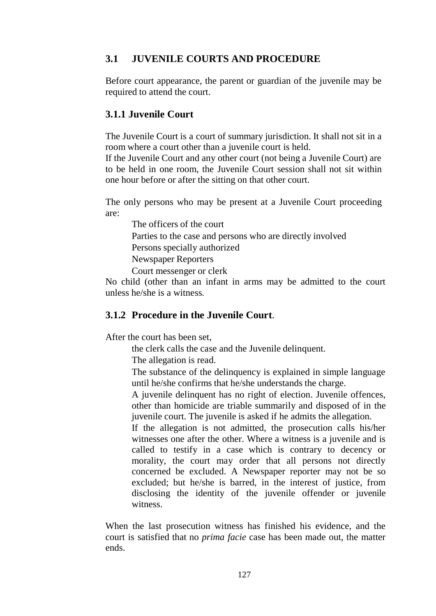### **3.1 JUVENILE COURTS AND PROCEDURE**

Before court appearance, the parent or guardian of the juvenile may be required to attend the court.

#### **3.1.1 Juvenile Court**

The Juvenile Court is a court of summary jurisdiction. It shall not sit in a room where a court other than a juvenile court is held.

If the Juvenile Court and any other court (not being a Juvenile Court) are to be held in one room, the Juvenile Court session shall not sit within one hour before or after the sitting on that other court.

The only persons who may be present at a Juvenile Court proceeding are:

The officers of the court Parties to the case and persons who are directly involved Persons specially authorized Newspaper Reporters Court messenger or clerk

No child (other than an infant in arms may be admitted to the court unless he/she is a witness.

### **3.1.2 Procedure in the Juvenile Court**.

After the court has been set,

the clerk calls the case and the Juvenile delinquent.

The allegation is read.

The substance of the delinquency is explained in simple language until he/she confirms that he/she understands the charge.

A juvenile delinquent has no right of election. Juvenile offences, other than homicide are triable summarily and disposed of in the juvenile court. The juvenile is asked if he admits the allegation.

If the allegation is not admitted, the prosecution calls his/her witnesses one after the other. Where a witness is a juvenile and is called to testify in a case which is contrary to decency or morality, the court may order that all persons not directly concerned be excluded. A Newspaper reporter may not be so excluded; but he/she is barred, in the interest of justice, from disclosing the identity of the juvenile offender or juvenile witness.

When the last prosecution witness has finished his evidence, and the court is satisfied that no *prima facie* case has been made out, the matter ends.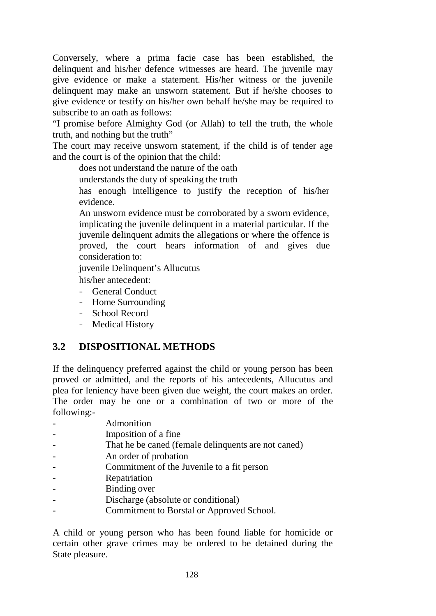Conversely, where a prima facie case has been established, the delinquent and his/her defence witnesses are heard. The juvenile may give evidence or make a statement. His/her witness or the juvenile delinquent may make an unsworn statement. But if he/she chooses to give evidence or testify on his/her own behalf he/she may be required to subscribe to an oath as follows:

"I promise before Almighty God (or Allah) to tell the truth, the whole truth, and nothing but the truth"

The court may receive unsworn statement, if the child is of tender age and the court is of the opinion that the child:

does not understand the nature of the oath

understands the duty of speaking the truth

has enough intelligence to justify the reception of his/her evidence.

An unsworn evidence must be corroborated by a sworn evidence, implicating the juvenile delinquent in a material particular. If the juvenile delinquent admits the allegations or where the offence is proved, the court hears information of and gives due consideration to:

juvenile Delinquent's Allucutus

his/her antecedent:

- General Conduct
- Home Surrounding
- School Record
- Medical History

## **3.2 DISPOSITIONAL METHODS**

If the delinquency preferred against the child or young person has been proved or admitted, and the reports of his antecedents, Allucutus and plea for leniency have been given due weight, the court makes an order. The order may be one or a combination of two or more of the following:-

- Admonition
- Imposition of a fine
- That he be caned (female delinquents are not caned)
- An order of probation
- Commitment of the Juvenile to a fit person
- Repatriation
- Binding over
- Discharge (absolute or conditional)
- Commitment to Borstal or Approved School.

A child or young person who has been found liable for homicide or certain other grave crimes may be ordered to be detained during the State pleasure.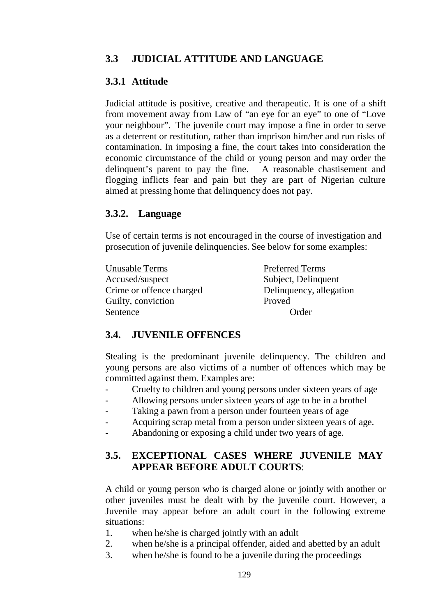# **3.3 JUDICIAL ATTITUDE AND LANGUAGE**

# **3.3.1 Attitude**

Judicial attitude is positive, creative and therapeutic. It is one of a shift from movement away from Law of "an eye for an eye" to one of "Love your neighbour". The juvenile court may impose a fine in order to serve as a deterrent or restitution, rather than imprison him/her and run risks of contamination. In imposing a fine, the court takes into consideration the economic circumstance of the child or young person and may order the delinquent's parent to pay the fine. A reasonable chastisement and flogging inflicts fear and pain but they are part of Nigerian culture aimed at pressing home that delinquency does not pay.

### **3.3.2. Language**

Use of certain terms is not encouraged in the course of investigation and prosecution of juvenile delinquencies. See below for some examples:

| Unusable Terms           | <b>Preferred Terms</b>  |
|--------------------------|-------------------------|
| Accused/suspect          | Subject, Delinquent     |
| Crime or offence charged | Delinquency, allegation |
| Guilty, conviction       | Proved                  |
| Sentence                 | Order                   |

## **3.4. JUVENILE OFFENCES**

Stealing is the predominant juvenile delinquency. The children and young persons are also victims of a number of offences which may be committed against them. Examples are:

- Cruelty to children and young persons under sixteen years of age
- Allowing persons under sixteen years of age to be in a brothel
- Taking a pawn from a person under fourteen years of age
- Acquiring scrap metal from a person under sixteen years of age.
- Abandoning or exposing a child under two years of age.

### **3.5. EXCEPTIONAL CASES WHERE JUVENILE MAY APPEAR BEFORE ADULT COURTS**:

A child or young person who is charged alone or jointly with another or other juveniles must be dealt with by the juvenile court. However, a Juvenile may appear before an adult court in the following extreme situations:

- 1. when he/she is charged jointly with an adult
- 2. when he/she is a principal offender, aided and abetted by an adult
- 3. when he/she is found to be a juvenile during the proceedings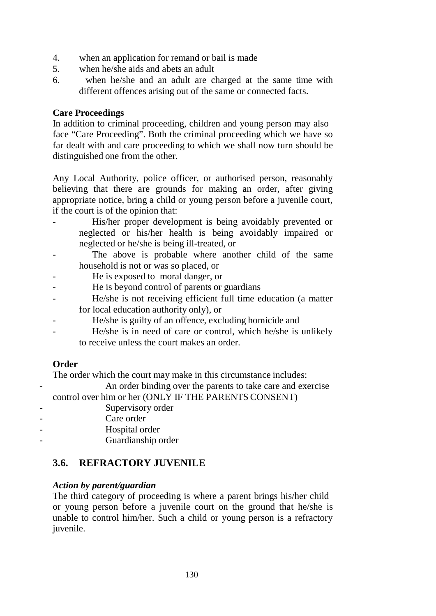- 4. when an application for remand or bail is made
- 5. when he/she aids and abets an adult
- 6. when he/she and an adult are charged at the same time with different offences arising out of the same or connected facts.

#### **Care Proceedings**

In addition to criminal proceeding, children and young person may also face "Care Proceeding". Both the criminal proceeding which we have so far dealt with and care proceeding to which we shall now turn should be distinguished one from the other.

Any Local Authority, police officer, or authorised person, reasonably believing that there are grounds for making an order, after giving appropriate notice, bring a child or young person before a juvenile court, if the court is of the opinion that:

- His/her proper development is being avoidably prevented or neglected or his/her health is being avoidably impaired or neglected or he/she is being ill-treated, or
- The above is probable where another child of the same household is not or was so placed, or
- He is exposed to moral danger, or
- He is beyond control of parents or guardians
- He/she is not receiving efficient full time education (a matter for local education authority only), or
- He/she is guilty of an offence, excluding homicide and
- He/she is in need of care or control, which he/she is unlikely to receive unless the court makes an order.

#### **Order**

The order which the court may make in this circumstance includes:

An order binding over the parents to take care and exercise

control over him or her (ONLY IF THE PARENTS CONSENT)

- Supervisory order
- Care order
	- Hospital order
	- Guardianship order

### **3.6. REFRACTORY JUVENILE**

#### *Action by parent/guardian*

The third category of proceeding is where a parent brings his/her child or young person before a juvenile court on the ground that he/she is unable to control him/her. Such a child or young person is a refractory juvenile.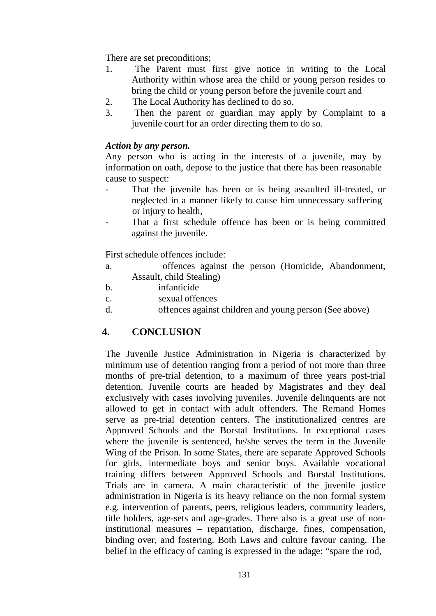There are set preconditions;

- 1. The Parent must first give notice in writing to the Local Authority within whose area the child or young person resides to bring the child or young person before the juvenile court and
- 2. The Local Authority has declined to do so.
- 3. Then the parent or guardian may apply by Complaint to a juvenile court for an order directing them to do so.

#### *Action by any person.*

Any person who is acting in the interests of a juvenile, may by information on oath, depose to the justice that there has been reasonable cause to suspect:

- That the juvenile has been or is being assaulted ill-treated, or neglected in a manner likely to cause him unnecessary suffering or injury to health,
- That a first schedule offence has been or is being committed against the juvenile.

First schedule offences include:

- a. offences against the person (Homicide, Abandonment, Assault, child Stealing)
- b. infanticide
- c. sexual offences
- d. offences against children and young person (See above)

### **4. CONCLUSION**

The Juvenile Justice Administration in Nigeria is characterized by minimum use of detention ranging from a period of not more than three months of pre-trial detention, to a maximum of three years post-trial detention. Juvenile courts are headed by Magistrates and they deal exclusively with cases involving juveniles. Juvenile delinquents are not allowed to get in contact with adult offenders. The Remand Homes serve as pre-trial detention centers. The institutionalized centres are Approved Schools and the Borstal Institutions. In exceptional cases where the juvenile is sentenced, he/she serves the term in the Juvenile Wing of the Prison. In some States, there are separate Approved Schools for girls, intermediate boys and senior boys. Available vocational training differs between Approved Schools and Borstal Institutions. Trials are in camera. A main characteristic of the juvenile justice administration in Nigeria is its heavy reliance on the non formal system e.g. intervention of parents, peers, religious leaders, community leaders, title holders, age-sets and age-grades. There also is a great use of noninstitutional measures – repatriation, discharge, fines, compensation, binding over, and fostering. Both Laws and culture favour caning. The belief in the efficacy of caning is expressed in the adage: "spare the rod,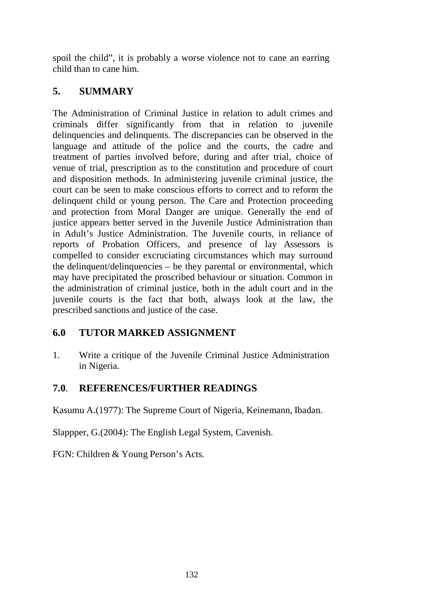spoil the child", it is probably a worse violence not to cane an earring child than to cane him.

# **5. SUMMARY**

The Administration of Criminal Justice in relation to adult crimes and criminals differ significantly from that in relation to juvenile delinquencies and delinquents. The discrepancies can be observed in the language and attitude of the police and the courts, the cadre and treatment of parties involved before, during and after trial, choice of venue of trial, prescription as to the constitution and procedure of court and disposition methods. In administering juvenile criminal justice, the court can be seen to make conscious efforts to correct and to reform the delinquent child or young person. The Care and Protection proceeding and protection from Moral Danger are unique. Generally the end of justice appears better served in the Juvenile Justice Administration than in Adult's Justice Administration. The Juvenile courts, in reliance of reports of Probation Officers, and presence of lay Assessors is compelled to consider excruciating circumstances which may surround the delinquent/delinquencies – be they parental or environmental, which may have precipitated the proscribed behaviour or situation. Common in the administration of criminal justice, both in the adult court and in the juvenile courts is the fact that both, always look at the law, the prescribed sanctions and justice of the case.

## **6.0 TUTOR MARKED ASSIGNMENT**

1. Write a critique of the Juvenile Criminal Justice Administration in Nigeria.

## **7.0**. **REFERENCES/FURTHER READINGS**

Kasumu A.(1977): The Supreme Court of Nigeria, Keinemann, Ibadan.

Slappper, G.(2004): The English Legal System, Cavenish.

FGN: Children & Young Person's Acts.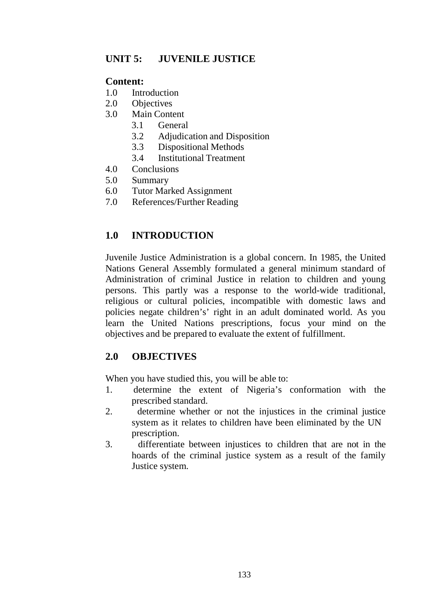## **UNIT 5: JUVENILE JUSTICE**

### **Content:**

- 1.0 Introduction
- 2.0 Objectives
- 3.0 Main Content
	- 3.1 General
	- 3.2 Adjudication and Disposition
	- 3.3 Dispositional Methods
	- 3.4 Institutional Treatment
- 4.0 Conclusions
- 5.0 Summary
- 6.0 Tutor Marked Assignment
- 7.0 References/Further Reading

## **1.0 INTRODUCTION**

Juvenile Justice Administration is a global concern. In 1985, the United Nations General Assembly formulated a general minimum standard of Administration of criminal Justice in relation to children and young persons. This partly was a response to the world-wide traditional, religious or cultural policies, incompatible with domestic laws and policies negate children's' right in an adult dominated world. As you learn the United Nations prescriptions, focus your mind on the objectives and be prepared to evaluate the extent of fulfillment.

## **2.0 OBJECTIVES**

When you have studied this, you will be able to:

- 1. determine the extent of Nigeria's conformation with the prescribed standard.
- 2. determine whether or not the injustices in the criminal justice system as it relates to children have been eliminated by the UN prescription.
- 3. differentiate between injustices to children that are not in the hoards of the criminal justice system as a result of the family Justice system.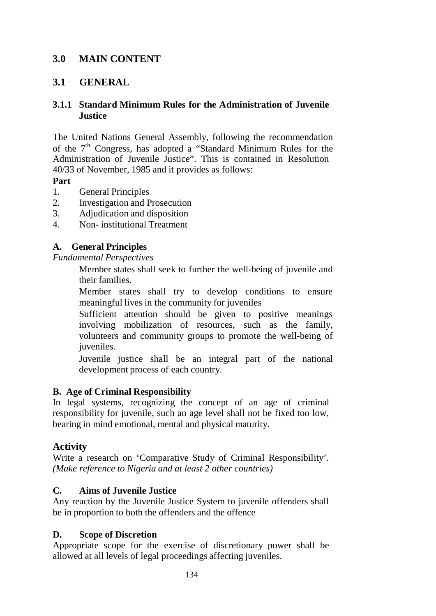### **3.0 MAIN CONTENT**

### **3.1 GENERAL**

#### **3.1.1 Standard Minimum Rules for the Administration of Juvenile Justice**

The United Nations General Assembly, following the recommendation of the  $7<sup>th</sup>$  Congress, has adopted a "Standard Minimum Rules for the Administration of Juvenile Justice". This is contained in Resolution 40/33 of November, 1985 and it provides as follows:

#### **Part**

- 1. General Principles
- 2. Investigation and Prosecution
- 3. Adjudication and disposition
- 4. Non- institutional Treatment

#### **A. General Principles**

*Fundamental Perspectives*

Member states shall seek to further the well-being of juvenile and their families.

Member states shall try to develop conditions to ensure meaningful lives in the community for juveniles

Sufficient attention should be given to positive meanings involving mobilization of resources, such as the family, volunteers and community groups to promote the well-being of juveniles.

Juvenile justice shall be an integral part of the national development process of each country.

#### **B. Age of Criminal Responsibility**

In legal systems, recognizing the concept of an age of criminal responsibility for juvenile, such an age level shall not be fixed too low, bearing in mind emotional, mental and physical maturity.

#### **Activity**

Write a research on 'Comparative Study of Criminal Responsibility'. *(Make reference to Nigeria and at least 2 other countries)*

#### **C. Aims of Juvenile Justice**

Any reaction by the Juvenile Justice System to juvenile offenders shall be in proportion to both the offenders and the offence

#### **D. Scope of Discretion**

Appropriate scope for the exercise of discretionary power shall be allowed at all levels of legal proceedings affecting juveniles.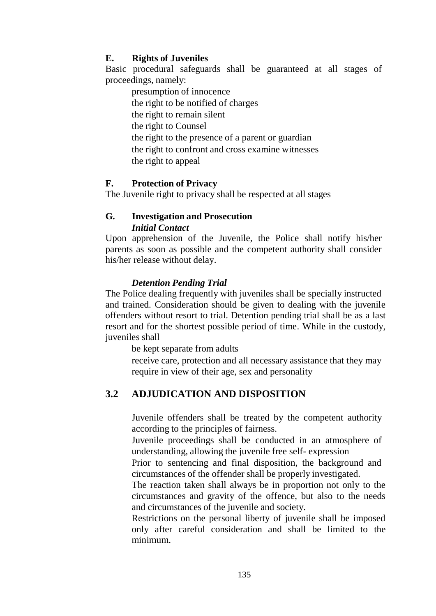#### **E. Rights of Juveniles**

Basic procedural safeguards shall be guaranteed at all stages of proceedings, namely:

presumption of innocence the right to be notified of charges the right to remain silent the right to Counsel the right to the presence of a parent or guardian the right to confront and cross examine witnesses the right to appeal

#### **F. Protection of Privacy**

The Juvenile right to privacy shall be respected at all stages

#### **G. Investigation and Prosecution** *Initial Contact*

Upon apprehension of the Juvenile, the Police shall notify his/her parents as soon as possible and the competent authority shall consider his/her release without delay.

#### *Detention Pending Trial*

The Police dealing frequently with juveniles shall be specially instructed and trained. Consideration should be given to dealing with the juvenile offenders without resort to trial. Detention pending trial shall be as a last resort and for the shortest possible period of time. While in the custody, juveniles shall

be kept separate from adults

receive care, protection and all necessary assistance that they may require in view of their age, sex and personality

### **3.2 ADJUDICATION AND DISPOSITION**

Juvenile offenders shall be treated by the competent authority according to the principles of fairness.

Juvenile proceedings shall be conducted in an atmosphere of understanding, allowing the juvenile free self- expression

Prior to sentencing and final disposition, the background and circumstances of the offender shall be properly investigated.

The reaction taken shall always be in proportion not only to the circumstances and gravity of the offence, but also to the needs and circumstances of the juvenile and society.

Restrictions on the personal liberty of juvenile shall be imposed only after careful consideration and shall be limited to the minimum.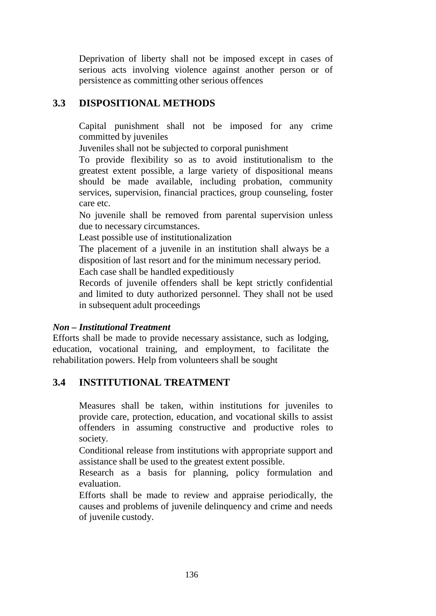Deprivation of liberty shall not be imposed except in cases of serious acts involving violence against another person or of persistence as committing other serious offences

### **3.3 DISPOSITIONAL METHODS**

Capital punishment shall not be imposed for any crime committed by juveniles

Juveniles shall not be subjected to corporal punishment

To provide flexibility so as to avoid institutionalism to the greatest extent possible, a large variety of dispositional means should be made available, including probation, community services, supervision, financial practices, group counseling, foster care etc.

No juvenile shall be removed from parental supervision unless due to necessary circumstances.

Least possible use of institutionalization

The placement of a juvenile in an institution shall always be a disposition of last resort and for the minimum necessary period.

Each case shall be handled expeditiously

Records of juvenile offenders shall be kept strictly confidential and limited to duty authorized personnel. They shall not be used in subsequent adult proceedings

#### *Non – Institutional Treatment*

Efforts shall be made to provide necessary assistance, such as lodging, education, vocational training, and employment, to facilitate the rehabilitation powers. Help from volunteers shall be sought

## **3.4 INSTITUTIONAL TREATMENT**

Measures shall be taken, within institutions for juveniles to provide care, protection, education, and vocational skills to assist offenders in assuming constructive and productive roles to society.

Conditional release from institutions with appropriate support and assistance shall be used to the greatest extent possible.

Research as a basis for planning, policy formulation and evaluation.

Efforts shall be made to review and appraise periodically, the causes and problems of juvenile delinquency and crime and needs of juvenile custody.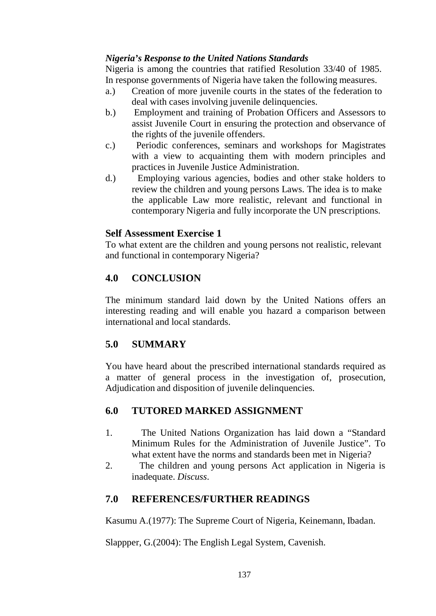### *Nigeria's Response to the United Nations Standards*

Nigeria is among the countries that ratified Resolution 33/40 of 1985. In response governments of Nigeria have taken the following measures.

- a.) Creation of more juvenile courts in the states of the federation to deal with cases involving juvenile delinquencies.
- b.) Employment and training of Probation Officers and Assessors to assist Juvenile Court in ensuring the protection and observance of the rights of the juvenile offenders.
- c.) Periodic conferences, seminars and workshops for Magistrates with a view to acquainting them with modern principles and practices in Juvenile Justice Administration.
- d.) Employing various agencies, bodies and other stake holders to review the children and young persons Laws. The idea is to make the applicable Law more realistic, relevant and functional in contemporary Nigeria and fully incorporate the UN prescriptions.

### **Self Assessment Exercise 1**

To what extent are the children and young persons not realistic, relevant and functional in contemporary Nigeria?

### **4.0 CONCLUSION**

The minimum standard laid down by the United Nations offers an interesting reading and will enable you hazard a comparison between international and local standards.

## **5.0 SUMMARY**

You have heard about the prescribed international standards required as a matter of general process in the investigation of, prosecution, Adjudication and disposition of juvenile delinquencies.

## **6.0 TUTORED MARKED ASSIGNMENT**

- 1. The United Nations Organization has laid down a "Standard Minimum Rules for the Administration of Juvenile Justice". To what extent have the norms and standards been met in Nigeria?
- 2. The children and young persons Act application in Nigeria is inadequate. *Discuss*.

### **7.0 REFERENCES/FURTHER READINGS**

Kasumu A.(1977): The Supreme Court of Nigeria, Keinemann, Ibadan.

Slappper, G.(2004): The English Legal System, Cavenish.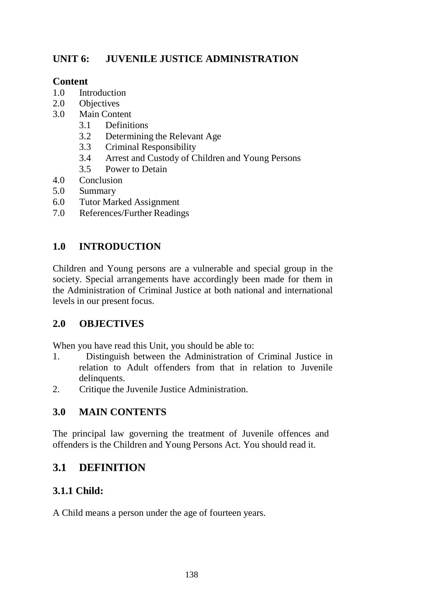# **UNIT 6: JUVENILE JUSTICE ADMINISTRATION**

### **Content**

- 1.0 Introduction
- 2.0 Objectives
- 3.0 Main Content
	- 3.1 Definitions
	- 3.2 Determining the Relevant Age
	- 3.3 Criminal Responsibility
	- 3.4 Arrest and Custody of Children and Young Persons
	- 3.5 Power to Detain
- 4.0 Conclusion
- 5.0 Summary
- 6.0 Tutor Marked Assignment
- 7.0 References/Further Readings

# **1.0 INTRODUCTION**

Children and Young persons are a vulnerable and special group in the society. Special arrangements have accordingly been made for them in the Administration of Criminal Justice at both national and international levels in our present focus.

## **2.0 OBJECTIVES**

When you have read this Unit, you should be able to:

- 1. Distinguish between the Administration of Criminal Justice in relation to Adult offenders from that in relation to Juvenile delinquents.
- 2. Critique the Juvenile Justice Administration.

## **3.0 MAIN CONTENTS**

The principal law governing the treatment of Juvenile offences and offenders is the Children and Young Persons Act. You should read it.

# **3.1 DEFINITION**

# **3.1.1 Child:**

A Child means a person under the age of fourteen years.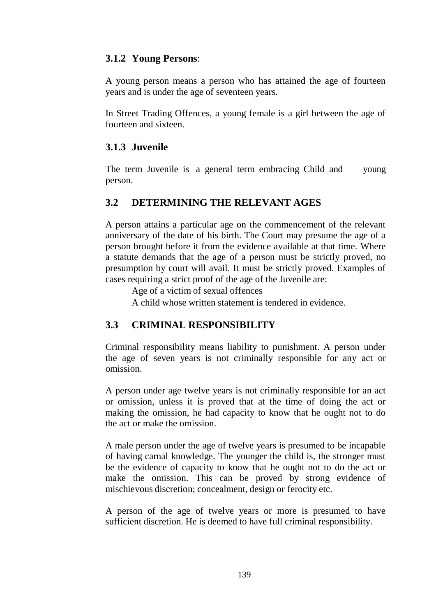#### **3.1.2 Young Persons**:

A young person means a person who has attained the age of fourteen years and is under the age of seventeen years.

In Street Trading Offences, a young female is a girl between the age of fourteen and sixteen.

#### **3.1.3 Juvenile**

The term Juvenile is a general term embracing Child and young person.

#### **3.2 DETERMINING THE RELEVANT AGES**

A person attains a particular age on the commencement of the relevant anniversary of the date of his birth. The Court may presume the age of a person brought before it from the evidence available at that time. Where a statute demands that the age of a person must be strictly proved, no presumption by court will avail. It must be strictly proved. Examples of cases requiring a strict proof of the age of the Juvenile are:

Age of a victim of sexual offences

A child whose written statement is tendered in evidence.

### **3.3 CRIMINAL RESPONSIBILITY**

Criminal responsibility means liability to punishment. A person under the age of seven years is not criminally responsible for any act or omission.

A person under age twelve years is not criminally responsible for an act or omission, unless it is proved that at the time of doing the act or making the omission, he had capacity to know that he ought not to do the act or make the omission.

A male person under the age of twelve years is presumed to be incapable of having carnal knowledge. The younger the child is, the stronger must be the evidence of capacity to know that he ought not to do the act or make the omission. This can be proved by strong evidence of mischievous discretion; concealment, design or ferocity etc.

A person of the age of twelve years or more is presumed to have sufficient discretion. He is deemed to have full criminal responsibility.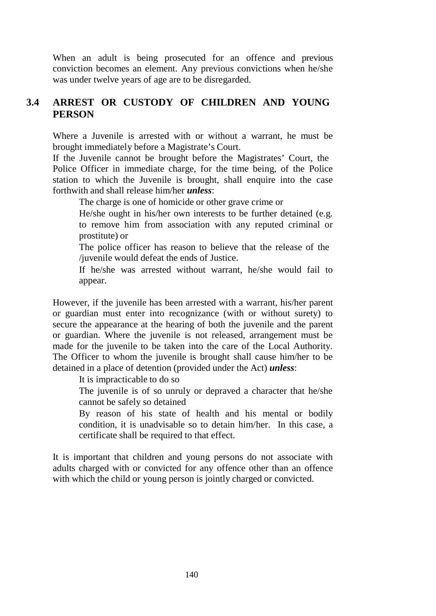When an adult is being prosecuted for an offence and previous conviction becomes an element. Any previous convictions when he/she was under twelve years of age are to be disregarded.

### **3.4 ARREST OR CUSTODY OF CHILDREN AND YOUNG PERSON**

Where a Juvenile is arrested with or without a warrant, he must be brought immediately before a Magistrate's Court.

If the Juvenile cannot be brought before the Magistrates' Court, the Police Officer in immediate charge, for the time being, of the Police station to which the Juvenile is brought, shall enquire into the case forthwith and shall release him/her *unless*:

The charge is one of homicide or other grave crime or

He/she ought in his/her own interests to be further detained (e.g. to remove him from association with any reputed criminal or prostitute) or

The police officer has reason to believe that the release of the /juvenile would defeat the ends of Justice.

If he/she was arrested without warrant, he/she would fail to appear.

However, if the juvenile has been arrested with a warrant, his/her parent or guardian must enter into recognizance (with or without surety) to secure the appearance at the hearing of both the juvenile and the parent or guardian. Where the juvenile is not released, arrangement must be made for the juvenile to be taken into the care of the Local Authority. The Officer to whom the juvenile is brought shall cause him/her to be detained in a place of detention (provided under the Act) *unless*:

It is impracticable to do so

The juvenile is of so unruly or depraved a character that he/she cannot be safely so detained

By reason of his state of health and his mental or bodily condition, it is unadvisable so to detain him/her. In this case, a certificate shall be required to that effect.

It is important that children and young persons do not associate with adults charged with or convicted for any offence other than an offence with which the child or young person is jointly charged or convicted.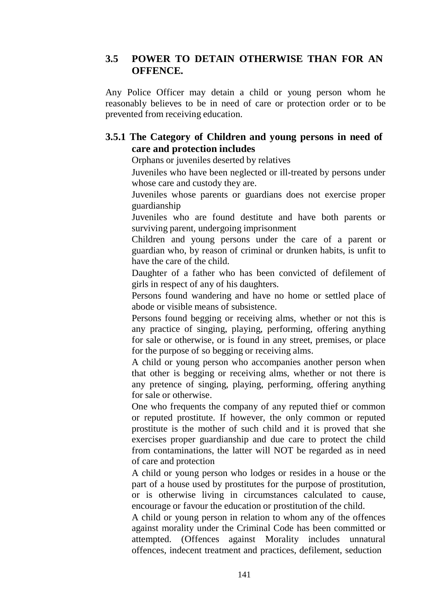### **3.5 POWER TO DETAIN OTHERWISE THAN FOR AN OFFENCE.**

Any Police Officer may detain a child or young person whom he reasonably believes to be in need of care or protection order or to be prevented from receiving education.

### **3.5.1 The Category of Children and young persons in need of care and protection includes**

Orphans or juveniles deserted by relatives

Juveniles who have been neglected or ill-treated by persons under whose care and custody they are.

Juveniles whose parents or guardians does not exercise proper guardianship

Juveniles who are found destitute and have both parents or surviving parent, undergoing imprisonment

Children and young persons under the care of a parent or guardian who, by reason of criminal or drunken habits, is unfit to have the care of the child.

Daughter of a father who has been convicted of defilement of girls in respect of any of his daughters.

Persons found wandering and have no home or settled place of abode or visible means of subsistence.

Persons found begging or receiving alms, whether or not this is any practice of singing, playing, performing, offering anything for sale or otherwise, or is found in any street, premises, or place for the purpose of so begging or receiving alms.

A child or young person who accompanies another person when that other is begging or receiving alms, whether or not there is any pretence of singing, playing, performing, offering anything for sale or otherwise.

One who frequents the company of any reputed thief or common or reputed prostitute. If however, the only common or reputed prostitute is the mother of such child and it is proved that she exercises proper guardianship and due care to protect the child from contaminations, the latter will NOT be regarded as in need of care and protection

A child or young person who lodges or resides in a house or the part of a house used by prostitutes for the purpose of prostitution, or is otherwise living in circumstances calculated to cause, encourage or favour the education or prostitution of the child.

A child or young person in relation to whom any of the offences against morality under the Criminal Code has been committed or attempted. (Offences against Morality includes unnatural offences, indecent treatment and practices, defilement, seduction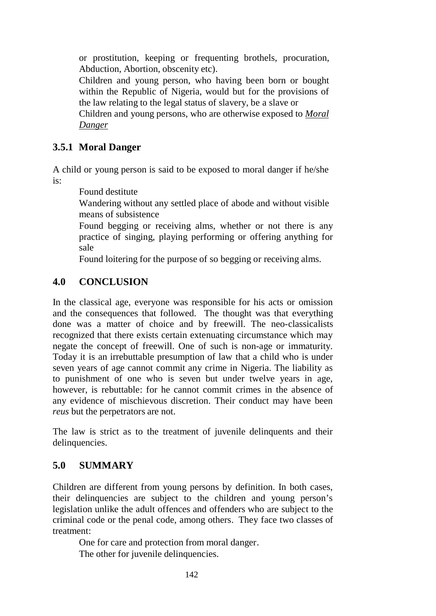or prostitution, keeping or frequenting brothels, procuration, Abduction, Abortion, obscenity etc).

Children and young person, who having been born or bought within the Republic of Nigeria, would but for the provisions of the law relating to the legal status of slavery, be a slave or

Children and young persons, who are otherwise exposed to *Moral Danger*

### **3.5.1 Moral Danger**

A child or young person is said to be exposed to moral danger if he/she is:

Found destitute

Wandering without any settled place of abode and without visible means of subsistence

Found begging or receiving alms, whether or not there is any practice of singing, playing performing or offering anything for sale

Found loitering for the purpose of so begging or receiving alms.

### **4.0 CONCLUSION**

In the classical age, everyone was responsible for his acts or omission and the consequences that followed. The thought was that everything done was a matter of choice and by freewill. The neo-classicalists recognized that there exists certain extenuating circumstance which may negate the concept of freewill. One of such is non-age or immaturity. Today it is an irrebuttable presumption of law that a child who is under seven years of age cannot commit any crime in Nigeria. The liability as to punishment of one who is seven but under twelve years in age, however, is rebuttable: for he cannot commit crimes in the absence of any evidence of mischievous discretion. Their conduct may have been *reus* but the perpetrators are not.

The law is strict as to the treatment of juvenile delinquents and their delinquencies.

### **5.0 SUMMARY**

Children are different from young persons by definition. In both cases, their delinquencies are subject to the children and young person's legislation unlike the adult offences and offenders who are subject to the criminal code or the penal code, among others. They face two classes of treatment:

One for care and protection from moral danger.

The other for juvenile delinquencies.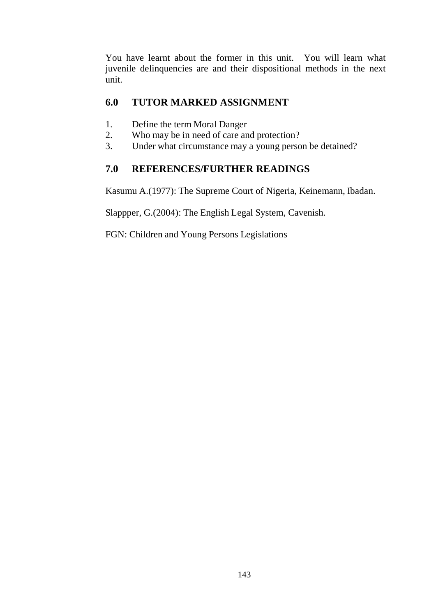You have learnt about the former in this unit. You will learn what juvenile delinquencies are and their dispositional methods in the next unit.

### **6.0 TUTOR MARKED ASSIGNMENT**

- 1. Define the term Moral Danger
- 2. Who may be in need of care and protection?
- 3. Under what circumstance may a young person be detained?

### **7.0 REFERENCES/FURTHER READINGS**

Kasumu A.(1977): The Supreme Court of Nigeria, Keinemann, Ibadan.

Slappper, G.(2004): The English Legal System, Cavenish.

FGN: Children and Young Persons Legislations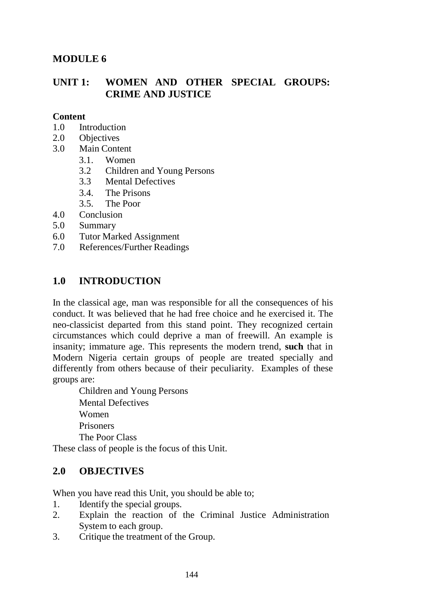### **MODULE 6**

### **UNIT 1: WOMEN AND OTHER SPECIAL GROUPS: CRIME AND JUSTICE**

#### **Content**

- 1.0 Introduction
- 2.0 Objectives
- 3.0 Main Content
	- 3.1. Women
	- 3.2 Children and Young Persons
	- 3.3 Mental Defectives
	- 3.4. The Prisons
	- 3.5. The Poor
- 4.0 Conclusion
- 5.0 Summary
- 6.0 Tutor Marked Assignment
- 7.0 References/Further Readings

### **1.0 INTRODUCTION**

In the classical age, man was responsible for all the consequences of his conduct. It was believed that he had free choice and he exercised it. The neo-classicist departed from this stand point. They recognized certain circumstances which could deprive a man of freewill. An example is insanity; immature age. This represents the modern trend, **such** that in Modern Nigeria certain groups of people are treated specially and differently from others because of their peculiarity. Examples of these groups are:

Children and Young Persons Mental Defectives Women Prisoners The Poor Class

These class of people is the focus of this Unit.

## **2.0 OBJECTIVES**

When you have read this Unit, you should be able to;

- 1. Identify the special groups.
- 2. Explain the reaction of the Criminal Justice Administration System to each group.
- 3. Critique the treatment of the Group.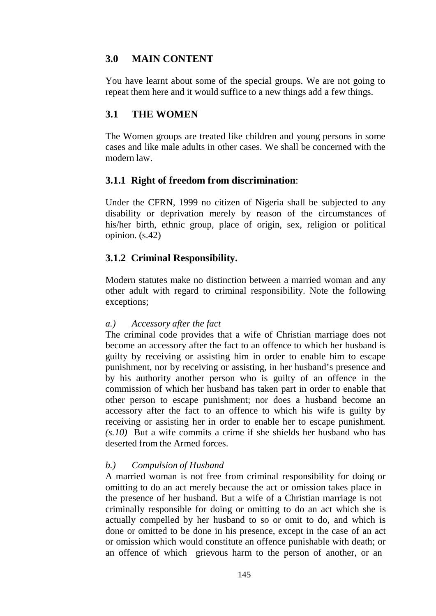## **3.0 MAIN CONTENT**

You have learnt about some of the special groups. We are not going to repeat them here and it would suffice to a new things add a few things.

## **3.1 THE WOMEN**

The Women groups are treated like children and young persons in some cases and like male adults in other cases. We shall be concerned with the modern law.

### **3.1.1 Right of freedom from discrimination**:

Under the CFRN, 1999 no citizen of Nigeria shall be subjected to any disability or deprivation merely by reason of the circumstances of his/her birth, ethnic group, place of origin, sex, religion or political opinion. (s.42)

## **3.1.2 Criminal Responsibility.**

Modern statutes make no distinction between a married woman and any other adult with regard to criminal responsibility. Note the following exceptions;

### *a.) Accessory after the fact*

The criminal code provides that a wife of Christian marriage does not become an accessory after the fact to an offence to which her husband is guilty by receiving or assisting him in order to enable him to escape punishment, nor by receiving or assisting, in her husband's presence and by his authority another person who is guilty of an offence in the commission of which her husband has taken part in order to enable that other person to escape punishment; nor does a husband become an accessory after the fact to an offence to which his wife is guilty by receiving or assisting her in order to enable her to escape punishment. *(s.10)* But a wife commits a crime if she shields her husband who has deserted from the Armed forces.

### *b.) Compulsion of Husband*

A married woman is not free from criminal responsibility for doing or omitting to do an act merely because the act or omission takes place in the presence of her husband. But a wife of a Christian marriage is not criminally responsible for doing or omitting to do an act which she is actually compelled by her husband to so or omit to do, and which is done or omitted to be done in his presence, except in the case of an act or omission which would constitute an offence punishable with death; or an offence of which grievous harm to the person of another, or an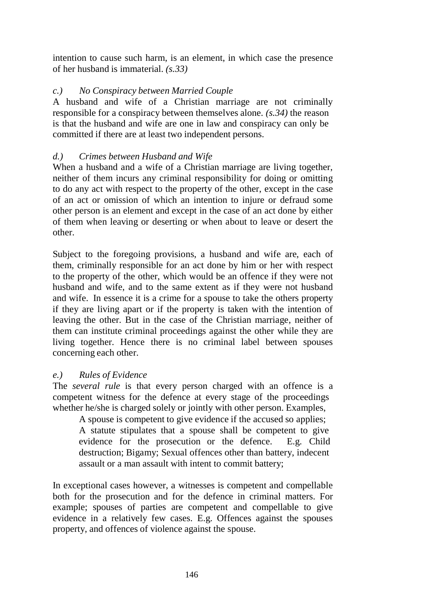intention to cause such harm, is an element, in which case the presence of her husband is immaterial. *(s.33)*

## *c.) No Conspiracy between Married Couple*

A husband and wife of a Christian marriage are not criminally responsible for a conspiracy between themselves alone. *(s.34)* the reason is that the husband and wife are one in law and conspiracy can only be committed if there are at least two independent persons.

## *d.) Crimes between Husband and Wife*

When a husband and a wife of a Christian marriage are living together, neither of them incurs any criminal responsibility for doing or omitting to do any act with respect to the property of the other, except in the case of an act or omission of which an intention to injure or defraud some other person is an element and except in the case of an act done by either of them when leaving or deserting or when about to leave or desert the other.

Subject to the foregoing provisions, a husband and wife are, each of them, criminally responsible for an act done by him or her with respect to the property of the other, which would be an offence if they were not husband and wife, and to the same extent as if they were not husband and wife. In essence it is a crime for a spouse to take the others property if they are living apart or if the property is taken with the intention of leaving the other. But in the case of the Christian marriage, neither of them can institute criminal proceedings against the other while they are living together. Hence there is no criminal label between spouses concerning each other.

## *e.) Rules of Evidence*

The *several rule* is that every person charged with an offence is a competent witness for the defence at every stage of the proceedings whether he/she is charged solely or jointly with other person. Examples,

A spouse is competent to give evidence if the accused so applies; A statute stipulates that a spouse shall be competent to give evidence for the prosecution or the defence. E.g. Child destruction; Bigamy; Sexual offences other than battery, indecent assault or a man assault with intent to commit battery;

In exceptional cases however, a witnesses is competent and compellable both for the prosecution and for the defence in criminal matters. For example; spouses of parties are competent and compellable to give evidence in a relatively few cases. E.g. Offences against the spouses property, and offences of violence against the spouse.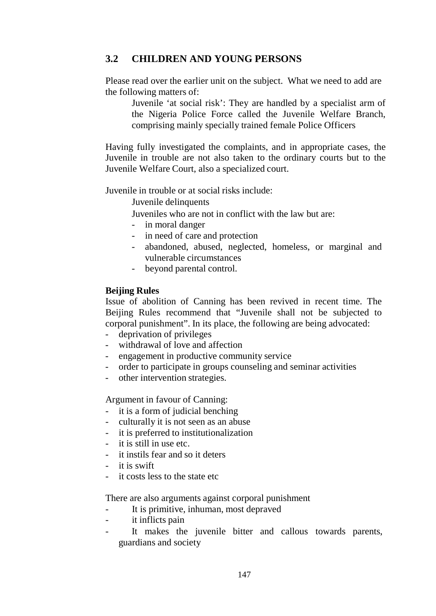## **3.2 CHILDREN AND YOUNG PERSONS**

Please read over the earlier unit on the subject. What we need to add are the following matters of:

Juvenile 'at social risk': They are handled by a specialist arm of the Nigeria Police Force called the Juvenile Welfare Branch, comprising mainly specially trained female Police Officers

Having fully investigated the complaints, and in appropriate cases, the Juvenile in trouble are not also taken to the ordinary courts but to the Juvenile Welfare Court, also a specialized court.

Juvenile in trouble or at social risks include:

Juvenile delinquents

Juveniles who are not in conflict with the law but are:

- in moral danger
- in need of care and protection
- abandoned, abused, neglected, homeless, or marginal and vulnerable circumstances
- beyond parental control.

#### **Beijing Rules**

Issue of abolition of Canning has been revived in recent time. The Beijing Rules recommend that "Juvenile shall not be subjected to corporal punishment". In its place, the following are being advocated:

- deprivation of privileges
- withdrawal of love and affection
- engagement in productive community service
- order to participate in groups counseling and seminar activities
- other intervention strategies.

Argument in favour of Canning:

- it is a form of judicial benching
- culturally it is not seen as an abuse
- it is preferred to institutionalization
- it is still in use etc.
- it instils fear and so it deters
- it is swift
- it costs less to the state etc

There are also arguments against corporal punishment

- It is primitive, inhuman, most depraved
- it inflicts pain
- It makes the juvenile bitter and callous towards parents, guardians and society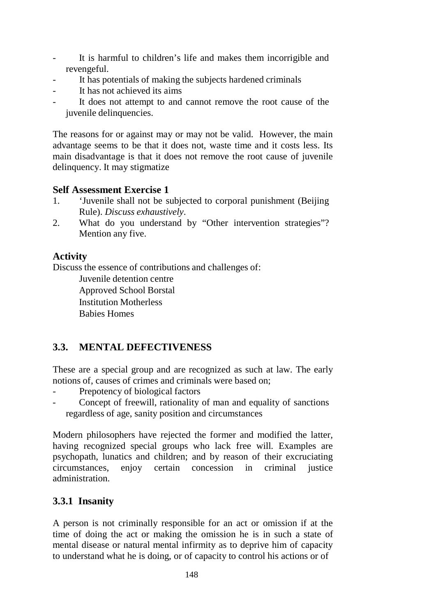- It is harmful to children's life and makes them incorrigible and revengeful.
- It has potentials of making the subjects hardened criminals
- It has not achieved its aims
- It does not attempt to and cannot remove the root cause of the juvenile delinquencies.

The reasons for or against may or may not be valid. However, the main advantage seems to be that it does not, waste time and it costs less. Its main disadvantage is that it does not remove the root cause of juvenile delinquency. It may stigmatize

## **Self Assessment Exercise 1**

- 1. 'Juvenile shall not be subjected to corporal punishment (Beijing Rule). *Discuss exhaustively*.
- 2. What do you understand by "Other intervention strategies"? Mention any five.

## **Activity**

Discuss the essence of contributions and challenges of:

Juvenile detention centre Approved School Borstal Institution Motherless Babies Homes

# **3.3. MENTAL DEFECTIVENESS**

These are a special group and are recognized as such at law. The early notions of, causes of crimes and criminals were based on;

- Prepotency of biological factors
- Concept of freewill, rationality of man and equality of sanctions regardless of age, sanity position and circumstances

Modern philosophers have rejected the former and modified the latter, having recognized special groups who lack free will. Examples are psychopath, lunatics and children; and by reason of their excruciating circumstances, enjoy certain concession in criminal justice administration.

## **3.3.1 Insanity**

A person is not criminally responsible for an act or omission if at the time of doing the act or making the omission he is in such a state of mental disease or natural mental infirmity as to deprive him of capacity to understand what he is doing, or of capacity to control his actions or of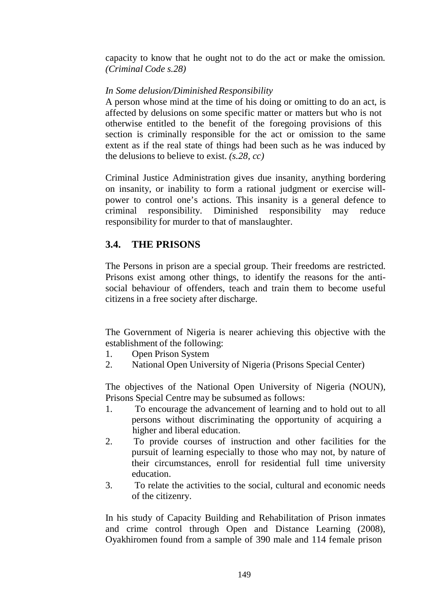capacity to know that he ought not to do the act or make the omission*. (Criminal Code s.28)*

### *In Some delusion/Diminished Responsibility*

A person whose mind at the time of his doing or omitting to do an act, is affected by delusions on some specific matter or matters but who is not otherwise entitled to the benefit of the foregoing provisions of this section is criminally responsible for the act or omission to the same extent as if the real state of things had been such as he was induced by the delusions to believe to exist. *(s.28, cc)*

Criminal Justice Administration gives due insanity, anything bordering on insanity, or inability to form a rational judgment or exercise willpower to control one's actions. This insanity is a general defence to criminal responsibility. Diminished responsibility may reduce responsibility for murder to that of manslaughter.

## **3.4. THE PRISONS**

The Persons in prison are a special group. Their freedoms are restricted. Prisons exist among other things, to identify the reasons for the antisocial behaviour of offenders, teach and train them to become useful citizens in a free society after discharge.

The Government of Nigeria is nearer achieving this objective with the establishment of the following:

- 1. Open Prison System
- 2. National Open University of Nigeria (Prisons Special Center)

The objectives of the National Open University of Nigeria (NOUN), Prisons Special Centre may be subsumed as follows:

- 1. To encourage the advancement of learning and to hold out to all persons without discriminating the opportunity of acquiring a higher and liberal education.
- 2. To provide courses of instruction and other facilities for the pursuit of learning especially to those who may not, by nature of their circumstances, enroll for residential full time university education.
- 3. To relate the activities to the social, cultural and economic needs of the citizenry.

In his study of Capacity Building and Rehabilitation of Prison inmates and crime control through Open and Distance Learning (2008), Oyakhiromen found from a sample of 390 male and 114 female prison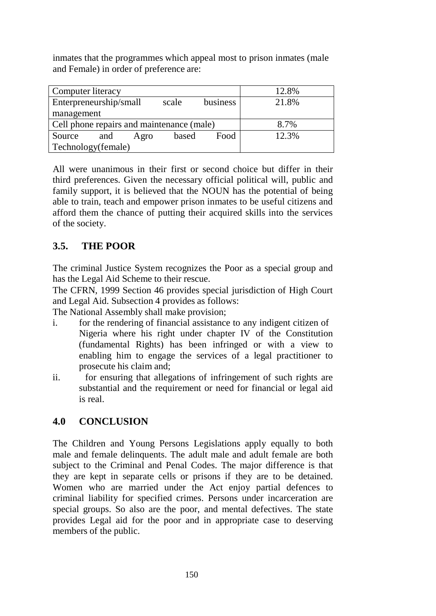inmates that the programmes which appeal most to prison inmates (male and Female) in order of preference are:

| Computer literacy                           | 12.8% |
|---------------------------------------------|-------|
| Enterpreneurship/small<br>business<br>scale | 21.8% |
| management                                  |       |
| Cell phone repairs and maintenance (male)   | 8.7%  |
| Food<br>Source<br>based<br>and<br>Agro      | 12.3% |
| Technology(female)                          |       |

All were unanimous in their first or second choice but differ in their third preferences. Given the necessary official political will, public and family support, it is believed that the NOUN has the potential of being able to train, teach and empower prison inmates to be useful citizens and afford them the chance of putting their acquired skills into the services of the society.

# **3.5. THE POOR**

The criminal Justice System recognizes the Poor as a special group and has the Legal Aid Scheme to their rescue.

The CFRN, 1999 Section 46 provides special jurisdiction of High Court and Legal Aid. Subsection 4 provides as follows:

The National Assembly shall make provision;

- i. for the rendering of financial assistance to any indigent citizen of Nigeria where his right under chapter IV of the Constitution (fundamental Rights) has been infringed or with a view to enabling him to engage the services of a legal practitioner to prosecute his claim and;
- ii. for ensuring that allegations of infringement of such rights are substantial and the requirement or need for financial or legal aid is real.

# **4.0 CONCLUSION**

The Children and Young Persons Legislations apply equally to both male and female delinquents. The adult male and adult female are both subject to the Criminal and Penal Codes. The major difference is that they are kept in separate cells or prisons if they are to be detained. Women who are married under the Act enjoy partial defences to criminal liability for specified crimes. Persons under incarceration are special groups. So also are the poor, and mental defectives. The state provides Legal aid for the poor and in appropriate case to deserving members of the public.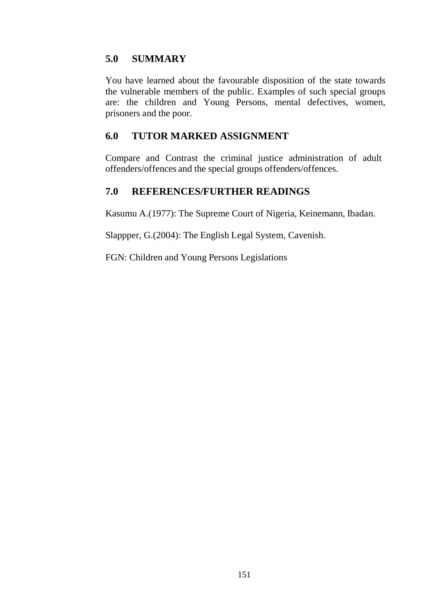## **5.0 SUMMARY**

You have learned about the favourable disposition of the state towards the vulnerable members of the public. Examples of such special groups are: the children and Young Persons, mental defectives, women, prisoners and the poor.

## **6.0 TUTOR MARKED ASSIGNMENT**

Compare and Contrast the criminal justice administration of adult offenders/offences and the special groups offenders/offences.

## **7.0 REFERENCES/FURTHER READINGS**

Kasumu A.(1977): The Supreme Court of Nigeria, Keinemann, Ibadan.

Slappper, G.(2004): The English Legal System, Cavenish.

FGN: Children and Young Persons Legislations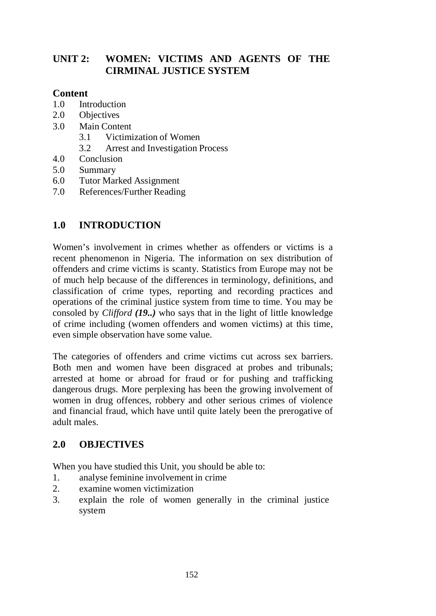# **UNIT 2: WOMEN: VICTIMS AND AGENTS OF THE CIRMINAL JUSTICE SYSTEM**

### **Content**

- 1.0 Introduction
- 2.0 Objectives
- 3.0 Main Content
	- 3.1 Victimization of Women
	- 3.2 Arrest and Investigation Process
- 4.0 Conclusion
- 5.0 Summary
- 6.0 Tutor Marked Assignment
- 7.0 References/Further Reading

## **1.0 INTRODUCTION**

Women's involvement in crimes whether as offenders or victims is a recent phenomenon in Nigeria. The information on sex distribution of offenders and crime victims is scanty. Statistics from Europe may not be of much help because of the differences in terminology, definitions, and classification of crime types, reporting and recording practices and operations of the criminal justice system from time to time. You may be consoled by *Clifford (19..)* who says that in the light of little knowledge of crime including (women offenders and women victims) at this time, even simple observation have some value.

The categories of offenders and crime victims cut across sex barriers. Both men and women have been disgraced at probes and tribunals; arrested at home or abroad for fraud or for pushing and trafficking dangerous drugs. More perplexing has been the growing involvement of women in drug offences, robbery and other serious crimes of violence and financial fraud, which have until quite lately been the prerogative of adult males.

## **2.0 OBJECTIVES**

When you have studied this Unit, you should be able to:

- 1. analyse feminine involvement in crime
- 2. examine women victimization
- 3. explain the role of women generally in the criminal justice system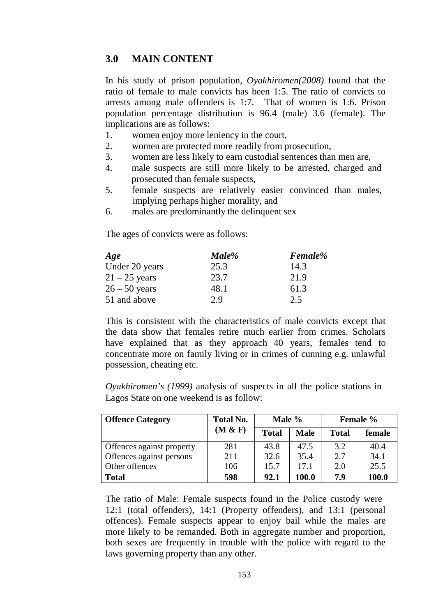## **3.0 MAIN CONTENT**

In his study of prison population, *Oyakhiromen(2008)* found that the ratio of female to male convicts has been 1:5. The ratio of convicts to arrests among male offenders is 1:7. That of women is 1:6. Prison population percentage distribution is 96.4 (male) 3.6 (female). The implications are as follows:

- 1. women enjoy more leniency in the court,
- 2. women are protected more readily from prosecution,
- 3. women are less likely to earn custodial sentences than men are,
- 4. male suspects are still more likely to be arrested, charged and prosecuted than female suspects,
- 5. female suspects are relatively easier convinced than males, implying perhaps higher morality, and
- 6. males are predominantly the delinquent sex

The ages of convicts were as follows:

| Age             | Male% | Female% |  |
|-----------------|-------|---------|--|
| Under 20 years  | 25.3  | 14.3    |  |
| $21 - 25$ years | 23.7  | 21.9    |  |
| $26 - 50$ years | 48.1  | 61.3    |  |
| 51 and above    | 29    | 2.5     |  |

This is consistent with the characteristics of male convicts except that the data show that females retire much earlier from crimes. Scholars have explained that as they approach 40 years, females tend to concentrate more on family living or in crimes of cunning e.g. unlawful possession, cheating etc.

*Oyakhiromen's (1999)* analysis of suspects in all the police stations in Lagos State on one weekend is as follow:

| <b>Offence Category</b>   | <b>Total No.</b> | Male %       |             | Female % |        |
|---------------------------|------------------|--------------|-------------|----------|--------|
|                           | (M & F)          | <b>Total</b> | <b>Male</b> | Total    | female |
| Offences against property | 281              | 43.8         | 47.5        | 3.2      | 40.4   |
| Offences against persons  | 211              | 32.6         | 35.4        | 2.7      | 34.1   |
| Other offences            | 106              | 15.7         | 17.1        | 2.0      | 25.5   |
| <b>Total</b>              | 598              | 92.1         | 100.0       | 7.9      | 100.0  |

The ratio of Male: Female suspects found in the Police custody were 12:1 (total offenders), 14:1 (Property offenders), and 13:1 (personal offences). Female suspects appear to enjoy bail while the males are more likely to be remanded. Both in aggregate number and proportion, both sexes are frequently in trouble with the police with regard to the laws governing property than any other.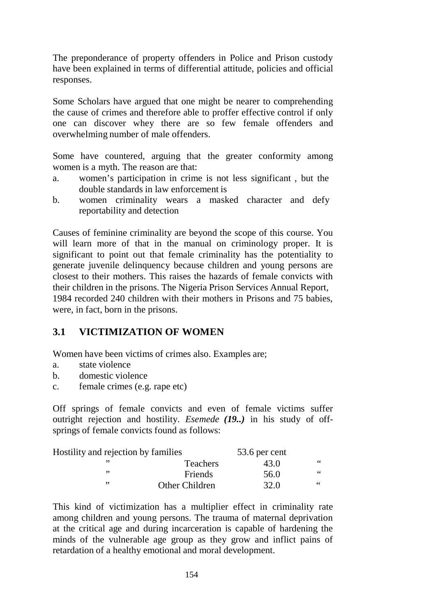The preponderance of property offenders in Police and Prison custody have been explained in terms of differential attitude, policies and official responses.

Some Scholars have argued that one might be nearer to comprehending the cause of crimes and therefore able to proffer effective control if only one can discover whey there are so few female offenders and overwhelming number of male offenders.

Some have countered, arguing that the greater conformity among women is a myth. The reason are that:

- a. women's participation in crime is not less significant , but the double standards in law enforcement is
- b. women criminality wears a masked character and defy reportability and detection

Causes of feminine criminality are beyond the scope of this course. You will learn more of that in the manual on criminology proper. It is significant to point out that female criminality has the potentiality to generate juvenile delinquency because children and young persons are closest to their mothers. This raises the hazards of female convicts with their children in the prisons. The Nigeria Prison Services Annual Report, 1984 recorded 240 children with their mothers in Prisons and 75 babies, were, in fact, born in the prisons.

# **3.1 VICTIMIZATION OF WOMEN**

Women have been victims of crimes also. Examples are;

- a. state violence
- b. domestic violence
- c. female crimes (e.g. rape etc)

Off springs of female convicts and even of female victims suffer outright rejection and hostility. *Esemede (19..)* in his study of offsprings of female convicts found as follows:

| Hostility and rejection by families |                 | 53.6 per cent |    |
|-------------------------------------|-----------------|---------------|----|
|                                     | <b>Teachers</b> | 43.0          | 66 |
| ,,                                  | Friends         | 56.0          | 66 |
| ,,                                  | Other Children  | 32.0          | 66 |

This kind of victimization has a multiplier effect in criminality rate among children and young persons. The trauma of maternal deprivation at the critical age and during incarceration is capable of hardening the minds of the vulnerable age group as they grow and inflict pains of retardation of a healthy emotional and moral development.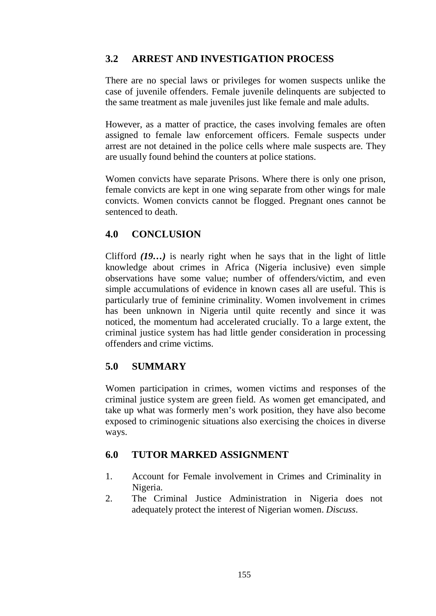## **3.2 ARREST AND INVESTIGATION PROCESS**

There are no special laws or privileges for women suspects unlike the case of juvenile offenders. Female juvenile delinquents are subjected to the same treatment as male juveniles just like female and male adults.

However, as a matter of practice, the cases involving females are often assigned to female law enforcement officers. Female suspects under arrest are not detained in the police cells where male suspects are. They are usually found behind the counters at police stations.

Women convicts have separate Prisons. Where there is only one prison, female convicts are kept in one wing separate from other wings for male convicts. Women convicts cannot be flogged. Pregnant ones cannot be sentenced to death.

## **4.0 CONCLUSION**

Clifford *(19…)* is nearly right when he says that in the light of little knowledge about crimes in Africa (Nigeria inclusive) even simple observations have some value; number of offenders/victim, and even simple accumulations of evidence in known cases all are useful. This is particularly true of feminine criminality. Women involvement in crimes has been unknown in Nigeria until quite recently and since it was noticed, the momentum had accelerated crucially. To a large extent, the criminal justice system has had little gender consideration in processing offenders and crime victims.

## **5.0 SUMMARY**

Women participation in crimes, women victims and responses of the criminal justice system are green field. As women get emancipated, and take up what was formerly men's work position, they have also become exposed to criminogenic situations also exercising the choices in diverse ways.

## **6.0 TUTOR MARKED ASSIGNMENT**

- 1. Account for Female involvement in Crimes and Criminality in Nigeria.
- 2. The Criminal Justice Administration in Nigeria does not adequately protect the interest of Nigerian women. *Discuss*.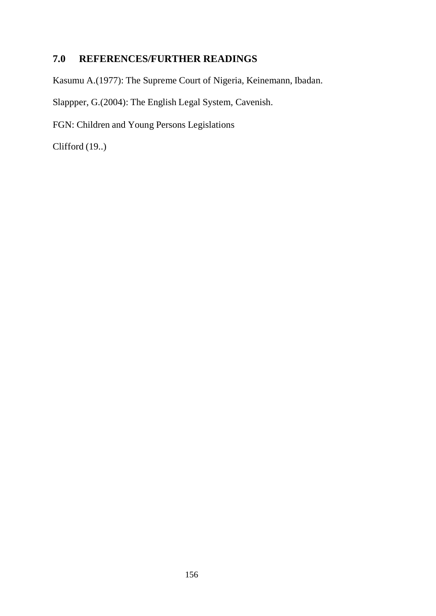# **7.0 REFERENCES/FURTHER READINGS**

Kasumu A.(1977): The Supreme Court of Nigeria, Keinemann, Ibadan.

Slappper, G.(2004): The English Legal System, Cavenish.

FGN: Children and Young Persons Legislations

Clifford (19..)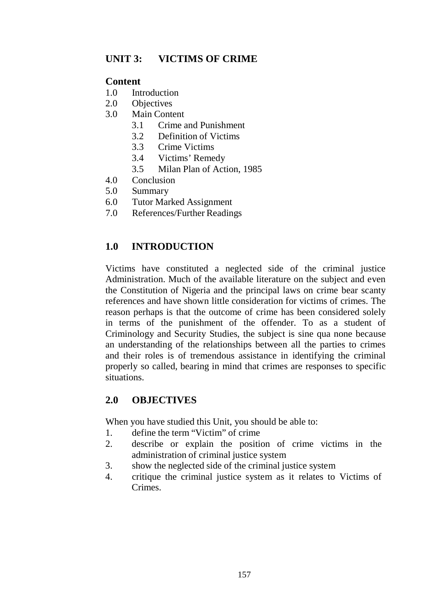## **UNIT 3: VICTIMS OF CRIME**

### **Content**

- 1.0 Introduction
- 2.0 Objectives
- 3.0 Main Content
	- 3.1 Crime and Punishment
	- 3.2 Definition of Victims
	- 3.3 Crime Victims
	- 3.4 Victims' Remedy
	- 3.5 Milan Plan of Action, 1985
- 4.0 Conclusion
- 5.0 Summary
- 6.0 Tutor Marked Assignment
- 7.0 References/Further Readings

# **1.0 INTRODUCTION**

Victims have constituted a neglected side of the criminal justice Administration. Much of the available literature on the subject and even the Constitution of Nigeria and the principal laws on crime bear scanty references and have shown little consideration for victims of crimes. The reason perhaps is that the outcome of crime has been considered solely in terms of the punishment of the offender. To as a student of Criminology and Security Studies, the subject is sine qua none because an understanding of the relationships between all the parties to crimes and their roles is of tremendous assistance in identifying the criminal properly so called, bearing in mind that crimes are responses to specific situations.

## **2.0 OBJECTIVES**

When you have studied this Unit, you should be able to:

- 1. define the term "Victim" of crime
- 2. describe or explain the position of crime victims in the administration of criminal justice system
- 3. show the neglected side of the criminal justice system
- 4. critique the criminal justice system as it relates to Victims of Crimes.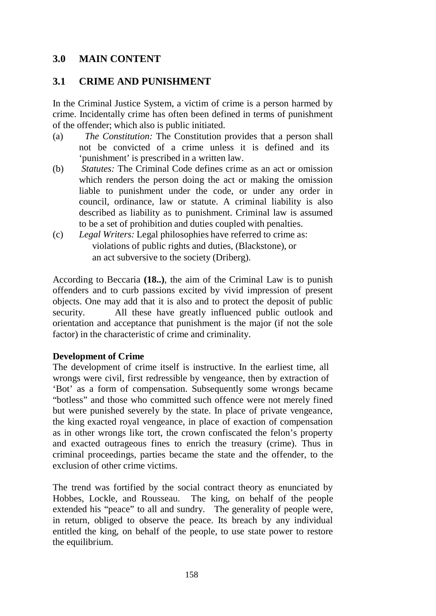### **3.0 MAIN CONTENT**

### **3.1 CRIME AND PUNISHMENT**

In the Criminal Justice System, a victim of crime is a person harmed by crime. Incidentally crime has often been defined in terms of punishment of the offender; which also is public initiated.

- (a) *The Constitution:* The Constitution provides that a person shall not be convicted of a crime unless it is defined and its 'punishment' is prescribed in a written law.
- (b) *Statutes:* The Criminal Code defines crime as an act or omission which renders the person doing the act or making the omission liable to punishment under the code, or under any order in council, ordinance, law or statute. A criminal liability is also described as liability as to punishment. Criminal law is assumed to be a set of prohibition and duties coupled with penalties.
- (c) *Legal Writers:* Legal philosophies have referred to crime as: violations of public rights and duties, (Blackstone), or an act subversive to the society (Driberg).

According to Beccaria **(18..)**, the aim of the Criminal Law is to punish offenders and to curb passions excited by vivid impression of present objects. One may add that it is also and to protect the deposit of public security. All these have greatly influenced public outlook and orientation and acceptance that punishment is the major (if not the sole factor) in the characteristic of crime and criminality.

### **Development of Crime**

The development of crime itself is instructive. In the earliest time, all wrongs were civil, first redressible by vengeance, then by extraction of 'Bot' as a form of compensation. Subsequently some wrongs became "botless" and those who committed such offence were not merely fined but were punished severely by the state. In place of private vengeance, the king exacted royal vengeance, in place of exaction of compensation as in other wrongs like tort, the crown confiscated the felon's property and exacted outrageous fines to enrich the treasury (crime). Thus in criminal proceedings, parties became the state and the offender, to the exclusion of other crime victims.

The trend was fortified by the social contract theory as enunciated by Hobbes, Lockle, and Rousseau. The king, on behalf of the people extended his "peace" to all and sundry. The generality of people were, in return, obliged to observe the peace. Its breach by any individual entitled the king, on behalf of the people, to use state power to restore the equilibrium.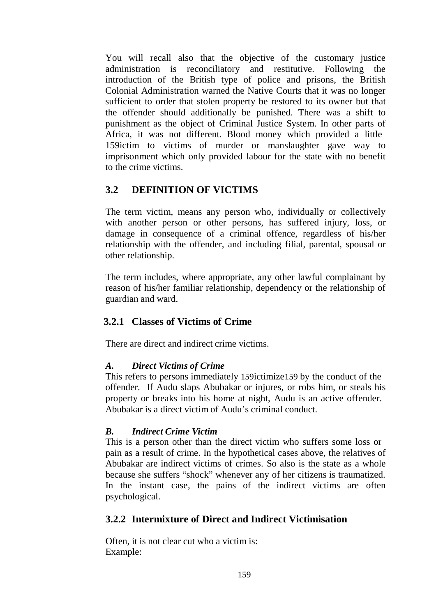You will recall also that the objective of the customary justice administration is reconciliatory and restitutive. Following the introduction of the British type of police and prisons, the British Colonial Administration warned the Native Courts that it was no longer sufficient to order that stolen property be restored to its owner but that the offender should additionally be punished. There was a shift to punishment as the object of Criminal Justice System. In other parts of Africa, it was not different. Blood money which provided a little 159ictim to victims of murder or manslaughter gave way to imprisonment which only provided labour for the state with no benefit to the crime victims.

## **3.2 DEFINITION OF VICTIMS**

The term victim, means any person who, individually or collectively with another person or other persons, has suffered injury, loss, or damage in consequence of a criminal offence, regardless of his/her relationship with the offender, and including filial, parental, spousal or other relationship.

The term includes, where appropriate, any other lawful complainant by reason of his/her familiar relationship, dependency or the relationship of guardian and ward.

## **3.2.1 Classes of Victims of Crime**

There are direct and indirect crime victims.

### *A. Direct Victims of Crime*

This refers to persons immediately 159ictimize159 by the conduct of the offender. If Audu slaps Abubakar or injures, or robs him, or steals his property or breaks into his home at night, Audu is an active offender. Abubakar is a direct victim of Audu's criminal conduct.

### *B. Indirect Crime Victim*

This is a person other than the direct victim who suffers some loss or pain as a result of crime. In the hypothetical cases above, the relatives of Abubakar are indirect victims of crimes. So also is the state as a whole because she suffers "shock" whenever any of her citizens is traumatized. In the instant case, the pains of the indirect victims are often psychological.

## **3.2.2 Intermixture of Direct and Indirect Victimisation**

Often, it is not clear cut who a victim is: Example: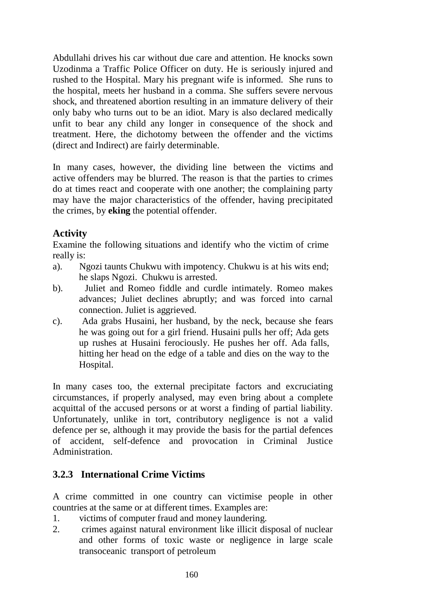Abdullahi drives his car without due care and attention. He knocks sown Uzodinma a Traffic Police Officer on duty. He is seriously injured and rushed to the Hospital. Mary his pregnant wife is informed. She runs to the hospital, meets her husband in a comma. She suffers severe nervous shock, and threatened abortion resulting in an immature delivery of their only baby who turns out to be an idiot. Mary is also declared medically unfit to bear any child any longer in consequence of the shock and treatment. Here, the dichotomy between the offender and the victims (direct and Indirect) are fairly determinable.

In many cases, however, the dividing line between the victims and active offenders may be blurred. The reason is that the parties to crimes do at times react and cooperate with one another; the complaining party may have the major characteristics of the offender, having precipitated the crimes, by **eking** the potential offender.

## **Activity**

Examine the following situations and identify who the victim of crime really is:

- a). Ngozi taunts Chukwu with impotency. Chukwu is at his wits end; he slaps Ngozi. Chukwu is arrested.
- b). Juliet and Romeo fiddle and curdle intimately. Romeo makes advances; Juliet declines abruptly; and was forced into carnal connection. Juliet is aggrieved.
- c). Ada grabs Husaini, her husband, by the neck, because she fears he was going out for a girl friend. Husaini pulls her off; Ada gets up rushes at Husaini ferociously. He pushes her off. Ada falls, hitting her head on the edge of a table and dies on the way to the Hospital.

In many cases too, the external precipitate factors and excruciating circumstances, if properly analysed, may even bring about a complete acquittal of the accused persons or at worst a finding of partial liability. Unfortunately, unlike in tort, contributory negligence is not a valid defence per se, although it may provide the basis for the partial defences of accident, self-defence and provocation in Criminal Justice Administration.

## **3.2.3 International Crime Victims**

A crime committed in one country can victimise people in other countries at the same or at different times. Examples are:

- 1. victims of computer fraud and money laundering.
- 2. crimes against natural environment like illicit disposal of nuclear and other forms of toxic waste or negligence in large scale transoceanic transport of petroleum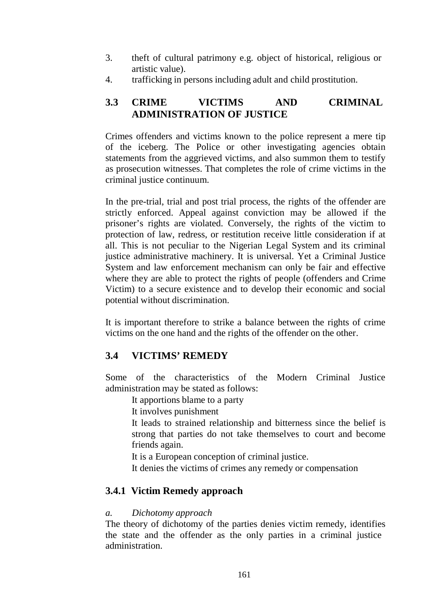- 3. theft of cultural patrimony e.g. object of historical, religious or artistic value).
- 4. trafficking in persons including adult and child prostitution.

## **3.3 CRIME VICTIMS AND CRIMINAL ADMINISTRATION OF JUSTICE**

Crimes offenders and victims known to the police represent a mere tip of the iceberg. The Police or other investigating agencies obtain statements from the aggrieved victims, and also summon them to testify as prosecution witnesses. That completes the role of crime victims in the criminal justice continuum.

In the pre-trial, trial and post trial process, the rights of the offender are strictly enforced. Appeal against conviction may be allowed if the prisoner's rights are violated. Conversely, the rights of the victim to protection of law, redress, or restitution receive little consideration if at all. This is not peculiar to the Nigerian Legal System and its criminal justice administrative machinery. It is universal. Yet a Criminal Justice System and law enforcement mechanism can only be fair and effective where they are able to protect the rights of people (offenders and Crime Victim) to a secure existence and to develop their economic and social potential without discrimination.

It is important therefore to strike a balance between the rights of crime victims on the one hand and the rights of the offender on the other.

# **3.4 VICTIMS' REMEDY**

Some of the characteristics of the Modern Criminal Justice administration may be stated as follows:

It apportions blame to a party

It involves punishment

It leads to strained relationship and bitterness since the belief is strong that parties do not take themselves to court and become friends again.

It is a European conception of criminal justice.

It denies the victims of crimes any remedy or compensation

# **3.4.1 Victim Remedy approach**

### *a. Dichotomy approach*

The theory of dichotomy of the parties denies victim remedy, identifies the state and the offender as the only parties in a criminal justice administration.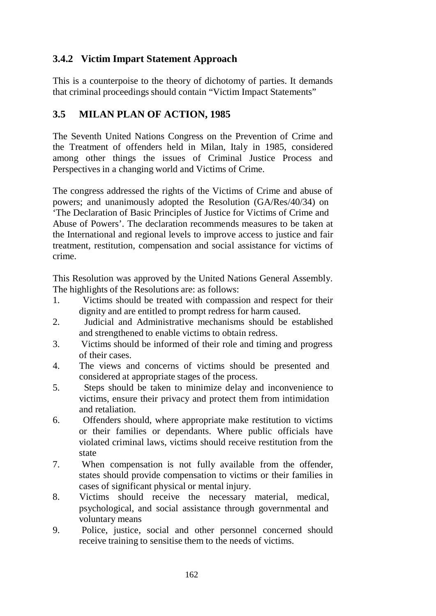# **3.4.2 Victim Impart Statement Approach**

This is a counterpoise to the theory of dichotomy of parties. It demands that criminal proceedings should contain "Victim Impact Statements"

# **3.5 MILAN PLAN OF ACTION, 1985**

The Seventh United Nations Congress on the Prevention of Crime and the Treatment of offenders held in Milan, Italy in 1985, considered among other things the issues of Criminal Justice Process and Perspectives in a changing world and Victims of Crime.

The congress addressed the rights of the Victims of Crime and abuse of powers; and unanimously adopted the Resolution (GA/Res/40/34) on 'The Declaration of Basic Principles of Justice for Victims of Crime and Abuse of Powers'. The declaration recommends measures to be taken at the International and regional levels to improve access to justice and fair treatment, restitution, compensation and social assistance for victims of crime.

This Resolution was approved by the United Nations General Assembly. The highlights of the Resolutions are: as follows:

- 1. Victims should be treated with compassion and respect for their dignity and are entitled to prompt redress for harm caused.
- 2. Judicial and Administrative mechanisms should be established and strengthened to enable victims to obtain redress.
- 3. Victims should be informed of their role and timing and progress of their cases.
- 4. The views and concerns of victims should be presented and considered at appropriate stages of the process.
- 5. Steps should be taken to minimize delay and inconvenience to victims, ensure their privacy and protect them from intimidation and retaliation.
- 6. Offenders should, where appropriate make restitution to victims or their families or dependants. Where public officials have violated criminal laws, victims should receive restitution from the state
- 7. When compensation is not fully available from the offender, states should provide compensation to victims or their families in cases of significant physical or mental injury.
- 8. Victims should receive the necessary material, medical, psychological, and social assistance through governmental and voluntary means
- 9. Police, justice, social and other personnel concerned should receive training to sensitise them to the needs of victims.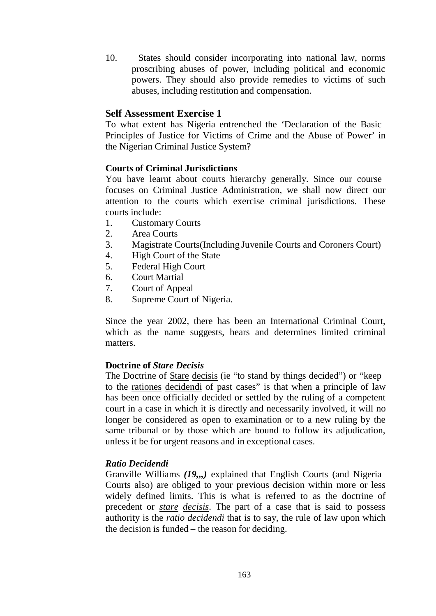10. States should consider incorporating into national law, norms proscribing abuses of power, including political and economic powers. They should also provide remedies to victims of such abuses, including restitution and compensation.

### **Self Assessment Exercise 1**

To what extent has Nigeria entrenched the 'Declaration of the Basic Principles of Justice for Victims of Crime and the Abuse of Power' in the Nigerian Criminal Justice System?

### **Courts of Criminal Jurisdictions**

You have learnt about courts hierarchy generally. Since our course focuses on Criminal Justice Administration, we shall now direct our attention to the courts which exercise criminal jurisdictions. These courts include:

- 1. Customary Courts
- 2. Area Courts
- 3. Magistrate Courts(Including Juvenile Courts and Coroners Court)
- 4. High Court of the State
- 5. Federal High Court
- 6. Court Martial
- 7. Court of Appeal
- 8. Supreme Court of Nigeria.

Since the year 2002, there has been an International Criminal Court, which as the name suggests, hears and determines limited criminal matters.

### **Doctrine of** *Stare Decisis*

The Doctrine of Stare decisis (ie "to stand by things decided") or "keep to the rationes decidendi of past cases" is that when a principle of law has been once officially decided or settled by the ruling of a competent court in a case in which it is directly and necessarily involved, it will no longer be considered as open to examination or to a new ruling by the same tribunal or by those which are bound to follow its adjudication, unless it be for urgent reasons and in exceptional cases.

### *Ratio Decidendi*

Granville Williams *(19,,,)* explained that English Courts (and Nigeria Courts also) are obliged to your previous decision within more or less widely defined limits. This is what is referred to as the doctrine of precedent or *stare decisis*. The part of a case that is said to possess authority is the *ratio decidendi* that is to say, the rule of law upon which the decision is funded – the reason for deciding.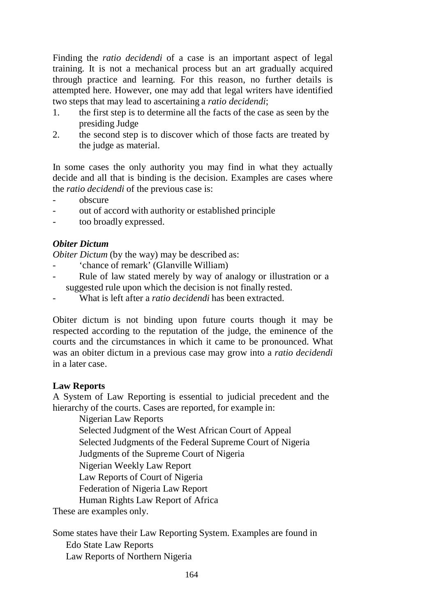Finding the *ratio decidendi* of a case is an important aspect of legal training. It is not a mechanical process but an art gradually acquired through practice and learning. For this reason, no further details is attempted here. However, one may add that legal writers have identified two steps that may lead to ascertaining a *ratio decidendi*;

- 1. the first step is to determine all the facts of the case as seen by the presiding Judge
- 2. the second step is to discover which of those facts are treated by the judge as material.

In some cases the only authority you may find in what they actually decide and all that is binding is the decision. Examples are cases where the *ratio decidendi* of the previous case is:

- obscure
- out of accord with authority or established principle
- too broadly expressed.

### *Obiter Dictum*

*Obiter Dictum* (by the way) may be described as:

- 'chance of remark' (Glanville William)
- Rule of law stated merely by way of analogy or illustration or a suggested rule upon which the decision is not finally rested.
- What is left after a *ratio decidendi* has been extracted.

Obiter dictum is not binding upon future courts though it may be respected according to the reputation of the judge, the eminence of the courts and the circumstances in which it came to be pronounced. What was an obiter dictum in a previous case may grow into a *ratio decidendi*  in a later case.

### **Law Reports**

A System of Law Reporting is essential to judicial precedent and the hierarchy of the courts. Cases are reported, for example in:

Nigerian Law Reports

Selected Judgment of the West African Court of Appeal

Selected Judgments of the Federal Supreme Court of Nigeria

Judgments of the Supreme Court of Nigeria

Nigerian Weekly Law Report

Law Reports of Court of Nigeria

Federation of Nigeria Law Report

Human Rights Law Report of Africa

These are examples only.

Some states have their Law Reporting System. Examples are found in Edo State Law Reports Law Reports of Northern Nigeria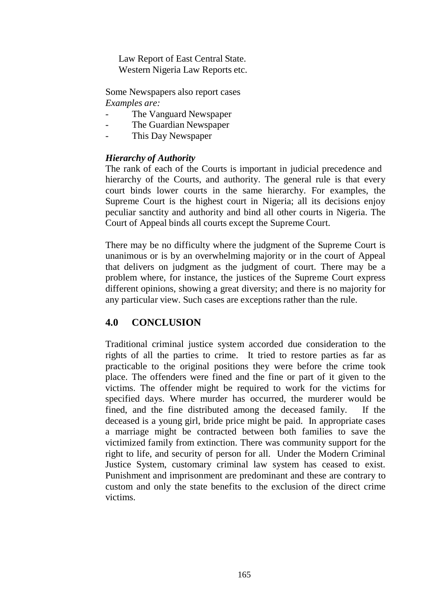Law Report of East Central State. Western Nigeria Law Reports etc.

Some Newspapers also report cases *Examples are:*

- The Vanguard Newspaper
- The Guardian Newspaper
- This Day Newspaper

#### *Hierarchy of Authority*

The rank of each of the Courts is important in judicial precedence and hierarchy of the Courts, and authority. The general rule is that every court binds lower courts in the same hierarchy. For examples, the Supreme Court is the highest court in Nigeria; all its decisions enjoy peculiar sanctity and authority and bind all other courts in Nigeria. The Court of Appeal binds all courts except the Supreme Court.

There may be no difficulty where the judgment of the Supreme Court is unanimous or is by an overwhelming majority or in the court of Appeal that delivers on judgment as the judgment of court. There may be a problem where, for instance, the justices of the Supreme Court express different opinions, showing a great diversity; and there is no majority for any particular view. Such cases are exceptions rather than the rule.

## **4.0 CONCLUSION**

Traditional criminal justice system accorded due consideration to the rights of all the parties to crime. It tried to restore parties as far as practicable to the original positions they were before the crime took place. The offenders were fined and the fine or part of it given to the victims. The offender might be required to work for the victims for specified days. Where murder has occurred, the murderer would be fined, and the fine distributed among the deceased family. If the deceased is a young girl, bride price might be paid. In appropriate cases a marriage might be contracted between both families to save the victimized family from extinction. There was community support for the right to life, and security of person for all. Under the Modern Criminal Justice System, customary criminal law system has ceased to exist. Punishment and imprisonment are predominant and these are contrary to custom and only the state benefits to the exclusion of the direct crime victims.